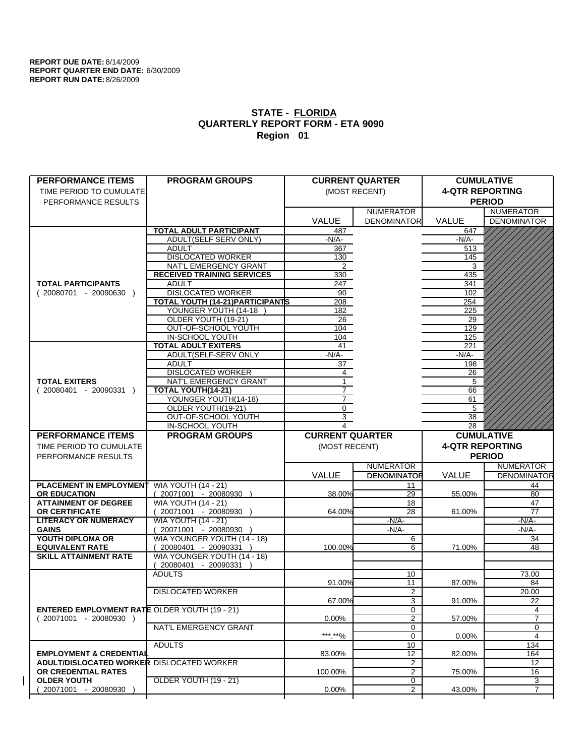| <b>PERFORMANCE ITEMS</b>                             | <b>PROGRAM GROUPS</b>                                |                        | <b>CURRENT QUARTER</b>           |                        | <b>CUMULATIVE</b>  |
|------------------------------------------------------|------------------------------------------------------|------------------------|----------------------------------|------------------------|--------------------|
| TIME PERIOD TO CUMULATE                              |                                                      |                        | (MOST RECENT)                    | <b>4-QTR REPORTING</b> |                    |
| PERFORMANCE RESULTS                                  |                                                      |                        |                                  |                        | <b>PERIOD</b>      |
|                                                      |                                                      |                        | <b>NUMERATOR</b>                 |                        | <b>NUMERATOR</b>   |
|                                                      |                                                      | <b>VALUE</b>           | <b>DENOMINATOR</b>               | VALUE                  | <b>DENOMINATOR</b> |
|                                                      | <b>TOTAL ADULT PARTICIPANT</b>                       | 487                    |                                  | 647                    |                    |
|                                                      | ADULT(SELF SERV ONLY)                                | $-N/A-$                |                                  | -N/A-                  |                    |
|                                                      | <b>ADULT</b>                                         | 367                    |                                  | 513                    |                    |
|                                                      | <b>DISLOCATED WORKER</b>                             | 130                    |                                  | 145                    |                    |
|                                                      | NAT'L EMERGENCY GRANT                                | $\overline{2}$         |                                  | 3                      |                    |
|                                                      | <b>RECEIVED TRAINING SERVICES</b>                    | 330                    |                                  | 435                    |                    |
| <b>TOTAL PARTICIPANTS</b>                            | <b>ADULT</b>                                         | 247                    |                                  | 341                    |                    |
| $(20080701 - 20090630)$                              | <b>DISLOCATED WORKER</b>                             | 90                     |                                  | 102                    |                    |
|                                                      | TOTAL YOUTH (14-21) PARTICIPANTS                     | 208                    |                                  | 254                    |                    |
|                                                      | YOUNGER YOUTH (14-18                                 | 182                    |                                  | 225                    |                    |
|                                                      | OLDER YOUTH (19-21)                                  | 26                     |                                  | 29                     |                    |
|                                                      | OUT-OF-SCHOOL YOUTH                                  | 104                    |                                  | 129                    |                    |
|                                                      | <b>IN-SCHOOL YOUTH</b>                               | 104                    |                                  | 125                    |                    |
|                                                      | <b>TOTAL ADULT EXITERS</b>                           | 41<br>$-N/A-$          |                                  | 221<br>$-N/A$ -        |                    |
|                                                      | ADULT(SELF-SERV ONLY<br><b>ADULT</b>                 | 37                     |                                  | 198                    |                    |
|                                                      | <b>DISLOCATED WORKER</b>                             | 4                      |                                  | 26                     |                    |
| <b>TOTAL EXITERS</b>                                 | <b>NAT'L EMERGENCY GRANT</b>                         | $\mathbf{1}$           |                                  | 5                      |                    |
| $(20080401 - 20090331)$                              | TOTAL YOUTH(14-21)                                   | $\overline{7}$         |                                  | 66                     |                    |
|                                                      | YOUNGER YOUTH(14-18)                                 | $\overline{7}$         |                                  | 61                     |                    |
|                                                      | OLDER YOUTH(19-21)                                   | 0                      |                                  | 5                      |                    |
|                                                      | OUT-OF-SCHOOL YOUTH                                  | $\overline{3}$         |                                  | 38                     |                    |
|                                                      | IN-SCHOOL YOUTH                                      | 4                      |                                  | 28                     |                    |
| <b>PERFORMANCE ITEMS</b>                             | <b>PROGRAM GROUPS</b>                                | <b>CURRENT QUARTER</b> |                                  |                        | <b>CUMULATIVE</b>  |
|                                                      |                                                      |                        |                                  |                        |                    |
|                                                      |                                                      |                        |                                  |                        |                    |
| TIME PERIOD TO CUMULATE                              |                                                      | (MOST RECENT)          |                                  | <b>4-QTR REPORTING</b> |                    |
| PERFORMANCE RESULTS                                  |                                                      |                        |                                  |                        | <b>PERIOD</b>      |
|                                                      |                                                      |                        | <b>NUMERATOR</b>                 |                        | <b>NUMERATOR</b>   |
|                                                      |                                                      | VALUE                  | <b>DENOMINATOR</b>               | VALUE                  | <b>DENOMINATOR</b> |
| <b>PLACEMENT IN EMPLOYMENT</b>                       | <b>WIA YOUTH (14 - 21)</b>                           |                        | 11                               |                        | 44                 |
| <b>OR EDUCATION</b>                                  | 20071001 - 20080930                                  | 38.00%                 | 29                               | 55.00%                 | 80                 |
| <b>ATTAINMENT OF DEGREE</b>                          | <b>WIA YOUTH (14 - 21)</b>                           |                        | 18                               |                        | 47                 |
| OR CERTIFICATE                                       | $(20071001 - 20080930)$                              | 64.00%                 | $\overline{28}$                  | 61.00%                 | 77                 |
| <b>LITERACY OR NUMERACY</b>                          | <b>WIA YOUTH (14 - 21)</b>                           |                        | $-N/A$ -                         |                        | <u>-N/A-</u>       |
| <b>GAINS</b>                                         | 20071001 - 20080930 )                                |                        | $-N/A-$                          |                        | -N/A-              |
| YOUTH DIPLOMA OR<br><b>EQUIVALENT RATE</b>           | WIA YOUNGER YOUTH (14 - 18)<br>20080401 - 20090331 ) | 100.00%                | 6<br>6                           | 71.00%                 | 34<br>48           |
| <b>SKILL ATTAINMENT RATE</b>                         | WIA YOUNGER YOUTH (14 - 18)                          |                        |                                  |                        |                    |
|                                                      | $(20080401 - 20090331)$                              |                        |                                  |                        |                    |
|                                                      | <b>ADULTS</b>                                        |                        | 10                               |                        | 73.00              |
|                                                      |                                                      | 91.00%                 | 11                               | 87.00%                 | 84                 |
|                                                      | <b>DISLOCATED WORKER</b>                             |                        | $\overline{2}$                   |                        | 20.00              |
|                                                      |                                                      | 67.00%                 | $\overline{3}$                   | 91.00%                 | $\overline{22}$    |
| <b>ENTERED EMPLOYMENT RATE OLDER YOUTH (19 - 21)</b> |                                                      |                        | 0                                |                        | 4                  |
| $(20071001 - 20080930)$                              |                                                      | 0.00%                  | $\overline{2}$                   | 57.00%                 | 7                  |
|                                                      | NAT'L EMERGENCY GRANT                                |                        | 0                                |                        | 0                  |
|                                                      |                                                      | ***.**%                | 0                                | $0.00\%$               | 4                  |
|                                                      | <b>ADULTS</b>                                        |                        | 10                               |                        | 134                |
| <b>EMPLOYMENT &amp; CREDENTIAL</b>                   |                                                      | 83.00%                 | 12                               | 82.00%                 | 164                |
| <b>ADULT/DISLOCATED WORKER DISLOCATED WORKER</b>     |                                                      |                        | $\overline{2}$                   |                        | 12                 |
| OR CREDENTIAL RATES                                  |                                                      | 100.00%                | 2                                | 75.00%                 | 16                 |
| <b>OLDER YOUTH</b><br>20071001 - 20080930            | OLDER YOUTH (19 - 21)                                | 0.00%                  | $\overline{0}$<br>$\overline{2}$ | 43.00%                 | 3<br>7             |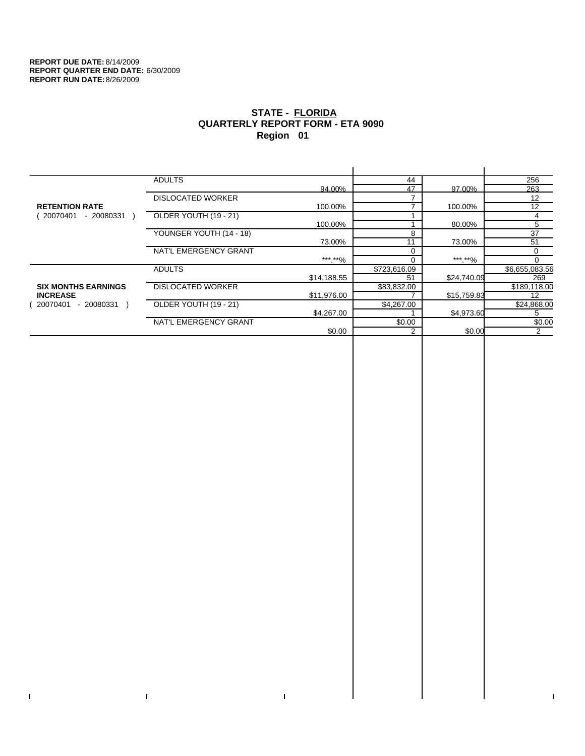$\bar{\mathbf{I}}$ 

 $\Gamma$ 

# **STATE - FLORIDA QUARTERLY REPORT FORM - ETA 9090 Region 01**

|                            | <b>ADULTS</b>            |             | 44           |             | 256            |
|----------------------------|--------------------------|-------------|--------------|-------------|----------------|
|                            |                          | 94.00%      | 47           | 97.00%      | 263            |
|                            | <b>DISLOCATED WORKER</b> |             |              |             | 12             |
| <b>RETENTION RATE</b>      |                          | 100.00%     |              | 100.00%     | 12             |
| 20070401<br>- 20080331     | OLDER YOUTH (19 - 21)    |             |              |             | 4              |
|                            |                          | 100.00%     |              | 80.00%      | 5              |
|                            | YOUNGER YOUTH (14 - 18)  |             | 8            |             | 37             |
|                            |                          | 73.00%      | 11           | 73.00%      | 51             |
|                            | NAT'L EMERGENCY GRANT    |             |              |             | $\Omega$       |
|                            |                          | ***.**%     | $\Omega$     | ***.**%     | $\Omega$       |
|                            | <b>ADULTS</b>            |             | \$723,616.09 |             | \$6,655,083.56 |
|                            |                          | \$14,188.55 | 51           | \$24,740.09 | 269            |
| <b>SIX MONTHS EARNINGS</b> | <b>DISLOCATED WORKER</b> |             | \$83,832.00  |             | \$189,118.00   |
| <b>INCREASE</b>            |                          | \$11,976.00 |              | \$15,759.83 | 12             |
| 20070401<br>$-20080331$    | OLDER YOUTH (19 - 21)    |             | \$4,267.00   |             | \$24,868.00    |
|                            |                          | \$4,267.00  |              | \$4,973.60  | 5              |
|                            | NAT'L EMERGENCY GRANT    |             | \$0.00       |             | \$0.00         |
|                            |                          | \$0.00      | 2            | \$0.00      | 2              |
|                            |                          |             |              |             |                |

 $\bar{\Gamma}$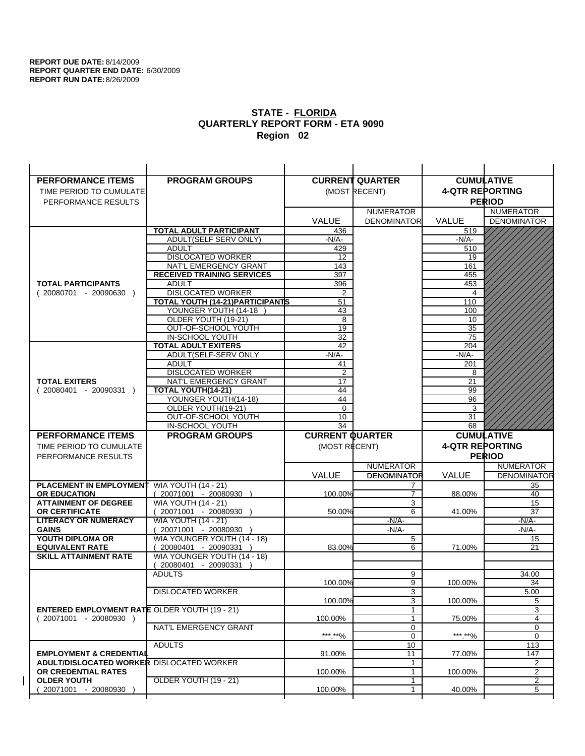| <b>PERFORMANCE ITEMS</b>                             | <b>PROGRAM GROUPS</b>                                |                        | <b>CURRENT QUARTER</b> |                        | <b>CUMULATIVE</b>  |
|------------------------------------------------------|------------------------------------------------------|------------------------|------------------------|------------------------|--------------------|
| TIME PERIOD TO CUMULATE                              |                                                      |                        | (MOST RECENT)          | <b>4-QTR REPORTING</b> |                    |
| PERFORMANCE RESULTS                                  |                                                      |                        |                        |                        | <b>PERIOD</b>      |
|                                                      |                                                      |                        | <b>NUMERATOR</b>       |                        | <b>NUMERATOR</b>   |
|                                                      |                                                      | <b>VALUE</b>           | <b>DENOMINATOR</b>     | <b>VALUE</b>           | <b>DENOMINATOR</b> |
|                                                      | <b>TOTAL ADULT PARTICIPANT</b>                       | 436                    |                        | 519                    |                    |
|                                                      | ADULT(SELF SERV ONLY)                                | $-N/A-$                |                        | -N/A-                  |                    |
|                                                      | <b>ADULT</b>                                         | 429                    |                        | 510                    |                    |
|                                                      | <b>DISLOCATED WORKER</b>                             | $12 \overline{ }$      |                        | 19                     |                    |
|                                                      | NAT'L EMERGENCY GRANT                                | 143                    |                        | 161                    |                    |
|                                                      | <b>RECEIVED TRAINING SERVICES</b>                    | 397                    |                        | 455                    |                    |
| <b>TOTAL PARTICIPANTS</b>                            | <b>ADULT</b>                                         | 396                    |                        | 453                    |                    |
| $(20080701 - 20090630)$                              | <b>DISLOCATED WORKER</b>                             | 2                      |                        | 4                      |                    |
|                                                      | <b>TOTAL YOUTH (14-21) PARTICIPANTS</b>              | 51                     |                        | 110                    |                    |
|                                                      | YOUNGER YOUTH (14-18                                 | 43                     |                        | 100                    |                    |
|                                                      | OLDER YOUTH (19-21)<br>OUT-OF-SCHOOL YOUTH           | 8<br>$\overline{19}$   |                        | 10<br>$\overline{35}$  |                    |
|                                                      | IN-SCHOOL YOUTH                                      | 32                     |                        | 75                     |                    |
|                                                      | <b>TOTAL ADULT EXITERS</b>                           | 42                     |                        | 204                    |                    |
|                                                      | ADULT(SELF-SERV ONLY                                 | $-N/A$ -               |                        | $-N/A-$                |                    |
|                                                      | <b>ADULT</b>                                         | 41                     |                        | 201                    |                    |
|                                                      | <b>DISLOCATED WORKER</b>                             | $\overline{2}$         |                        | 8                      |                    |
| <b>TOTAL EXITERS</b>                                 | NAT'L EMERGENCY GRANT                                | 17                     |                        | 21                     |                    |
| $(20080401 - 20090331)$                              | TOTAL YOUTH(14-21)                                   | 44                     |                        | 99                     |                    |
|                                                      | YOUNGER YOUTH(14-18)                                 | 44                     |                        | 96                     |                    |
|                                                      | OLDER YOUTH(19-21)                                   | $\mathbf 0$            |                        | 3                      |                    |
|                                                      | OUT-OF-SCHOOL YOUTH                                  | 10                     |                        | 31                     |                    |
|                                                      | IN-SCHOOL YOUTH                                      | 34                     |                        | 68                     |                    |
|                                                      |                                                      |                        |                        |                        |                    |
| <b>PERFORMANCE ITEMS</b>                             | <b>PROGRAM GROUPS</b>                                | <b>CURRENT QUARTER</b> |                        |                        | <b>CUMULATIVE</b>  |
| TIME PERIOD TO CUMULATE                              |                                                      | (MOST RECENT)          |                        | <b>4-QTR REPORTING</b> |                    |
| PERFORMANCE RESULTS                                  |                                                      |                        |                        |                        | <b>PERIOD</b>      |
|                                                      |                                                      |                        | <b>NUMERATOR</b>       |                        | <b>NUMERATOR</b>   |
|                                                      |                                                      | <b>VALUE</b>           | <b>DENOMINATOR</b>     | VALUE                  | <b>DENOMINATOR</b> |
| PLACEMENT IN EMPLOYMENT                              | <b>WIA YOUTH (14 - 21)</b>                           |                        | 7                      |                        | 35                 |
| <b>OR EDUCATION</b>                                  | $(20071001 - 20080930)$                              | 100.00%                | $\overline{7}$         | 88.00%                 | 40                 |
| <b>ATTAINMENT OF DEGREE</b>                          | <b>WIA YOUTH (14 - 21)</b>                           |                        | 3                      |                        | 15                 |
| <b>OR CERTIFICATE</b>                                | 20071001 - 20080930 )                                | 50.00%                 | 6                      | 41.00%                 | 37                 |
| <b>LITERACY OR NUMERACY</b>                          | <b>WIA YOUTH (14 - 21)</b>                           |                        | $-N/A-$                |                        | $-N/A$ -           |
| <b>GAINS</b>                                         | 20071001 - 20080930                                  |                        | $-N/A-$                |                        | -N/A-              |
| YOUTH DIPLOMA OR<br><b>EQUIVALENT RATE</b>           | WIA YOUNGER YOUTH (14 - 18)<br>20080401 - 20090331 ) | 83.00%                 | 5<br>6                 | 71.00%                 | 15<br>21           |
| <b>SKILL ATTAINMENT RATE</b>                         | WIA YOUNGER YOUTH (14 - 18)                          |                        |                        |                        |                    |
|                                                      | (20080401 - 20090331                                 |                        |                        |                        |                    |
|                                                      | <b>ADULTS</b>                                        |                        | 9                      |                        | 34.00              |
|                                                      |                                                      | 100.00%                | 9                      | 100.00%                | 34                 |
|                                                      | <b>DISLOCATED WORKER</b>                             |                        | $\overline{3}$         |                        | 5.00               |
|                                                      |                                                      | 100.00%                | 3                      | 100.00%                | 5                  |
| <b>ENTERED EMPLOYMENT RATE OLDER YOUTH (19 - 21)</b> |                                                      |                        | $\mathbf{1}$           |                        | 3                  |
| $(20071001 - 20080930)$                              |                                                      | 100.00%                | 1                      | 75.00%                 | 4                  |
|                                                      | NAT'L EMERGENCY GRANT                                |                        | 0                      |                        | 0                  |
|                                                      |                                                      | ***.**%                | 0                      | ***.**%                | $\mathbf 0$        |
| <b>EMPLOYMENT &amp; CREDENTIAL</b>                   | <b>ADULTS</b>                                        | 91.00%                 | 10<br>11               | 77.00%                 | 113<br>147         |
| <b>ADULT/DISLOCATED WORKER DISLOCATED WORKER</b>     |                                                      |                        | 1                      |                        | 2                  |
| OR CREDENTIAL RATES                                  |                                                      | 100.00%                | $\mathbf{1}$           | 100.00%                | 2                  |
| <b>OLDER YOUTH</b>                                   | <b>OLDER YOUTH (19 - 21)</b>                         |                        | 1                      |                        | 2                  |
| 20071001 - 20080930                                  |                                                      | 100.00%                | 1                      | 40.00%                 | 5                  |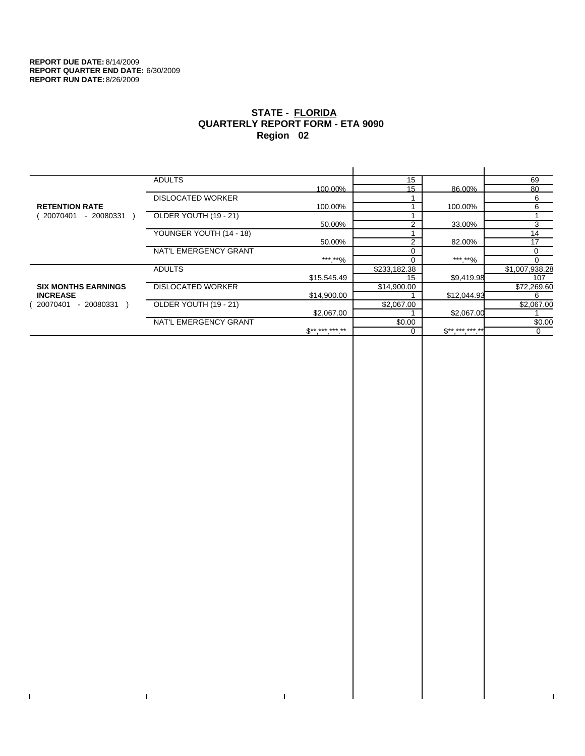$\bar{\mathbf{I}}$ 

 $\mathbf{I}$ 

# **STATE - FLORIDA QUARTERLY REPORT FORM - ETA 9090 Region 02**

|                            | <b>ADULTS</b>            |              | 15           |                     | 69             |
|----------------------------|--------------------------|--------------|--------------|---------------------|----------------|
|                            |                          | 100.00%      | 15           | 86.00%              | 80             |
|                            | <b>DISLOCATED WORKER</b> |              |              |                     | 6              |
| <b>RETENTION RATE</b>      |                          | 100.00%      |              | 100.00%             | 6              |
| 20070401<br>- 20080331     | OLDER YOUTH (19 - 21)    |              |              |                     |                |
|                            |                          | 50.00%       |              | 33.00%              | 3              |
|                            | YOUNGER YOUTH (14 - 18)  |              |              |                     | 14             |
|                            |                          | 50.00%       | 2            | 82.00%              | 17             |
|                            | NAT'L EMERGENCY GRANT    |              |              |                     | 0              |
|                            |                          | ***.**%      |              | ***.**%             | $\Omega$       |
|                            | <b>ADULTS</b>            |              | \$233,182.38 |                     | \$1,007,938.28 |
|                            |                          | \$15,545.49  | 15           | \$9,419.98          | 107            |
| <b>SIX MONTHS EARNINGS</b> | <b>DISLOCATED WORKER</b> |              | \$14,900.00  |                     | \$72,269.60    |
| <b>INCREASE</b>            |                          | \$14,900.00  |              | \$12,044.93         | 6              |
| - 20080331<br>20070401     | OLDER YOUTH (19 - 21)    |              | \$2,067.00   |                     | \$2,067.00     |
|                            |                          | \$2,067.00   |              | \$2,067.00          |                |
|                            | NAT'L EMERGENCY GRANT    |              | \$0.00       |                     | \$0.00         |
|                            |                          | $S*********$ |              | $S^{**}$ *** *** ** | 0              |
|                            |                          |              |              |                     |                |

 $\mathbf{I}$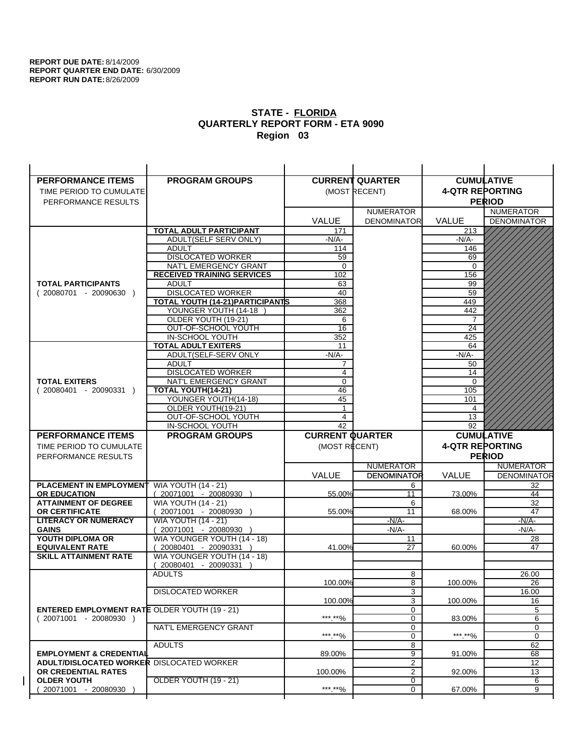| <b>PERFORMANCE ITEMS</b>                             | <b>PROGRAM GROUPS</b>                                |                        | <b>CURRENT QUARTER</b> | <b>CUMULATIVE</b>      |                    |
|------------------------------------------------------|------------------------------------------------------|------------------------|------------------------|------------------------|--------------------|
| TIME PERIOD TO CUMULATE                              |                                                      |                        | (MOST RECENT)          | <b>4-QTR REPORTING</b> |                    |
| PERFORMANCE RESULTS                                  |                                                      |                        |                        |                        | <b>PERIOD</b>      |
|                                                      |                                                      |                        | <b>NUMERATOR</b>       |                        | <b>NUMERATOR</b>   |
|                                                      |                                                      | <b>VALUE</b>           | <b>DENOMINATOR</b>     | <b>VALUE</b>           | <b>DENOMINATOR</b> |
|                                                      | <b>TOTAL ADULT PARTICIPANT</b>                       | 171                    |                        | 213                    |                    |
|                                                      | ADULT(SELF SERV ONLY)                                | $-N/A-$                |                        | -N/A-                  |                    |
|                                                      | <b>ADULT</b>                                         | 114                    |                        | 146                    |                    |
|                                                      | <b>DISLOCATED WORKER</b>                             | 59                     |                        | 69                     |                    |
|                                                      | NAT'L EMERGENCY GRANT                                | $\Omega$               |                        | $\Omega$               |                    |
|                                                      | <b>RECEIVED TRAINING SERVICES</b>                    | 102                    |                        | 156                    |                    |
| <b>TOTAL PARTICIPANTS</b>                            | <b>ADULT</b>                                         | 63                     |                        | 99                     |                    |
| $(20080701 - 20090630)$                              | <b>DISLOCATED WORKER</b>                             | 40                     |                        | 59                     |                    |
|                                                      | <b>TOTAL YOUTH (14-21) PARTICIPANTS</b>              | 368                    |                        | 449                    |                    |
|                                                      | YOUNGER YOUTH (14-18                                 | 362                    |                        | 442                    |                    |
|                                                      | OLDER YOUTH (19-21)<br>OUT-OF-SCHOOL YOUTH           | 6<br>$\overline{16}$   |                        | 7<br>$\overline{24}$   |                    |
|                                                      | IN-SCHOOL YOUTH                                      | 352                    |                        | 425                    |                    |
|                                                      | <b>TOTAL ADULT EXITERS</b>                           | 11                     |                        | 64                     |                    |
|                                                      | ADULT(SELF-SERV ONLY                                 | $-N/A$ -               |                        | $-N/A$ -               |                    |
|                                                      | <b>ADULT</b>                                         | 7                      |                        | 50                     |                    |
|                                                      | <b>DISLOCATED WORKER</b>                             | $\overline{4}$         |                        | 14                     |                    |
| <b>TOTAL EXITERS</b>                                 | NAT'L EMERGENCY GRANT                                | $\mathbf 0$            |                        | $\mathbf 0$            |                    |
| $(20080401 - 20090331)$                              | TOTAL YOUTH(14-21)                                   | 46                     |                        | 105                    |                    |
|                                                      | YOUNGER YOUTH(14-18)                                 | 45                     |                        | 101                    |                    |
|                                                      | OLDER YOUTH(19-21)                                   | $\mathbf{1}$           |                        | 4                      |                    |
|                                                      | OUT-OF-SCHOOL YOUTH                                  | 4                      |                        | 13                     |                    |
|                                                      | IN-SCHOOL YOUTH                                      | 42                     |                        | $\overline{92}$        |                    |
|                                                      |                                                      |                        |                        |                        |                    |
| <b>PERFORMANCE ITEMS</b>                             | <b>PROGRAM GROUPS</b>                                | <b>CURRENT QUARTER</b> |                        |                        | <b>CUMULATIVE</b>  |
| TIME PERIOD TO CUMULATE                              |                                                      | (MOST RECENT)          |                        | <b>4-QTR REPORTING</b> |                    |
| PERFORMANCE RESULTS                                  |                                                      |                        |                        |                        | <b>PERIOD</b>      |
|                                                      |                                                      |                        | <b>NUMERATOR</b>       |                        | <b>NUMERATOR</b>   |
|                                                      |                                                      | <b>VALUE</b>           | <b>DENOMINATOR</b>     | VALUE                  | <b>DENOMINATOR</b> |
| <b>PLACEMENT IN EMPLOYMENT</b>                       | <b>WIA YOUTH (14 - 21)</b>                           |                        | 6                      |                        | 32                 |
| <b>OR EDUCATION</b>                                  | $(20071001 - 20080930)$                              | 55.00%                 | 11                     | 73.00%                 | 44                 |
| <b>ATTAINMENT OF DEGREE</b>                          | <b>WIA YOUTH (14 - 21)</b>                           |                        | 6                      |                        | 32                 |
| <b>OR CERTIFICATE</b>                                | 20071001 - 20080930 )                                | 55.00%                 | 11                     | 68.00%                 | 47                 |
| <b>LITERACY OR NUMERACY</b>                          | <b>WIA YOUTH (14 - 21)</b>                           |                        | $-N/A-$                |                        | $-N/A$ -           |
| <b>GAINS</b>                                         | 20071001 - 20080930                                  |                        | $-N/A-$                |                        | -N/A-              |
| YOUTH DIPLOMA OR<br><b>EQUIVALENT RATE</b>           | WIA YOUNGER YOUTH (14 - 18)<br>20080401 - 20090331 ) | 41.00%                 | 11<br>27               | 60.00%                 | 28<br>47           |
| <b>SKILL ATTAINMENT RATE</b>                         | WIA YOUNGER YOUTH (14 - 18)                          |                        |                        |                        |                    |
|                                                      | (20080401 - 20090331                                 |                        |                        |                        |                    |
|                                                      | <b>ADULTS</b>                                        |                        | 8                      |                        | 26.00              |
|                                                      |                                                      | 100.00%                | 8                      | 100.00%                | 26                 |
|                                                      | <b>DISLOCATED WORKER</b>                             |                        | $\overline{3}$         |                        | 16.00              |
|                                                      |                                                      | 100.00%                | 3                      | 100.00%                | 16                 |
| <b>ENTERED EMPLOYMENT RATE OLDER YOUTH (19 - 21)</b> |                                                      |                        | 0                      |                        | 5                  |
| $(20071001 - 20080930)$                              |                                                      | ***.**%                | 0                      | 83.00%                 | 6                  |
|                                                      | NAT'L EMERGENCY GRANT                                |                        | 0                      |                        | 0                  |
|                                                      |                                                      | ***.**%                | 0                      | ***.**%                | $\mathbf 0$        |
| <b>EMPLOYMENT &amp; CREDENTIAL</b>                   | <b>ADULTS</b>                                        | 89.00%                 | 8<br>9                 | 91.00%                 | 62<br>68           |
| <b>ADULT/DISLOCATED WORKER DISLOCATED WORKER</b>     |                                                      |                        | $\overline{2}$         |                        | 12                 |
| OR CREDENTIAL RATES                                  |                                                      | 100.00%                | $\overline{2}$         | 92.00%                 | 13                 |
| <b>OLDER YOUTH</b>                                   | OLDER YOUTH (19 - 21)                                |                        | 0                      |                        | 6                  |
| 20071001 - 20080930                                  |                                                      | ***.**%                | $\mathbf 0$            | 67.00%                 | 9                  |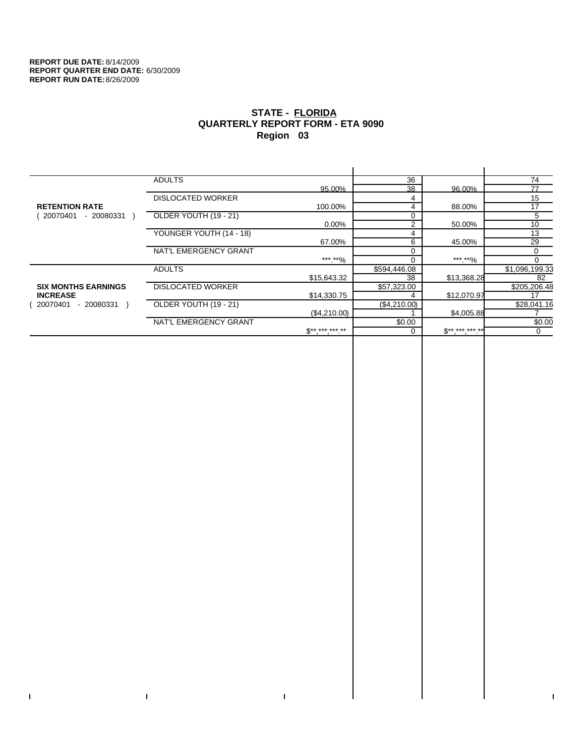$\mathbf I$ 

 $\bar{\Gamma}$ 

# **STATE - FLORIDA QUARTERLY REPORT FORM - ETA 9090 Region 03**

|                            | <b>ADULTS</b>            |                     | 36           |             | 74             |
|----------------------------|--------------------------|---------------------|--------------|-------------|----------------|
|                            |                          | 95.00%              | 38           | 96.00%      | 77             |
|                            | <b>DISLOCATED WORKER</b> |                     | 4            |             | 15             |
| <b>RETENTION RATE</b>      |                          | 100.00%             | 4            | 88.00%      | 17             |
| 20070401<br>- 20080331     | OLDER YOUTH (19 - 21)    |                     | 0            |             | 5              |
|                            |                          | 0.00%               | 2            | 50.00%      | 10             |
|                            | YOUNGER YOUTH (14 - 18)  |                     | 4            |             | 13             |
|                            |                          | 67.00%              | 6            | 45.00%      | 29             |
|                            | NAT'L EMERGENCY GRANT    |                     | 0            |             | 0              |
|                            |                          | ***.**%             | U            | *** **%     | 0              |
|                            | <b>ADULTS</b>            |                     | \$594,446.08 |             | \$1,096,199.33 |
|                            |                          | \$15,643.32         | 38           | \$13,368.28 | 82             |
| <b>SIX MONTHS EARNINGS</b> | <b>DISLOCATED WORKER</b> |                     | \$57,323.00  |             | \$205,206.48   |
| <b>INCREASE</b>            |                          | \$14,330.75         | 4            | \$12,070.97 |                |
| - 20080331<br>20070401     | OLDER YOUTH (19 - 21)    |                     | (\$4,210.00) |             | \$28,041.16    |
|                            |                          | (\$4,210.00)        |              | \$4,005.88  |                |
|                            | NAT'L EMERGENCY GRANT    |                     | \$0.00       |             | \$0.00         |
|                            |                          | $S^{**}$ *** *** ** |              | $S********$ | 0              |
|                            |                          |                     |              |             |                |

 $\mathbf{I}$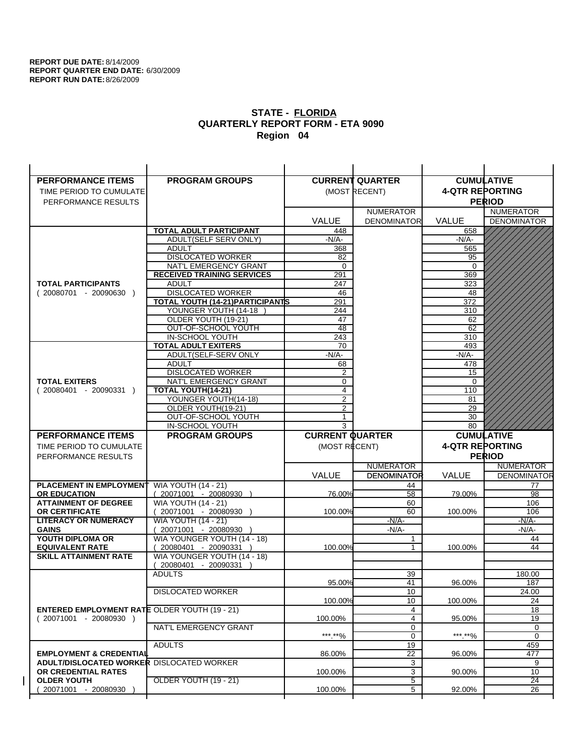| <b>PERFORMANCE ITEMS</b>                             | <b>PROGRAM GROUPS</b>                               |                        | <b>CURRENT QUARTER</b> | <b>CUMULATIVE</b>      |                       |
|------------------------------------------------------|-----------------------------------------------------|------------------------|------------------------|------------------------|-----------------------|
| TIME PERIOD TO CUMULATE                              |                                                     |                        | (MOST RECENT)          | <b>4-QTR REPORTING</b> |                       |
| PERFORMANCE RESULTS                                  |                                                     |                        |                        |                        | <b>PERIOD</b>         |
|                                                      |                                                     |                        | <b>NUMERATOR</b>       |                        | <b>NUMERATOR</b>      |
|                                                      |                                                     | <b>VALUE</b>           | <b>DENOMINATOR</b>     | <b>VALUE</b>           | <b>DENOMINATOR</b>    |
|                                                      | <b>TOTAL ADULT PARTICIPANT</b>                      | 448                    |                        | 658                    |                       |
|                                                      | ADULT(SELF SERV ONLY)                               | $-N/A-$                |                        | -N/A-                  |                       |
|                                                      | <b>ADULT</b>                                        | 368                    |                        | 565                    |                       |
|                                                      | <b>DISLOCATED WORKER</b>                            | 82                     |                        | 95                     |                       |
|                                                      | NAT'L EMERGENCY GRANT                               | $\Omega$               |                        | $\Omega$               |                       |
|                                                      | <b>RECEIVED TRAINING SERVICES</b>                   | 291                    |                        | 369                    |                       |
| <b>TOTAL PARTICIPANTS</b>                            | <b>ADULT</b>                                        | 247                    |                        | 323                    |                       |
| $(20080701 - 20090630)$                              | <b>DISLOCATED WORKER</b>                            | 46                     |                        | 48                     |                       |
|                                                      | <b>TOTAL YOUTH (14-21) PARTICIPANTS</b>             | 291                    |                        | 372                    |                       |
|                                                      | YOUNGER YOUTH (14-18                                | 244                    |                        | 310                    |                       |
|                                                      | OLDER YOUTH (19-21)                                 | 47                     |                        | 62                     |                       |
|                                                      | OUT-OF-SCHOOL YOUTH                                 | $\overline{48}$        |                        | 62                     |                       |
|                                                      | IN-SCHOOL YOUTH                                     | 243                    |                        | 310                    |                       |
|                                                      | <b>TOTAL ADULT EXITERS</b>                          | 70                     |                        | 493                    |                       |
|                                                      | ADULT(SELF-SERV ONLY                                | $-N/A$ -               |                        | $-N/A$ -               |                       |
|                                                      | <b>ADULT</b>                                        | 68                     |                        | 478                    |                       |
| <b>TOTAL EXITERS</b>                                 | <b>DISLOCATED WORKER</b><br>NAT'L EMERGENCY GRANT   | 2<br>0                 |                        | 15<br>0                |                       |
| $(20080401 - 20090331)$                              | TOTAL YOUTH(14-21)                                  | $\overline{4}$         |                        | 110                    |                       |
|                                                      | YOUNGER YOUTH(14-18)                                | 2                      |                        | 81                     |                       |
|                                                      | OLDER YOUTH(19-21)                                  | 2                      |                        | 29                     |                       |
|                                                      | OUT-OF-SCHOOL YOUTH                                 | 1                      |                        | 30                     |                       |
|                                                      | IN-SCHOOL YOUTH                                     | 3                      |                        | 80                     |                       |
|                                                      |                                                     |                        |                        |                        |                       |
| <b>PERFORMANCE ITEMS</b>                             |                                                     |                        |                        |                        |                       |
|                                                      | <b>PROGRAM GROUPS</b>                               | <b>CURRENT QUARTER</b> |                        |                        | <b>CUMULATIVE</b>     |
| TIME PERIOD TO CUMULATE                              |                                                     | (MOST RECENT)          |                        | <b>4-QTR REPORTING</b> |                       |
| PERFORMANCE RESULTS                                  |                                                     |                        |                        |                        | <b>PERIOD</b>         |
|                                                      |                                                     |                        | <b>NUMERATOR</b>       |                        | <b>NUMERATOR</b>      |
|                                                      |                                                     | <b>VALUE</b>           | <b>DENOMINATOR</b>     | VALUE                  | <b>DENOMINATOR</b>    |
| <b>PLACEMENT IN EMPLOYMENT</b>                       | <b>WIA YOUTH (14 - 21)</b>                          |                        | 44                     |                        | 77<br>98              |
| <b>OR EDUCATION</b>                                  | $(20071001 - 20080930)$                             | 76.00%                 | 58                     | 79.00%                 |                       |
| <b>ATTAINMENT OF DEGREE</b><br><b>OR CERTIFICATE</b> | <b>WIA YOUTH (14 - 21)</b>                          | 100.00%                | 60<br>60               | 100.00%                | 106<br>106            |
| <b>LITERACY OR NUMERACY</b>                          | 20071001 - 20080930 )<br><b>WIA YOUTH (14 - 21)</b> |                        | $-N/A-$                |                        | $-N/A$ -              |
| <b>GAINS</b>                                         | 20071001 - 20080930                                 |                        | $-N/A-$                |                        | -N/A-                 |
| YOUTH DIPLOMA OR                                     | WIA YOUNGER YOUTH (14 - 18)                         |                        | 1                      |                        | 44                    |
| <b>EQUIVALENT RATE</b>                               | 20080401 - 20090331 )                               | 100.00%                |                        | 100.00%                | 44                    |
| <b>SKILL ATTAINMENT RATE</b>                         | WIA YOUNGER YOUTH (14 - 18)                         |                        |                        |                        |                       |
|                                                      | (20080401 - 20090331                                |                        |                        |                        |                       |
|                                                      | <b>ADULTS</b>                                       |                        | 39                     |                        | 180.00                |
|                                                      |                                                     | 95.00%                 | 41                     | 96.00%                 | 187                   |
|                                                      | <b>DISLOCATED WORKER</b>                            |                        | 10                     |                        | 24.00                 |
|                                                      |                                                     | 100.00%                | 10                     | 100.00%                | 24                    |
| <b>ENTERED EMPLOYMENT RATE OLDER YOUTH (19 - 21)</b> |                                                     |                        | 4                      |                        | 18                    |
| $(20071001 - 20080930)$                              |                                                     | 100.00%                | 4                      | 95.00%                 | 19                    |
|                                                      | NAT'L EMERGENCY GRANT                               |                        | 0                      |                        | 0                     |
|                                                      |                                                     | ***.**%                | 0                      | ***.**%                | $\mathbf 0$           |
|                                                      | <b>ADULTS</b>                                       |                        | 19                     |                        | 459                   |
| <b>EMPLOYMENT &amp; CREDENTIAL</b>                   |                                                     | 86.00%                 | 22                     | 96.00%                 | 477                   |
| <b>ADULT/DISLOCATED WORKER DISLOCATED WORKER</b>     |                                                     |                        | 3                      |                        | 9                     |
| OR CREDENTIAL RATES                                  |                                                     | 100.00%                | 3                      | 90.00%                 | 10                    |
| <b>OLDER YOUTH</b><br>20071001 - 20080930            | <b>OLDER YOUTH (19 - 21)</b>                        | 100.00%                | 5<br>5                 | 92.00%                 | $\overline{24}$<br>26 |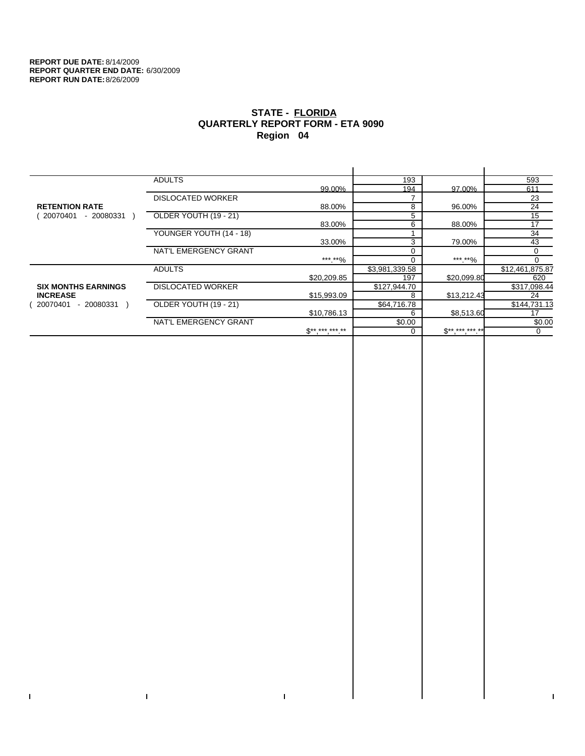$\bar{\mathbf{I}}$ 

 $\Gamma$ 

# **STATE - FLORIDA QUARTERLY REPORT FORM - ETA 9090 Region 04**

|                            | <b>ADULTS</b>            |              | 193            |              | 593             |
|----------------------------|--------------------------|--------------|----------------|--------------|-----------------|
|                            |                          | 99.00%       | 194            | 97.00%       | 611             |
|                            | <b>DISLOCATED WORKER</b> |              |                |              | 23              |
| <b>RETENTION RATE</b>      |                          | 88.00%       | 8              | 96.00%       | 24              |
| - 20080331<br>20070401     | OLDER YOUTH (19 - 21)    |              | 5              |              | 15              |
|                            |                          | 83.00%       | 6              | 88.00%       | 17              |
|                            | YOUNGER YOUTH (14 - 18)  |              |                |              | 34              |
|                            |                          | 33.00%       | 3              | 79.00%       | 43              |
|                            | NAT'L EMERGENCY GRANT    |              |                |              | 0               |
|                            |                          | ***.**%      |                | ***.**%      | $\Omega$        |
|                            | <b>ADULTS</b>            |              | \$3,981,339.58 |              | \$12,461,875.87 |
|                            |                          | \$20,209.85  | 197            | \$20,099.80  | 620             |
| <b>SIX MONTHS EARNINGS</b> | <b>DISLOCATED WORKER</b> |              | \$127,944.70   |              | \$317,098.44    |
| <b>INCREASE</b>            |                          | \$15,993.09  | 8              | \$13,212.43  | 24              |
| $-20080331$<br>20070401    | OLDER YOUTH (19 - 21)    |              | \$64,716.78    |              | \$144,731.13    |
|                            |                          | \$10,786.13  | 6              | \$8,513.60   | 17              |
|                            | NAT'L EMERGENCY GRANT    |              | \$0.00         |              | \$0.00          |
|                            |                          | $S*********$ |                | $$********"$ | 0               |
|                            |                          |              |                |              |                 |

 $\bar{\Gamma}$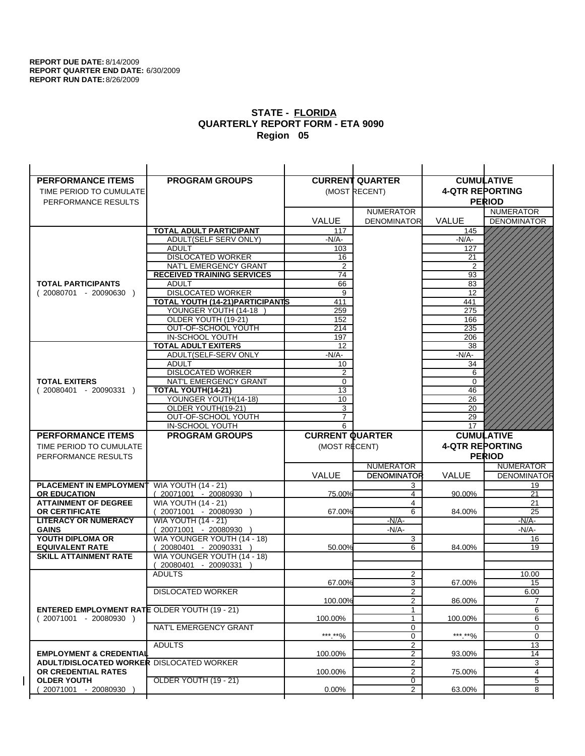| <b>PERFORMANCE ITEMS</b>                                                               | <b>PROGRAM GROUPS</b>                                |                        | <b>CURRENT QUARTER</b>           | <b>CUMULATIVE</b>      |                    |
|----------------------------------------------------------------------------------------|------------------------------------------------------|------------------------|----------------------------------|------------------------|--------------------|
| TIME PERIOD TO CUMULATE                                                                |                                                      |                        | (MOST RECENT)                    | <b>4-QTR REPORTING</b> |                    |
| PERFORMANCE RESULTS                                                                    |                                                      |                        |                                  |                        | <b>PERIOD</b>      |
|                                                                                        |                                                      |                        | <b>NUMERATOR</b>                 |                        | <b>NUMERATOR</b>   |
|                                                                                        |                                                      | <b>VALUE</b>           | <b>DENOMINATOR</b>               | <b>VALUE</b>           | <b>DENOMINATOR</b> |
|                                                                                        | <b>TOTAL ADULT PARTICIPANT</b>                       | 117                    |                                  | 145                    |                    |
|                                                                                        | ADULT(SELF SERV ONLY)                                | $-N/A-$                |                                  | -N/A-                  |                    |
|                                                                                        | <b>ADULT</b>                                         | 103                    |                                  | 127                    |                    |
|                                                                                        | <b>DISLOCATED WORKER</b>                             | 16                     |                                  | 21                     |                    |
|                                                                                        | NAT'L EMERGENCY GRANT                                | $\overline{2}$         |                                  | $\overline{2}$         |                    |
|                                                                                        | <b>RECEIVED TRAINING SERVICES</b>                    | 74                     |                                  | 93                     |                    |
| <b>TOTAL PARTICIPANTS</b>                                                              | <b>ADULT</b>                                         | 66                     |                                  | 83                     |                    |
| $(20080701 - 20090630)$                                                                | <b>DISLOCATED WORKER</b>                             | 9                      |                                  | 12                     |                    |
|                                                                                        | <b>TOTAL YOUTH (14-21) PARTICIPANTS</b>              | 411                    |                                  | 441                    |                    |
|                                                                                        | YOUNGER YOUTH (14-18                                 | 259                    |                                  | 275                    |                    |
|                                                                                        | OLDER YOUTH (19-21)<br>OUT-OF-SCHOOL YOUTH           | 152<br>214             |                                  | 166<br>235             |                    |
|                                                                                        | IN-SCHOOL YOUTH                                      | 197                    |                                  | 206                    |                    |
|                                                                                        | <b>TOTAL ADULT EXITERS</b>                           | 12                     |                                  | 38                     |                    |
|                                                                                        | ADULT(SELF-SERV ONLY                                 | $-N/A$ -               |                                  | $-N/A$ -               |                    |
|                                                                                        | <b>ADULT</b>                                         | 10                     |                                  | 34                     |                    |
|                                                                                        | <b>DISLOCATED WORKER</b>                             | 2                      |                                  | 6                      |                    |
| <b>TOTAL EXITERS</b>                                                                   | NAT'L EMERGENCY GRANT                                | $\mathbf 0$            |                                  | $\mathbf 0$            |                    |
| $(20080401 - 20090331)$                                                                | TOTAL YOUTH(14-21)                                   | 13                     |                                  | 46                     |                    |
|                                                                                        | YOUNGER YOUTH(14-18)                                 | 10                     |                                  | 26                     |                    |
|                                                                                        | OLDER YOUTH(19-21)                                   | 3                      |                                  | 20                     |                    |
|                                                                                        | OUT-OF-SCHOOL YOUTH                                  | $\overline{7}$         |                                  | 29                     |                    |
|                                                                                        | IN-SCHOOL YOUTH                                      | 6                      |                                  | 17                     |                    |
|                                                                                        |                                                      |                        |                                  |                        |                    |
| <b>PERFORMANCE ITEMS</b>                                                               | <b>PROGRAM GROUPS</b>                                | <b>CURRENT QUARTER</b> |                                  |                        | <b>CUMULATIVE</b>  |
| TIME PERIOD TO CUMULATE                                                                |                                                      | (MOST RECENT)          |                                  | <b>4-QTR REPORTING</b> |                    |
| PERFORMANCE RESULTS                                                                    |                                                      |                        |                                  |                        | <b>PERIOD</b>      |
|                                                                                        |                                                      |                        | <b>NUMERATOR</b>                 |                        | <b>NUMERATOR</b>   |
|                                                                                        |                                                      | <b>VALUE</b>           | <b>DENOMINATOR</b>               | VALUE                  | <b>DENOMINATOR</b> |
| PLACEMENT IN EMPLOYMENT                                                                | <b>WIA YOUTH (14 - 21)</b>                           |                        | 3                                |                        | 19                 |
| <b>OR EDUCATION</b>                                                                    | $(20071001 - 20080930)$                              | 75.00%                 | 4                                | 90.00%                 | 21                 |
| <b>ATTAINMENT OF DEGREE</b>                                                            | <b>WIA YOUTH (14 - 21)</b>                           |                        | 4                                |                        | 21                 |
| <b>OR CERTIFICATE</b>                                                                  | 20071001 - 20080930 )                                | 67.00%                 | 6                                | 84.00%                 | 25                 |
| <b>LITERACY OR NUMERACY</b>                                                            | <b>WIA YOUTH (14 - 21)</b>                           |                        | $-N/A-$                          |                        | $-N/A$ -           |
| <b>GAINS</b>                                                                           | 20071001 - 20080930                                  |                        | $-N/A-$                          |                        | -N/A-              |
| YOUTH DIPLOMA OR<br><b>EQUIVALENT RATE</b>                                             | WIA YOUNGER YOUTH (14 - 18)<br>20080401 - 20090331 ) | 50.00%                 | 3<br>6                           | 84.00%                 | 16<br>19           |
| <b>SKILL ATTAINMENT RATE</b>                                                           | WIA YOUNGER YOUTH (14 - 18)                          |                        |                                  |                        |                    |
|                                                                                        | (20080401 - 20090331                                 |                        |                                  |                        |                    |
|                                                                                        | <b>ADULTS</b>                                        |                        | 2                                |                        | 10.00              |
|                                                                                        |                                                      | 67.00%                 | 3                                | 67.00%                 | 15                 |
|                                                                                        | <b>DISLOCATED WORKER</b>                             |                        | $\overline{2}$                   |                        | 6.00               |
|                                                                                        |                                                      | 100.00%                | 2                                | 86.00%                 | 7                  |
| <b>ENTERED EMPLOYMENT RATE OLDER YOUTH (19 - 21)</b>                                   |                                                      |                        | 1                                |                        | 6                  |
| $(20071001 - 20080930)$                                                                |                                                      | 100.00%                | 1                                | 100.00%                | 6                  |
|                                                                                        | NAT'L EMERGENCY GRANT                                |                        | 0                                |                        | 0                  |
|                                                                                        |                                                      | ***.**%                | 0                                | ***.**%                | $\mathbf 0$        |
|                                                                                        | <b>ADULTS</b>                                        |                        | $\overline{2}$                   | 93.00%                 | 13                 |
| <b>EMPLOYMENT &amp; CREDENTIAL</b><br><b>ADULT/DISLOCATED WORKER DISLOCATED WORKER</b> |                                                      | 100.00%                | $\overline{2}$<br>$\overline{2}$ |                        | 14<br>3            |
| OR CREDENTIAL RATES                                                                    |                                                      | 100.00%                | $\overline{2}$                   | 75.00%                 | 4                  |
| <b>OLDER YOUTH</b>                                                                     | <b>OLDER YOUTH (19 - 21)</b>                         |                        | 0                                |                        | 5                  |
| 20071001 - 20080930                                                                    |                                                      | 0.00%                  | $\overline{2}$                   | 63.00%                 | 8                  |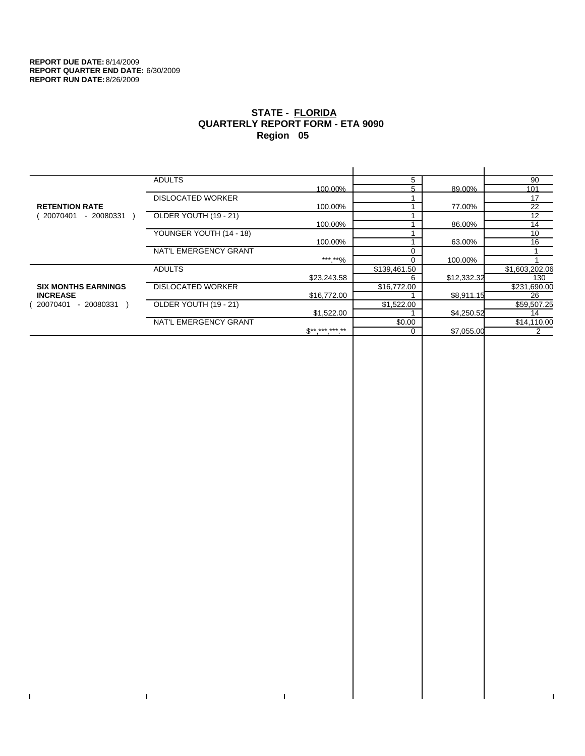$\bar{\mathbf{I}}$ 

 $\Gamma$ 

# **STATE - FLORIDA QUARTERLY REPORT FORM - ETA 9090 Region 05**

|                            | <b>ADULTS</b>            |              | 5            |             | 90             |
|----------------------------|--------------------------|--------------|--------------|-------------|----------------|
|                            |                          | 100.00%      |              | 89.00%      | 101            |
|                            | <b>DISLOCATED WORKER</b> |              |              |             | 17             |
| <b>RETENTION RATE</b>      |                          | 100.00%      |              | 77.00%      | 22             |
| 20070401<br>- 20080331     | OLDER YOUTH (19 - 21)    |              |              |             | 12             |
|                            |                          | 100.00%      |              | 86.00%      | 14             |
|                            | YOUNGER YOUTH (14 - 18)  |              |              |             | 10             |
|                            |                          | 100.00%      |              | 63.00%      | 16             |
|                            | NAT'L EMERGENCY GRANT    |              |              |             |                |
|                            |                          | ***.**%      |              | 100.00%     |                |
|                            | <b>ADULTS</b>            |              | \$139,461.50 |             | \$1,603,202.06 |
|                            |                          | \$23,243.58  | 6            | \$12,332.32 | 130            |
| <b>SIX MONTHS EARNINGS</b> | <b>DISLOCATED WORKER</b> |              | \$16,772.00  |             | \$231,690.00   |
| <b>INCREASE</b>            |                          | \$16,772.00  |              | \$8,911.15  | 26             |
| $-20080331$<br>20070401    | OLDER YOUTH (19 - 21)    |              | \$1,522.00   |             | \$59,507.25    |
|                            |                          | \$1,522.00   |              | \$4,250.52  | 14             |
|                            | NAT'L EMERGENCY GRANT    |              | \$0.00       |             | \$14,110.00    |
|                            |                          | $S*********$ |              | \$7.055.00  |                |
|                            |                          |              |              |             |                |

 $\bar{\Gamma}$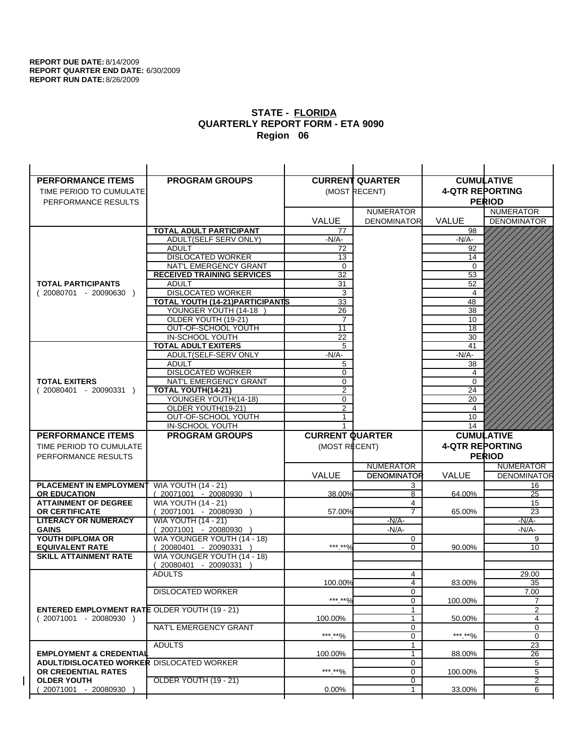$\overline{1}$ 

| <b>PERFORMANCE ITEMS</b>                             | <b>PROGRAM GROUPS</b>                                 |                        | <b>CURRENT QUARTER</b>                 |                        | <b>CUMULATIVE</b>                      |
|------------------------------------------------------|-------------------------------------------------------|------------------------|----------------------------------------|------------------------|----------------------------------------|
| TIME PERIOD TO CUMULATE                              |                                                       |                        | (MOST RECENT)                          | <b>4-QTR REPORTING</b> |                                        |
| PERFORMANCE RESULTS                                  |                                                       |                        |                                        |                        | <b>PERIOD</b>                          |
|                                                      |                                                       |                        | <b>NUMERATOR</b>                       |                        | <b>NUMERATOR</b>                       |
|                                                      |                                                       | <b>VALUE</b>           | <b>DENOMINATOR</b>                     | <b>VALUE</b>           | <b>DENOMINATOR</b>                     |
|                                                      | TOTAL ADULT PARTICIPANT                               | 77                     |                                        | 98                     |                                        |
|                                                      | ADULT(SELF SERV ONLY)                                 | $-N/A-$                |                                        | $-N/A-$                |                                        |
|                                                      | <b>ADULT</b>                                          | 72                     |                                        | 92                     |                                        |
|                                                      | <b>DISLOCATED WORKER</b>                              | 13                     |                                        | 14                     |                                        |
|                                                      | NAT'L EMERGENCY GRANT                                 | $\mathbf 0$            |                                        | $\mathbf 0$            |                                        |
|                                                      | <b>RECEIVED TRAINING SERVICES</b>                     | 32                     |                                        | 53                     |                                        |
| <b>TOTAL PARTICIPANTS</b>                            | <b>ADULT</b>                                          | 31                     |                                        | 52                     |                                        |
| $(20080701 - 20090630)$                              | <b>DISLOCATED WORKER</b>                              | 3                      |                                        | 4                      |                                        |
|                                                      | <b>TOTAL YOUTH (14-21) PARTICIPANTS</b>               | 33                     |                                        | 48                     |                                        |
|                                                      | YOUNGER YOUTH (14-18                                  | 26                     |                                        | 38                     |                                        |
|                                                      | OLDER YOUTH (19-21)                                   | $\overline{7}$         |                                        | 10                     |                                        |
|                                                      | OUT-OF-SCHOOL YOUTH                                   | 11                     |                                        | $\overline{18}$        |                                        |
|                                                      | IN-SCHOOL YOUTH                                       | 22                     |                                        | 30                     |                                        |
|                                                      | <b>TOTAL ADULT EXITERS</b>                            | 5                      |                                        | 41                     |                                        |
|                                                      | ADULT(SELF-SERV ONLY                                  | $-N/A$ -               |                                        | $-N/A-$                |                                        |
|                                                      | <b>ADULT</b><br><b>DISLOCATED WORKER</b>              | 5<br>0                 |                                        | 38<br>4                |                                        |
| <b>TOTAL EXITERS</b>                                 | NAT'L EMERGENCY GRANT                                 | 0                      |                                        | $\mathbf 0$            |                                        |
| $(20080401 - 20090331)$                              | <b>TOTAL YOUTH(14-21)</b>                             | 2                      |                                        | 24                     |                                        |
|                                                      | YOUNGER YOUTH(14-18)                                  | 0                      |                                        | 20                     |                                        |
|                                                      | OLDER YOUTH(19-21)                                    | 2                      |                                        | 4                      |                                        |
|                                                      | OUT-OF-SCHOOL YOUTH                                   | 1                      |                                        | 10                     |                                        |
|                                                      | IN-SCHOOL YOUTH                                       |                        |                                        | 14                     |                                        |
|                                                      |                                                       |                        |                                        |                        |                                        |
| <b>PERFORMANCE ITEMS</b>                             | <b>PROGRAM GROUPS</b>                                 | <b>CURRENT QUARTER</b> |                                        |                        | <b>CUMULATIVE</b>                      |
| TIME PERIOD TO CUMULATE                              |                                                       |                        |                                        |                        |                                        |
|                                                      |                                                       | (MOST RECENT)          |                                        | <b>4-QTR REPORTING</b> |                                        |
| PERFORMANCE RESULTS                                  |                                                       |                        |                                        |                        | <b>PERIOD</b>                          |
|                                                      |                                                       |                        | <b>NUMERATOR</b><br><b>DENOMINATOR</b> | <b>VALUE</b>           | <b>NUMERATOR</b><br><b>DENOMINATOR</b> |
|                                                      |                                                       | <b>VALUE</b>           |                                        |                        |                                        |
| PLACEMENT IN EMPLOYMENT                              | <b>WIA YOUTH (14 - 21)</b><br>$(20071001 - 20080930)$ | 38.00%                 | 3<br>8                                 | 64.00%                 | 16<br>25                               |
| <b>OR EDUCATION</b><br><b>ATTAINMENT OF DEGREE</b>   |                                                       |                        | 4                                      |                        | 15                                     |
| <b>OR CERTIFICATE</b>                                | <b>WIA YOUTH (14 - 21)</b><br>(20071001 - 20080930    | 57.00%                 | $\overline{7}$                         | 65.00%                 | 23                                     |
| <b>LITERACY OR NUMERACY</b>                          | <b>WIA YOUTH (14 - 21)</b>                            |                        | $-N/A$ -                               |                        | -N/A-                                  |
| <b>GAINS</b>                                         | 20071001 - 20080930                                   |                        | $-N/A-$                                |                        | $-N/A-$                                |
| YOUTH DIPLOMA OR                                     | WIA YOUNGER YOUTH (14 - 18)                           |                        | 0                                      |                        | 9                                      |
| <b>EQUIVALENT RATE</b>                               | 20080401 - 20090331 )                                 | *** **%                | $\Omega$                               | 90.00%                 | 10                                     |
| <b>SKILL ATTAINMENT RATE</b>                         | WIA YOUNGER YOUTH (14 - 18)                           |                        |                                        |                        |                                        |
|                                                      | (20080401 - 20090331                                  |                        |                                        |                        |                                        |
|                                                      | <b>ADULTS</b>                                         |                        | 4                                      |                        | 29.00                                  |
|                                                      |                                                       | 100.00%                | 4                                      | 83.00%                 | 35                                     |
|                                                      | <b>DISLOCATED WORKER</b>                              |                        | 0                                      |                        | 7.00                                   |
|                                                      |                                                       | ***.**%                | $\Omega$                               | 100.00%                | $\overline{7}$                         |
| <b>ENTERED EMPLOYMENT RATE OLDER YOUTH (19 - 21)</b> |                                                       |                        | 1                                      |                        | 2                                      |
| $(20071001 - 20080930)$                              |                                                       | 100.00%                | 1                                      | 50.00%                 | 4                                      |
|                                                      | NAT'L EMERGENCY GRANT                                 |                        | 0                                      |                        | 0                                      |
|                                                      |                                                       | ***.**%                | 0<br>$\mathbf{1}$                      | *** **%                | 0                                      |
| <b>EMPLOYMENT &amp; CREDENTIAL</b>                   | <b>ADULTS</b>                                         | 100.00%                | $\mathbf{1}$                           | 88.00%                 | 23<br>26                               |
| <b>ADULT/DISLOCATED WORKER DISLOCATED WORKER</b>     |                                                       |                        | 0                                      |                        | 5                                      |
| OR CREDENTIAL RATES                                  |                                                       | ***.**%                | 0                                      | 100.00%                | 5                                      |
| <b>OLDER YOUTH</b>                                   | <b>OLDER YOUTH (19 - 21)</b>                          |                        | 0                                      |                        | 2                                      |
| 20071001 - 20080930                                  |                                                       | $0.00\%$               | 1                                      | 33.00%                 | 6                                      |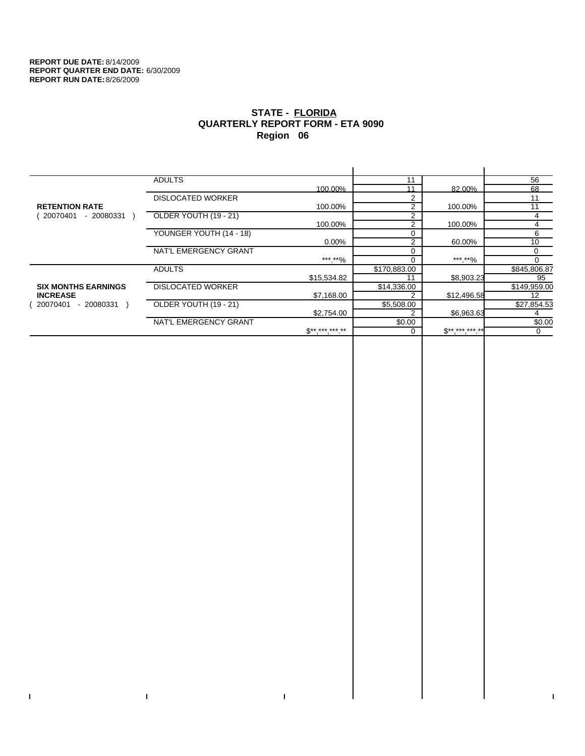$\bar{\mathbf{I}}$ 

 $\Gamma$ 

# **STATE - FLORIDA QUARTERLY REPORT FORM - ETA 9090 Region 06**

|                            | <b>ADULTS</b>            |                 | 11           |                   | 56           |
|----------------------------|--------------------------|-----------------|--------------|-------------------|--------------|
|                            |                          | 100.00%         | 11           | 82.00%            | 68           |
|                            | <b>DISLOCATED WORKER</b> |                 | 2            |                   | 11           |
| <b>RETENTION RATE</b>      |                          | 100.00%         | 2            | 100.00%           | 11           |
| 20070401<br>- 20080331     | OLDER YOUTH (19 - 21)    |                 | 2            |                   | 4            |
|                            |                          | 100.00%         | 2            | 100.00%           | 4            |
|                            | YOUNGER YOUTH (14 - 18)  |                 | $\Omega$     |                   | 6            |
|                            |                          | $0.00\%$        | 2            | 60.00%            | 10           |
|                            | NAT'L EMERGENCY GRANT    |                 |              |                   | $\Omega$     |
|                            |                          | ***.**%         |              | *** **%           | <sup>0</sup> |
|                            | <b>ADULTS</b>            |                 | \$170,883.00 |                   | \$845,806.87 |
|                            |                          | \$15,534.82     |              | \$8,903.23        | 95           |
| <b>SIX MONTHS EARNINGS</b> | <b>DISLOCATED WORKER</b> |                 | \$14,336.00  |                   | \$149,959.00 |
| <b>INCREASE</b>            |                          | \$7,168.00      |              | \$12,496.58       | 12           |
| - 20080331<br>20070401     | OLDER YOUTH (19 - 21)    |                 | \$5,508.00   |                   | \$27,854.53  |
|                            |                          | \$2,754.00      |              | \$6,963.63        |              |
|                            | NAT'L EMERGENCY GRANT    |                 | \$0.00       |                   | \$0.00       |
|                            |                          | $S^{*********}$ |              | $$***$ ***.***.** | $\Omega$     |
|                            |                          |                 |              |                   |              |

 $\bar{\Gamma}$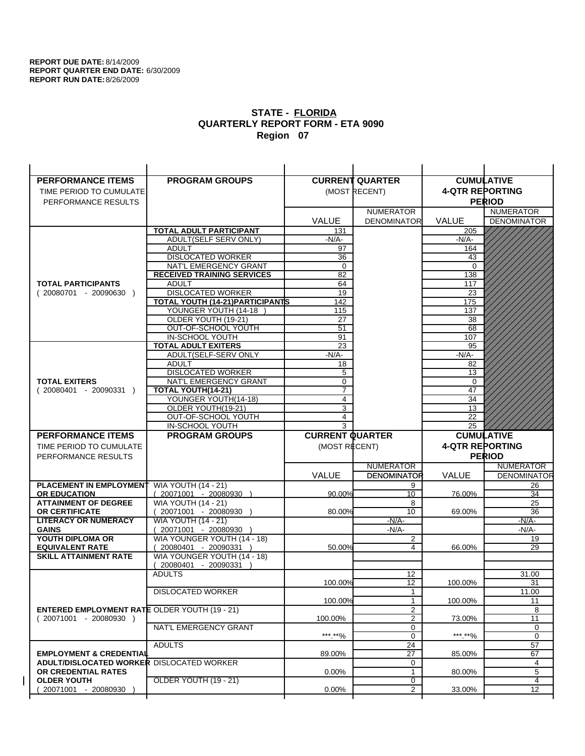| <b>PERFORMANCE ITEMS</b>                                                        | <b>PROGRAM GROUPS</b>                                           |                        | <b>CURRENT QUARTER</b>  | <b>CUMULATIVE</b>      |                    |
|---------------------------------------------------------------------------------|-----------------------------------------------------------------|------------------------|-------------------------|------------------------|--------------------|
| TIME PERIOD TO CUMULATE                                                         |                                                                 |                        | (MOST RECENT)           | <b>4-QTR REPORTING</b> |                    |
| PERFORMANCE RESULTS                                                             |                                                                 |                        |                         |                        | <b>PERIOD</b>      |
|                                                                                 |                                                                 |                        | <b>NUMERATOR</b>        |                        | <b>NUMERATOR</b>   |
|                                                                                 |                                                                 | <b>VALUE</b>           | <b>DENOMINATOR</b>      | <b>VALUE</b>           | <b>DENOMINATOR</b> |
|                                                                                 | <b>TOTAL ADULT PARTICIPANT</b>                                  | 131                    |                         | 205                    |                    |
|                                                                                 | ADULT(SELF SERV ONLY)                                           | -N/A-                  |                         | -N/A-                  |                    |
|                                                                                 | <b>ADULT</b>                                                    | 97                     |                         | 164                    |                    |
|                                                                                 | <b>DISLOCATED WORKER</b>                                        | 36                     |                         | 43                     |                    |
|                                                                                 | NAT'L EMERGENCY GRANT                                           | $\mathbf 0$            |                         | $\Omega$               |                    |
|                                                                                 | <b>RECEIVED TRAINING SERVICES</b>                               | 82                     |                         | 138                    |                    |
| <b>TOTAL PARTICIPANTS</b>                                                       | <b>ADULT</b>                                                    | 64                     |                         | 117                    |                    |
| $(20080701 - 20090630)$                                                         | <b>DISLOCATED WORKER</b>                                        | 19                     |                         | 23                     |                    |
|                                                                                 | <b>TOTAL YOUTH (14-21) PARTICIPANTS</b><br>YOUNGER YOUTH (14-18 | 142                    |                         | 175                    |                    |
|                                                                                 | OLDER YOUTH (19-21)                                             | 115<br>27              |                         | 137<br>38              |                    |
|                                                                                 | OUT-OF-SCHOOL YOUTH                                             | $\overline{51}$        |                         | 68                     |                    |
|                                                                                 | IN-SCHOOL YOUTH                                                 | 91                     |                         | 107                    |                    |
|                                                                                 | <b>TOTAL ADULT EXITERS</b>                                      | 23                     |                         | 95                     |                    |
|                                                                                 | ADULT(SELF-SERV ONLY                                            | $-N/A$ -               |                         | $-N/A$ -               |                    |
|                                                                                 | <b>ADULT</b>                                                    | 18                     |                         | 82                     |                    |
|                                                                                 | <b>DISLOCATED WORKER</b>                                        | 5                      |                         | 13                     |                    |
| <b>TOTAL EXITERS</b>                                                            | NAT'L EMERGENCY GRANT                                           | 0                      |                         | 0                      |                    |
| $(20080401 - 20090331)$                                                         | TOTAL YOUTH(14-21)                                              | 7                      |                         | 47                     |                    |
|                                                                                 | YOUNGER YOUTH(14-18)                                            | 4                      |                         | 34                     |                    |
|                                                                                 | OLDER YOUTH(19-21)                                              | 3                      |                         | 13                     |                    |
|                                                                                 | OUT-OF-SCHOOL YOUTH<br>IN-SCHOOL YOUTH                          | 4<br>3                 |                         | 22<br>25               |                    |
|                                                                                 |                                                                 |                        |                         |                        |                    |
|                                                                                 |                                                                 |                        |                         |                        |                    |
| <b>PERFORMANCE ITEMS</b>                                                        | <b>PROGRAM GROUPS</b>                                           | <b>CURRENT QUARTER</b> |                         |                        | <b>CUMULATIVE</b>  |
| TIME PERIOD TO CUMULATE                                                         |                                                                 | (MOST RECENT)          |                         | <b>4-QTR REPORTING</b> |                    |
| PERFORMANCE RESULTS                                                             |                                                                 |                        |                         |                        | <b>PERIOD</b>      |
|                                                                                 |                                                                 |                        | <b>NUMERATOR</b>        |                        | <b>NUMERATOR</b>   |
|                                                                                 |                                                                 | <b>VALUE</b>           | <b>DENOMINATOR</b>      | VALUE                  | <b>DENOMINATOR</b> |
| PLACEMENT IN EMPLOYMENT                                                         | <b>WIA YOUTH (14 - 21)</b>                                      |                        | 9                       |                        | 26                 |
| <b>OR EDUCATION</b>                                                             | $(20071001 - 20080930)$                                         | 90.00%                 | 10 <sup>1</sup>         | 76.00%                 | 34                 |
| <b>ATTAINMENT OF DEGREE</b>                                                     | <b>WIA YOUTH (14 - 21)</b>                                      |                        | 8<br>10                 |                        | 25                 |
| <b>OR CERTIFICATE</b><br><b>LITERACY OR NUMERACY</b>                            | 20071001 - 20080930 )<br><b>WIA YOUTH (14 - 21)</b>             | 80.00%                 | $-N/A-$                 | 69.00%                 | 36<br>$-N/A$ -     |
| <b>GAINS</b>                                                                    | 20071001 - 20080930                                             |                        | $-N/A-$                 |                        | -N/A-              |
| YOUTH DIPLOMA OR                                                                | WIA YOUNGER YOUTH (14 - 18)                                     |                        | $\overline{\mathbf{c}}$ |                        | 19                 |
| <b>EQUIVALENT RATE</b>                                                          | 20080401 - 20090331 )                                           | 50.00%                 | 4                       | 66.00%                 | 29                 |
| <b>SKILL ATTAINMENT RATE</b>                                                    | WIA YOUNGER YOUTH (14 - 18)                                     |                        |                         |                        |                    |
|                                                                                 | (20080401 - 20090331                                            |                        |                         |                        |                    |
|                                                                                 | <b>ADULTS</b>                                                   |                        | 12                      |                        | 31.00              |
|                                                                                 |                                                                 | 100.00%                | 12                      | 100.00%                | 31                 |
|                                                                                 | <b>DISLOCATED WORKER</b>                                        |                        | $\mathbf{1}$            |                        | 11.00              |
|                                                                                 |                                                                 | 100.00%                | $\mathbf{1}$            | 100.00%                | 11                 |
| <b>ENTERED EMPLOYMENT RATE OLDER YOUTH (19 - 21)</b><br>$(20071001 - 20080930)$ |                                                                 | 100.00%                | $\overline{2}$<br>2     | 73.00%                 | 8<br>11            |
|                                                                                 | NAT'L EMERGENCY GRANT                                           |                        | 0                       |                        | 0                  |
|                                                                                 |                                                                 | ***.**%                | 0                       | ***.**%                | $\mathbf 0$        |
|                                                                                 | <b>ADULTS</b>                                                   |                        | 24                      |                        | 57                 |
| <b>EMPLOYMENT &amp; CREDENTIAL</b>                                              |                                                                 | 89.00%                 | 27                      | 85.00%                 | 67                 |
| <b>ADULT/DISLOCATED WORKER DISLOCATED WORKER</b>                                |                                                                 |                        | 0                       |                        | 4                  |
| OR CREDENTIAL RATES                                                             |                                                                 | $0.00\%$               | $\mathbf{1}$            | 80.00%                 | 5                  |
| <b>OLDER YOUTH</b><br>20071001 - 20080930                                       | <b>OLDER YOUTH (19 - 21)</b>                                    | 0.00%                  | 0<br>$\overline{2}$     | 33.00%                 | 4<br>12            |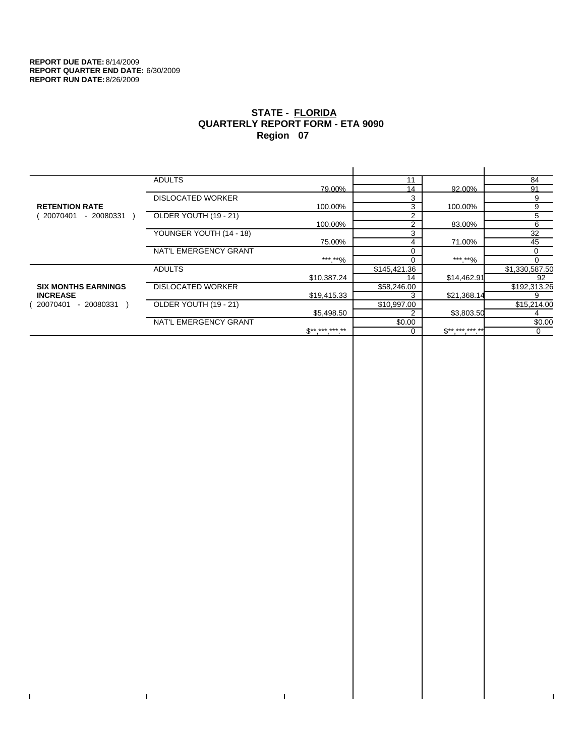$\bar{\mathbf{I}}$ 

 $\mathbf{I}$ 

# **STATE - FLORIDA QUARTERLY REPORT FORM - ETA 9090 Region 07**

|                            | <b>ADULTS</b>            |              | 11             |              | 84             |
|----------------------------|--------------------------|--------------|----------------|--------------|----------------|
|                            |                          | 79.00%       | 14             | 92.00%       | 91             |
|                            | <b>DISLOCATED WORKER</b> |              | 3              |              | 9              |
| <b>RETENTION RATE</b>      |                          | 100.00%      | 3              | 100.00%      | 9              |
| 20070401<br>- 20080331     | OLDER YOUTH (19 - 21)    |              | 2              |              | 5              |
|                            |                          | 100.00%      | $\overline{2}$ | 83.00%       | 6              |
|                            | YOUNGER YOUTH (14 - 18)  |              | 3              |              | 32             |
|                            |                          | 75.00%       | 4              | 71.00%       | 45             |
|                            | NAT'L EMERGENCY GRANT    |              |                |              | 0              |
|                            |                          | ***.**%      |                | *** **%      | $\Omega$       |
|                            | <b>ADULTS</b>            |              | \$145,421.36   |              | \$1,330,587.50 |
|                            |                          | \$10,387.24  | 14             | \$14,462.91  | 92             |
| <b>SIX MONTHS EARNINGS</b> | <b>DISLOCATED WORKER</b> |              | \$58,246.00    |              | \$192,313.26   |
| <b>INCREASE</b>            |                          | \$19,415.33  |                | \$21,368.14  | 9              |
| 20070401<br>- 20080331     | OLDER YOUTH (19 - 21)    |              | \$10,997.00    |              | \$15,214.00    |
|                            |                          | \$5,498.50   |                | \$3,803.50   |                |
|                            | NAT'L EMERGENCY GRANT    |              | \$0.00         |              | \$0.00         |
|                            |                          | $$*********$ |                | $S*********$ | $\Omega$       |
|                            |                          |              |                |              |                |

 $\bar{\Gamma}$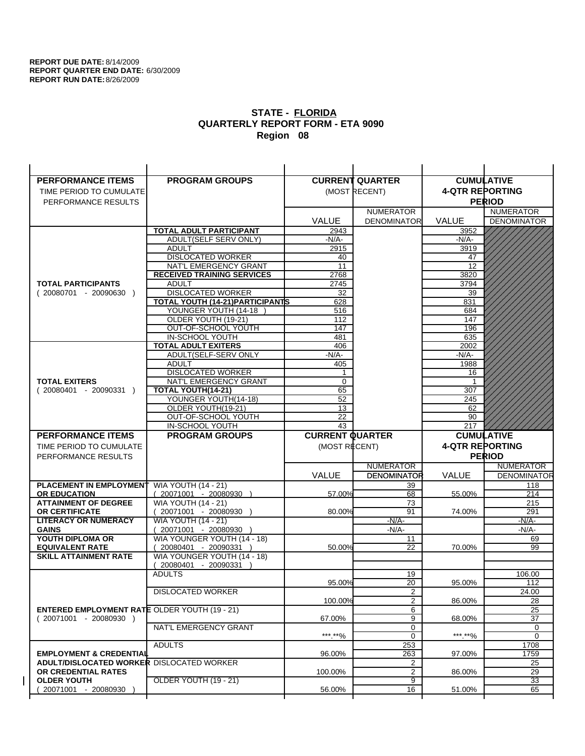| <b>PERFORMANCE ITEMS</b>                                                               | <b>PROGRAM GROUPS</b>                                |                        | <b>CURRENT QUARTER</b> | <b>CUMULATIVE</b>      |                    |
|----------------------------------------------------------------------------------------|------------------------------------------------------|------------------------|------------------------|------------------------|--------------------|
| TIME PERIOD TO CUMULATE                                                                |                                                      |                        | (MOST RECENT)          | <b>4-QTR REPORTING</b> |                    |
| PERFORMANCE RESULTS                                                                    |                                                      |                        |                        |                        | <b>PERIOD</b>      |
|                                                                                        |                                                      |                        | <b>NUMERATOR</b>       |                        | <b>NUMERATOR</b>   |
|                                                                                        |                                                      | <b>VALUE</b>           | <b>DENOMINATOR</b>     | <b>VALUE</b>           | <b>DENOMINATOR</b> |
|                                                                                        | <b>TOTAL ADULT PARTICIPANT</b>                       | 2943                   |                        | 3952                   |                    |
|                                                                                        | ADULT(SELF SERV ONLY)                                | $-N/A-$                |                        | -N/A-                  |                    |
|                                                                                        | <b>ADULT</b>                                         | 2915                   |                        | 3919                   |                    |
|                                                                                        | <b>DISLOCATED WORKER</b>                             | 40                     |                        | 47                     |                    |
|                                                                                        | NAT'L EMERGENCY GRANT                                | 11                     |                        | 12                     |                    |
|                                                                                        | <b>RECEIVED TRAINING SERVICES</b>                    | 2768                   |                        | 3820                   |                    |
| <b>TOTAL PARTICIPANTS</b>                                                              | <b>ADULT</b>                                         | 2745                   |                        | 3794                   |                    |
| $(20080701 - 20090630)$                                                                | <b>DISLOCATED WORKER</b>                             | 32                     |                        | 39                     |                    |
|                                                                                        | <b>TOTAL YOUTH (14-21) PARTICIPANTS</b>              | 628                    |                        | 831                    |                    |
|                                                                                        | YOUNGER YOUTH (14-18                                 | 516                    |                        | 684                    |                    |
|                                                                                        | OLDER YOUTH (19-21)<br>OUT-OF-SCHOOL YOUTH           | 112<br>147             |                        | 147<br>196             |                    |
|                                                                                        | IN-SCHOOL YOUTH                                      | 481                    |                        | 635                    |                    |
|                                                                                        | <b>TOTAL ADULT EXITERS</b>                           | 406                    |                        | 2002                   |                    |
|                                                                                        | ADULT(SELF-SERV ONLY                                 | -N/A-                  |                        | $-N/A-$                |                    |
|                                                                                        | <b>ADULT</b>                                         | 405                    |                        | 1988                   |                    |
|                                                                                        | <b>DISLOCATED WORKER</b>                             | 1                      |                        | 16                     |                    |
| <b>TOTAL EXITERS</b>                                                                   | NAT'L EMERGENCY GRANT                                | $\mathbf 0$            |                        | -1                     |                    |
| $(20080401 - 20090331)$                                                                | TOTAL YOUTH(14-21)                                   | 65                     |                        | 307                    |                    |
|                                                                                        | YOUNGER YOUTH(14-18)                                 | 52                     |                        | 245                    |                    |
|                                                                                        | OLDER YOUTH(19-21)                                   | 13                     |                        | 62                     |                    |
|                                                                                        | OUT-OF-SCHOOL YOUTH                                  | 22                     |                        | 90                     |                    |
|                                                                                        | IN-SCHOOL YOUTH                                      | $\overline{43}$        |                        | 217                    |                    |
|                                                                                        |                                                      |                        |                        |                        |                    |
| <b>PERFORMANCE ITEMS</b>                                                               | <b>PROGRAM GROUPS</b>                                | <b>CURRENT QUARTER</b> |                        |                        | <b>CUMULATIVE</b>  |
| TIME PERIOD TO CUMULATE                                                                |                                                      | (MOST RECENT)          |                        | <b>4-QTR REPORTING</b> |                    |
| PERFORMANCE RESULTS                                                                    |                                                      |                        |                        |                        | <b>PERIOD</b>      |
|                                                                                        |                                                      |                        | <b>NUMERATOR</b>       |                        | <b>NUMERATOR</b>   |
|                                                                                        |                                                      | <b>VALUE</b>           | <b>DENOMINATOR</b>     | VALUE                  | <b>DENOMINATOR</b> |
| <b>PLACEMENT IN EMPLOYMENT</b>                                                         | <b>WIA YOUTH (14 - 21)</b>                           |                        | 39                     |                        | 118                |
| <b>OR EDUCATION</b>                                                                    | $(20071001 - 20080930)$                              | 57.00%                 | 68                     | 55.00%                 | 214                |
| <b>ATTAINMENT OF DEGREE</b>                                                            | <b>WIA YOUTH (14 - 21)</b>                           |                        | 73                     |                        | 215                |
| <b>OR CERTIFICATE</b>                                                                  | 20071001 - 20080930 )                                | 80.00%                 | 91                     | 74.00%                 | 291                |
| <b>LITERACY OR NUMERACY</b>                                                            | <b>WIA YOUTH (14 - 21)</b>                           |                        | $-N/A-$                |                        | $-N/A$ -           |
| <b>GAINS</b>                                                                           | 20071001 - 20080930                                  |                        | $-N/A-$                |                        | -N/A-              |
| YOUTH DIPLOMA OR<br><b>EQUIVALENT RATE</b>                                             | WIA YOUNGER YOUTH (14 - 18)<br>20080401 - 20090331 ) | 50.00%                 | 11<br>22               | 70.00%                 | 69<br>99           |
| <b>SKILL ATTAINMENT RATE</b>                                                           | WIA YOUNGER YOUTH (14 - 18)                          |                        |                        |                        |                    |
|                                                                                        | (20080401 - 20090331                                 |                        |                        |                        |                    |
|                                                                                        | <b>ADULTS</b>                                        |                        | 19                     |                        | 106.00             |
|                                                                                        |                                                      | 95.00%                 | 20                     | 95.00%                 | 112                |
|                                                                                        | <b>DISLOCATED WORKER</b>                             |                        | $\overline{2}$         |                        | 24.00              |
|                                                                                        |                                                      | 100.00%                | 2                      | 86.00%                 | 28                 |
| <b>ENTERED EMPLOYMENT RATE OLDER YOUTH (19 - 21)</b>                                   |                                                      |                        | 6                      |                        | 25                 |
| $(20071001 - 20080930)$                                                                |                                                      | 67.00%                 | 9                      | 68.00%                 | 37                 |
|                                                                                        | NAT'L EMERGENCY GRANT                                |                        | 0                      |                        | 0                  |
|                                                                                        |                                                      | ***.**%                | 0                      | ***.**%                | $\mathbf 0$        |
|                                                                                        | <b>ADULTS</b>                                        |                        | 253                    |                        | 1708               |
| <b>EMPLOYMENT &amp; CREDENTIAL</b><br><b>ADULT/DISLOCATED WORKER DISLOCATED WORKER</b> |                                                      | 96.00%                 | 263<br>2               | 97.00%                 | 1759<br>25         |
| OR CREDENTIAL RATES                                                                    |                                                      | 100.00%                | $\overline{2}$         | 86.00%                 | 29                 |
| <b>OLDER YOUTH</b>                                                                     | <b>OLDER YOUTH (19 - 21)</b>                         |                        | 9                      |                        | 33                 |
| 20071001 - 20080930                                                                    |                                                      | 56.00%                 | 16                     | 51.00%                 | 65                 |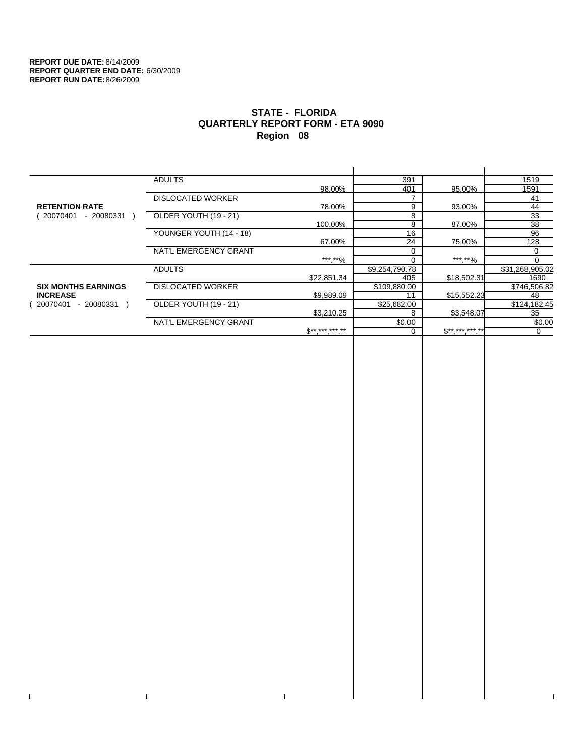$\bar{\Gamma}$ 

 $\mathbf{I}$ 

# **STATE - FLORIDA QUARTERLY REPORT FORM - ETA 9090 Region 08**

|                            | <b>ADULTS</b>            |              | 391            |              | 1519            |
|----------------------------|--------------------------|--------------|----------------|--------------|-----------------|
|                            |                          | 98.00%       | 401            | 95.00%       | 1591            |
|                            | <b>DISLOCATED WORKER</b> |              |                |              | 41              |
| <b>RETENTION RATE</b>      |                          | 78.00%       | 9              | 93.00%       | 44              |
| - 20080331<br>20070401     | OLDER YOUTH (19 - 21)    |              | 8              |              | 33              |
|                            |                          | 100.00%      | 8              | 87.00%       | 38              |
|                            | YOUNGER YOUTH (14 - 18)  |              | 16             |              | 96              |
|                            |                          | 67.00%       | 24             | 75.00%       | 128             |
|                            | NAT'L EMERGENCY GRANT    |              |                |              | 0               |
|                            |                          | ***.**%      |                | ***.**%      |                 |
|                            | <b>ADULTS</b>            |              | \$9,254,790.78 |              | \$31,268,905.02 |
|                            |                          | \$22,851.34  | 405            | \$18,502.31  | 1690            |
| <b>SIX MONTHS EARNINGS</b> | <b>DISLOCATED WORKER</b> |              | \$109,880.00   |              | \$746,506.82    |
| <b>INCREASE</b>            |                          | \$9,989.09   | 11             | \$15,552.23  | 48              |
| 20070401<br>- 20080331     | OLDER YOUTH (19 - 21)    |              | \$25,682.00    |              | \$124,182.45    |
|                            |                          | \$3,210.25   | 8              | \$3,548.07   | 35              |
|                            | NAT'L EMERGENCY GRANT    |              | \$0.00         |              | \$0.00          |
|                            |                          | $$*********$ |                | $S*********$ | 0               |
|                            |                          |              |                |              |                 |

 $\bar{\Gamma}$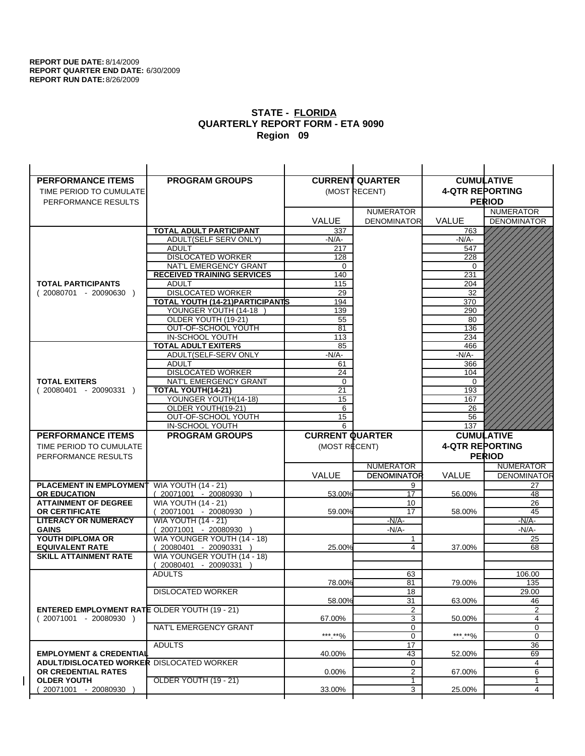| <b>PERFORMANCE ITEMS</b>                                                | <b>PROGRAM GROUPS</b>                                |                        | <b>CURRENT QUARTER</b> |                        | <b>CUMULATIVE</b>  |
|-------------------------------------------------------------------------|------------------------------------------------------|------------------------|------------------------|------------------------|--------------------|
| TIME PERIOD TO CUMULATE                                                 |                                                      |                        | (MOST RECENT)          | <b>4-QTR REPORTING</b> |                    |
| PERFORMANCE RESULTS                                                     |                                                      |                        |                        |                        | <b>PERIOD</b>      |
|                                                                         |                                                      |                        | <b>NUMERATOR</b>       |                        | <b>NUMERATOR</b>   |
|                                                                         |                                                      | <b>VALUE</b>           | <b>DENOMINATOR</b>     | VALUE                  | <b>DENOMINATOR</b> |
|                                                                         | TOTAL ADULT PARTICIPANT                              | 337                    |                        | 763                    |                    |
|                                                                         | ADULT(SELF SERV ONLY)                                | -N/A-                  |                        | -N/A-                  |                    |
|                                                                         | <b>ADULT</b>                                         | 217                    |                        | 547                    |                    |
|                                                                         | <b>DISLOCATED WORKER</b>                             | 128                    |                        | 228                    |                    |
|                                                                         | NAT'L EMERGENCY GRANT                                | 0                      |                        | $\Omega$               |                    |
|                                                                         | <b>RECEIVED TRAINING SERVICES</b>                    | 140                    |                        | 231                    |                    |
| <b>TOTAL PARTICIPANTS</b>                                               | <b>ADULT</b>                                         | 115                    |                        | 204                    |                    |
| $(20080701 - 20090630)$                                                 | <b>DISLOCATED WORKER</b>                             | 29                     |                        | 32                     |                    |
|                                                                         | <b>TOTAL YOUTH (14-21) PARTICIPANTS</b>              | 194                    |                        | 370                    |                    |
|                                                                         | YOUNGER YOUTH (14-18                                 | 139                    |                        | 290                    |                    |
|                                                                         | OLDER YOUTH (19-21)                                  | 55<br>81               |                        | 80<br>136              |                    |
|                                                                         | OUT-OF-SCHOOL YOUTH<br>IN-SCHOOL YOUTH               | 113                    |                        | 234                    |                    |
|                                                                         | <b>TOTAL ADULT EXITERS</b>                           | 85                     |                        | 466                    |                    |
|                                                                         | ADULT(SELF-SERV ONLY                                 | $-N/A$ -               |                        | $-N/A-$                |                    |
|                                                                         | <b>ADULT</b>                                         | 61                     |                        | 366                    |                    |
|                                                                         | <b>DISLOCATED WORKER</b>                             | 24                     |                        | 104                    |                    |
| <b>TOTAL EXITERS</b>                                                    | NAT'L EMERGENCY GRANT                                | $\mathbf 0$            |                        | 0                      |                    |
| $(20080401 - 20090331)$                                                 | <b>TOTAL YOUTH(14-21)</b>                            | 21                     |                        | 193                    |                    |
|                                                                         | YOUNGER YOUTH(14-18)                                 | 15                     |                        | 167                    |                    |
|                                                                         | OLDER YOUTH(19-21)                                   | 6                      |                        | 26                     |                    |
|                                                                         | OUT-OF-SCHOOL YOUTH                                  | 15                     |                        | 56                     |                    |
|                                                                         | IN-SCHOOL YOUTH                                      | 6                      |                        | 137                    |                    |
|                                                                         |                                                      |                        |                        |                        |                    |
| <b>PERFORMANCE ITEMS</b>                                                | <b>PROGRAM GROUPS</b>                                | <b>CURRENT QUARTER</b> |                        |                        | <b>CUMULATIVE</b>  |
| TIME PERIOD TO CUMULATE                                                 |                                                      | (MOST RECENT)          |                        | <b>4-QTR REPORTING</b> |                    |
| PERFORMANCE RESULTS                                                     |                                                      |                        |                        |                        | <b>PERIOD</b>      |
|                                                                         |                                                      |                        | <b>NUMERATOR</b>       |                        | <b>NUMERATOR</b>   |
|                                                                         |                                                      | <b>VALUE</b>           | <b>DENOMINATOR</b>     | <b>VALUE</b>           | <b>DENOMINATOR</b> |
| PLACEMENT IN EMPLOYMENT                                                 | <b>WIA YOUTH (14 - 21)</b>                           |                        | 9                      |                        | 27                 |
| <b>OR EDUCATION</b>                                                     | $(20071001 - 20080930)$                              | 53.00%                 | 17                     | 56.00%                 | 48                 |
| <b>ATTAINMENT OF DEGREE</b>                                             | <b>WIA YOUTH (14 - 21)</b>                           |                        | 10                     |                        | 26                 |
| <b>OR CERTIFICATE</b>                                                   | (20071001 - 20080930                                 | 59.00%                 | 17                     | 58.00%                 | 45                 |
| <b>LITERACY OR NUMERACY</b>                                             | <b>WIA YOUTH (14 - 21)</b>                           |                        | $-N/A$ -               |                        | -N/A-              |
| <b>GAINS</b>                                                            | 20071001 - 20080930                                  |                        | $-N/A-$                |                        | $-N/A-$            |
| YOUTH DIPLOMA OR                                                        | WIA YOUNGER YOUTH (14 - 18)                          |                        | 1<br>4                 |                        | 25                 |
| <b>EQUIVALENT RATE</b><br><b>SKILL ATTAINMENT RATE</b>                  | 20080401 - 20090331 )<br>WIA YOUNGER YOUTH (14 - 18) | 25.00%                 |                        | 37.00%                 | 68                 |
|                                                                         | (20080401 - 20090331                                 |                        |                        |                        |                    |
|                                                                         | <b>ADULTS</b>                                        |                        | 63                     |                        | 106.00             |
|                                                                         |                                                      | 78.00%                 | 81                     | 79.00%                 | 135                |
|                                                                         | <b>DISLOCATED WORKER</b>                             |                        | $\overline{18}$        |                        | 29.00              |
|                                                                         |                                                      | 58.00%                 | 31                     | 63.00%                 | 46                 |
| <b>ENTERED EMPLOYMENT RATE OLDER YOUTH (19 - 21)</b>                    |                                                      |                        | $\overline{2}$         |                        | 2                  |
| $(20071001 - 20080930)$                                                 |                                                      | 67.00%                 | 3                      | 50.00%                 | 4                  |
|                                                                         | NAT'L EMERGENCY GRANT                                |                        | 0                      |                        | 0                  |
|                                                                         |                                                      | ***.**%                | 0                      | *** **%                | 0                  |
|                                                                         | <b>ADULTS</b>                                        |                        | 17                     |                        | 36                 |
| <b>EMPLOYMENT &amp; CREDENTIAL</b>                                      |                                                      | 40.00%                 | 43                     | 52.00%                 | 69                 |
| <b>ADULT/DISLOCATED WORKER DISLOCATED WORKER</b><br>OR CREDENTIAL RATES |                                                      | $0.00\%$               | 0<br>$\overline{2}$    | 67.00%                 | 4<br>6             |
| <b>OLDER YOUTH</b>                                                      | OLDER YOUTH (19 - 21)                                |                        | 1                      |                        | 1                  |
| 20071001 - 20080930                                                     |                                                      | 33.00%                 | 3                      | 25.00%                 | 4                  |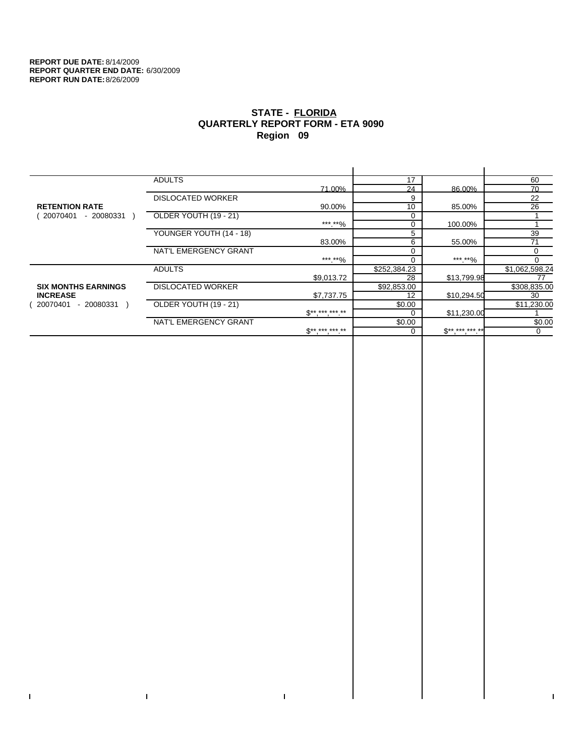$\bar{\Gamma}$ 

 $\mathbf{I}$ 

# **STATE - FLORIDA QUARTERLY REPORT FORM - ETA 9090 Region 09**

|                            | <b>ADULTS</b>            |                     | 17           |             | 60             |
|----------------------------|--------------------------|---------------------|--------------|-------------|----------------|
|                            |                          | 71.00%              | 24           | 86.00%      | 70             |
|                            | <b>DISLOCATED WORKER</b> |                     | 9            |             | 22             |
| <b>RETENTION RATE</b>      |                          | 90.00%              | 10           | 85.00%      | 26             |
| 20070401<br>- 20080331     | OLDER YOUTH (19 - 21)    |                     | $\Omega$     |             |                |
|                            |                          | ***.**%             | $\Omega$     | 100.00%     |                |
|                            | YOUNGER YOUTH (14 - 18)  |                     | 5            |             | 39             |
|                            |                          | 83.00%              | 6            | 55.00%      | 71             |
|                            | NAT'L EMERGENCY GRANT    |                     | $\Omega$     |             | 0              |
|                            |                          | ***.**%             |              | ***.**%     | $\Omega$       |
|                            | <b>ADULTS</b>            |                     | \$252,384.23 |             | \$1,062,598.24 |
|                            |                          | \$9,013.72          | 28           | \$13,799.98 | 77             |
| <b>SIX MONTHS EARNINGS</b> | <b>DISLOCATED WORKER</b> |                     | \$92,853.00  |             | \$308,835.00   |
| <b>INCREASE</b>            |                          | \$7,737.75          | 12           | \$10,294.50 | 30             |
| 20070401<br>- 20080331     | OLDER YOUTH (19 - 21)    |                     | \$0.00       |             | \$11,230.00    |
|                            |                          | $S*********$        |              | \$11,230.00 |                |
|                            | NAT'L EMERGENCY GRANT    |                     | \$0.00       |             | \$0.00         |
|                            |                          | $S^{**}$ *** *** ** |              | $$********$ | 0              |
|                            |                          |                     |              |             |                |

 $\bar{\Gamma}$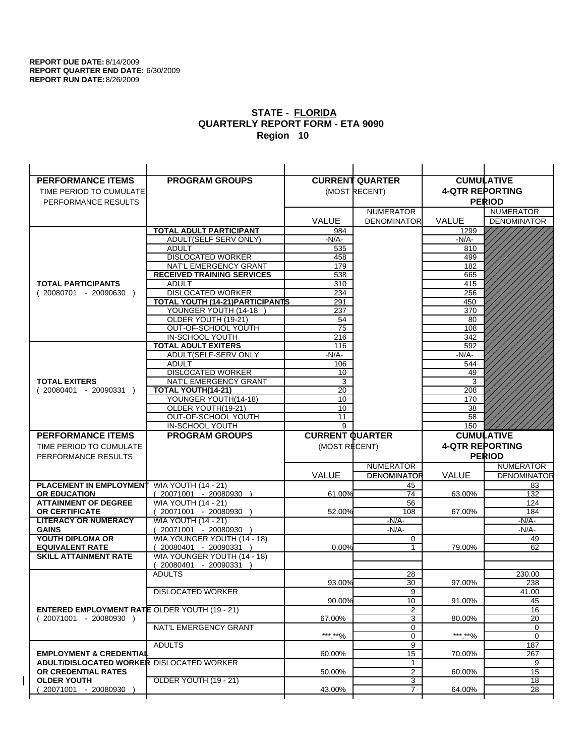| <b>PERFORMANCE ITEMS</b>                                                        | <b>PROGRAM GROUPS</b>                                    |                        | <b>CURRENT QUARTER</b> | <b>CUMULATIVE</b>      |                                    |
|---------------------------------------------------------------------------------|----------------------------------------------------------|------------------------|------------------------|------------------------|------------------------------------|
| TIME PERIOD TO CUMULATE                                                         |                                                          |                        | (MOST RECENT)          | <b>4-QTR REPORTING</b> |                                    |
| PERFORMANCE RESULTS                                                             |                                                          |                        |                        |                        | <b>PERIOD</b>                      |
|                                                                                 |                                                          |                        | <b>NUMERATOR</b>       |                        | <b>NUMERATOR</b>                   |
|                                                                                 |                                                          | <b>VALUE</b>           | <b>DENOMINATOR</b>     | <b>VALUE</b>           | <b>DENOMINATOR</b>                 |
|                                                                                 | <b>TOTAL ADULT PARTICIPANT</b>                           | 984                    |                        | 1299                   |                                    |
|                                                                                 | ADULT(SELF SERV ONLY)                                    | $-N/A-$                |                        | -N/A-                  |                                    |
|                                                                                 | <b>ADULT</b>                                             | 535                    |                        | 810                    |                                    |
|                                                                                 | <b>DISLOCATED WORKER</b>                                 | 458                    |                        | 499                    |                                    |
|                                                                                 | NAT'L EMERGENCY GRANT                                    | 179                    |                        | 182                    |                                    |
|                                                                                 | <b>RECEIVED TRAINING SERVICES</b>                        | 538                    |                        | 665                    |                                    |
| <b>TOTAL PARTICIPANTS</b>                                                       | <b>ADULT</b>                                             | 310                    |                        | 415                    |                                    |
| $(20080701 - 20090630)$                                                         | <b>DISLOCATED WORKER</b>                                 | 234                    |                        | 256                    |                                    |
|                                                                                 | TOTAL YOUTH (14-21) PARTICIPANTS<br>YOUNGER YOUTH (14-18 | 291                    |                        | 450                    |                                    |
|                                                                                 | OLDER YOUTH (19-21)                                      | 237<br>54              |                        | 370<br>80              |                                    |
|                                                                                 | OUT-OF-SCHOOL YOUTH                                      | $\overline{75}$        |                        | 108                    |                                    |
|                                                                                 | IN-SCHOOL YOUTH                                          | 216                    |                        | 342                    |                                    |
|                                                                                 | <b>TOTAL ADULT EXITERS</b>                               | 116                    |                        | 592                    |                                    |
|                                                                                 | ADULT(SELF-SERV ONLY                                     | -N/A-                  |                        | $-N/A-$                |                                    |
|                                                                                 | <b>ADULT</b>                                             | 106                    |                        | 544                    |                                    |
|                                                                                 | <b>DISLOCATED WORKER</b>                                 | 10                     |                        | 49                     |                                    |
| <b>TOTAL EXITERS</b>                                                            | NAT'L EMERGENCY GRANT                                    | 3                      |                        | 3                      |                                    |
| $(20080401 - 20090331)$                                                         | TOTAL YOUTH(14-21)                                       | 20                     |                        | 208                    |                                    |
|                                                                                 | YOUNGER YOUTH(14-18)                                     | 10                     |                        | 170                    |                                    |
|                                                                                 | OLDER YOUTH(19-21)                                       | 10                     |                        | 38                     |                                    |
|                                                                                 | OUT-OF-SCHOOL YOUTH<br>IN-SCHOOL YOUTH                   | 11<br>9                |                        | 58<br>150              |                                    |
|                                                                                 |                                                          |                        |                        |                        |                                    |
|                                                                                 |                                                          |                        |                        |                        |                                    |
| <b>PERFORMANCE ITEMS</b>                                                        | <b>PROGRAM GROUPS</b>                                    | <b>CURRENT QUARTER</b> |                        |                        | <b>CUMULATIVE</b>                  |
| TIME PERIOD TO CUMULATE                                                         |                                                          | (MOST RECENT)          |                        | <b>4-QTR REPORTING</b> |                                    |
| PERFORMANCE RESULTS                                                             |                                                          |                        |                        |                        | <b>PERIOD</b>                      |
|                                                                                 |                                                          |                        | <b>NUMERATOR</b>       |                        | <b>NUMERATOR</b>                   |
|                                                                                 |                                                          | <b>VALUE</b>           | <b>DENOMINATOR</b>     | VALUE                  | <b>DENOMINATOR</b>                 |
| PLACEMENT IN EMPLOYMENT                                                         | <b>WIA YOUTH (14 - 21)</b>                               |                        | 45                     |                        | 83                                 |
| <b>OR EDUCATION</b>                                                             | $(20071001 - 20080930)$                                  | 61.00%                 | 74                     | 63.00%                 | 132                                |
| <b>ATTAINMENT OF DEGREE</b>                                                     | <b>WIA YOUTH (14 - 21)</b>                               |                        | 56                     |                        | 124                                |
| <b>OR CERTIFICATE</b><br><b>LITERACY OR NUMERACY</b>                            | 20071001 - 20080930 )<br><b>WIA YOUTH (14 - 21)</b>      | 52.00%                 | 108<br>-N/A-           | 67.00%                 | 184<br>$-N/A$ -                    |
| <b>GAINS</b>                                                                    | 20071001 - 20080930                                      |                        | $-N/A-$                |                        | -N/A-                              |
| YOUTH DIPLOMA OR                                                                | WIA YOUNGER YOUTH (14 - 18)                              |                        | 0                      |                        | 49                                 |
| <b>EQUIVALENT RATE</b>                                                          | 20080401 - 20090331 )                                    | 0.00%                  | 1                      | 79.00%                 | 62                                 |
| <b>SKILL ATTAINMENT RATE</b>                                                    | WIA YOUNGER YOUTH (14 - 18)                              |                        |                        |                        |                                    |
|                                                                                 | (20080401 - 20090331                                     |                        |                        |                        |                                    |
|                                                                                 | <b>ADULTS</b>                                            |                        | 28                     |                        | 230.00                             |
|                                                                                 |                                                          | 93.00%                 | 30                     | 97.00%                 | 238                                |
|                                                                                 | <b>DISLOCATED WORKER</b>                                 |                        | $\overline{9}$         |                        | 41.00                              |
|                                                                                 |                                                          | 90.00%                 | 10                     | 91.00%                 | 45                                 |
| <b>ENTERED EMPLOYMENT RATE OLDER YOUTH (19 - 21)</b><br>$(20071001 - 20080930)$ |                                                          | 67.00%                 | 2<br>3                 | 80.00%                 | 16<br>$\overline{20}$              |
|                                                                                 | NAT'L EMERGENCY GRANT                                    |                        | 0                      |                        | 0                                  |
|                                                                                 |                                                          | ***.**%                | 0                      | ***.**%                | $\mathbf 0$                        |
|                                                                                 | <b>ADULTS</b>                                            |                        | 9                      |                        | 187                                |
| <b>EMPLOYMENT &amp; CREDENTIAL</b>                                              |                                                          | 60.00%                 | 15                     | 70.00%                 | 267                                |
| <b>ADULT/DISLOCATED WORKER DISLOCATED WORKER</b>                                |                                                          |                        | 1                      |                        | 9                                  |
| OR CREDENTIAL RATES                                                             |                                                          | 50.00%                 | $\overline{2}$         | 60.00%                 | 15                                 |
| <b>OLDER YOUTH</b><br>20071001 - 20080930                                       | <b>OLDER YOUTH (19 - 21)</b>                             | 43.00%                 | 3<br>$\overline{7}$    | 64.00%                 | $\overline{18}$<br>$\overline{28}$ |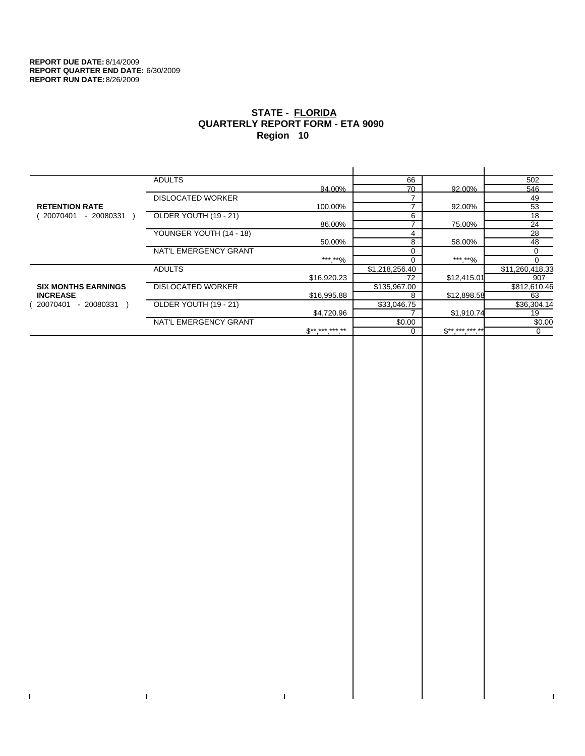$\bar{\Gamma}$ 

 $\Gamma$ 

# **STATE - FLORIDA QUARTERLY REPORT FORM - ETA 9090 Region 10**

|                            | <b>ADULTS</b>            |                 | 66             |             | 502             |
|----------------------------|--------------------------|-----------------|----------------|-------------|-----------------|
|                            |                          | 94.00%          | 70             | 92.00%      | 546             |
|                            | <b>DISLOCATED WORKER</b> |                 |                |             | 49              |
| <b>RETENTION RATE</b>      |                          | 100.00%         |                | 92.00%      | 53              |
| - 20080331<br>20070401     | OLDER YOUTH (19 - 21)    |                 | 6              |             | 18              |
|                            |                          | 86.00%          |                | 75.00%      | 24              |
|                            | YOUNGER YOUTH (14 - 18)  |                 | 4              |             | 28              |
|                            |                          | 50.00%          | 8              | 58.00%      | 48              |
|                            | NAT'L EMERGENCY GRANT    |                 |                |             | 0               |
|                            |                          | ***.**%         |                | ***.**%     |                 |
|                            | <b>ADULTS</b>            |                 | \$1,218,256.40 |             | \$11,260,418.33 |
|                            |                          | \$16,920.23     | 72             | \$12,415.01 | 907             |
| <b>SIX MONTHS EARNINGS</b> | <b>DISLOCATED WORKER</b> |                 | \$135,967.00   |             | \$812,610.46    |
| <b>INCREASE</b>            |                          | \$16,995.88     | 8              | \$12,898.58 | 63              |
| $-20080331$<br>20070401    | OLDER YOUTH (19 - 21)    |                 | \$33,046.75    |             | \$36,304.14     |
|                            |                          | \$4,720.96      |                | \$1,910.74  | 19              |
|                            | NAT'L EMERGENCY GRANT    |                 | \$0.00         |             | \$0.00          |
|                            |                          | $S^{*********}$ |                | $S********$ | 0               |
|                            |                          |                 |                |             |                 |

 $\bar{\Gamma}$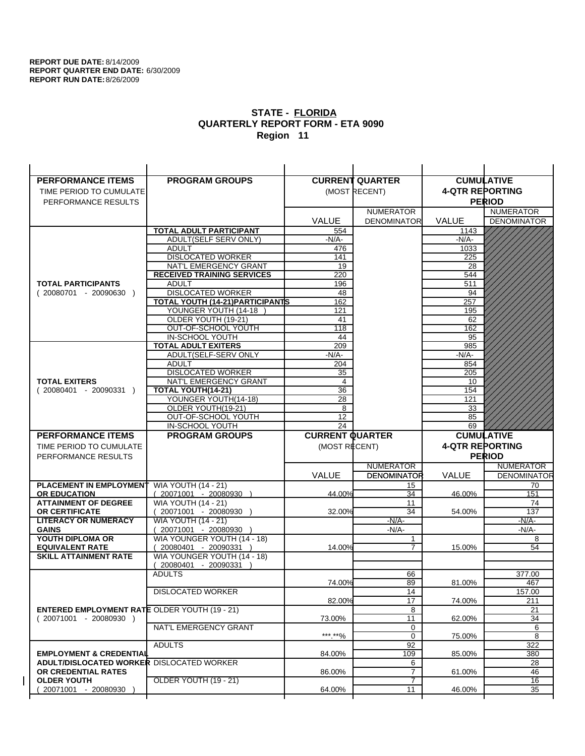| <b>PERFORMANCE ITEMS</b>                                                        | <b>PROGRAM GROUPS</b>                         |                        | <b>CURRENT QUARTER</b> |                        | <b>CUMULATIVE</b>  |
|---------------------------------------------------------------------------------|-----------------------------------------------|------------------------|------------------------|------------------------|--------------------|
| TIME PERIOD TO CUMULATE                                                         |                                               |                        | (MOST RECENT)          | <b>4-QTR REPORTING</b> |                    |
| PERFORMANCE RESULTS                                                             |                                               |                        |                        |                        | <b>PERIOD</b>      |
|                                                                                 |                                               |                        | <b>NUMERATOR</b>       |                        | <b>NUMERATOR</b>   |
|                                                                                 |                                               | <b>VALUE</b>           | <b>DENOMINATOR</b>     | <b>VALUE</b>           | <b>DENOMINATOR</b> |
|                                                                                 | TOTAL ADULT PARTICIPANT                       | 554                    |                        | 1143                   |                    |
|                                                                                 | ADULT(SELF SERV ONLY)                         | -N/A-                  |                        | -N/A-                  |                    |
|                                                                                 | <b>ADULT</b>                                  | 476                    |                        | 1033                   |                    |
|                                                                                 | <b>DISLOCATED WORKER</b>                      | 141                    |                        | 225                    |                    |
|                                                                                 | NAT'L EMERGENCY GRANT                         | 19                     |                        | 28                     |                    |
|                                                                                 | <b>RECEIVED TRAINING SERVICES</b>             | 220                    |                        | 544                    |                    |
| <b>TOTAL PARTICIPANTS</b>                                                       | <b>ADULT</b>                                  | 196                    |                        | 511                    |                    |
| $(20080701 - 20090630)$                                                         | <b>DISLOCATED WORKER</b>                      | 48                     |                        | 94                     |                    |
|                                                                                 | <b>TOTAL YOUTH (14-21) PARTICIPANTS</b>       | 162                    |                        | 257                    |                    |
|                                                                                 | YOUNGER YOUTH (14-18                          | 121                    |                        | 195                    |                    |
|                                                                                 | OLDER YOUTH (19-21)                           | 41                     |                        | 62                     |                    |
|                                                                                 | OUT-OF-SCHOOL YOUTH                           | 118                    |                        | 162                    |                    |
|                                                                                 | IN-SCHOOL YOUTH<br><b>TOTAL ADULT EXITERS</b> | 44<br>209              |                        | 95<br>985              |                    |
|                                                                                 | ADULT(SELF-SERV ONLY                          | -N/A-                  |                        | $-N/A-$                |                    |
|                                                                                 | <b>ADULT</b>                                  | 204                    |                        | 854                    |                    |
|                                                                                 | <b>DISLOCATED WORKER</b>                      | 35                     |                        | 205                    |                    |
| <b>TOTAL EXITERS</b>                                                            | NAT'L EMERGENCY GRANT                         | 4                      |                        | 10                     |                    |
| $(20080401 - 20090331)$                                                         | TOTAL YOUTH(14-21)                            | 36                     |                        | 154                    |                    |
|                                                                                 | YOUNGER YOUTH(14-18)                          | 28                     |                        | 121                    |                    |
|                                                                                 | OLDER YOUTH(19-21)                            | 8                      |                        | 33                     |                    |
|                                                                                 | OUT-OF-SCHOOL YOUTH                           | 12                     |                        | 85                     |                    |
|                                                                                 | IN-SCHOOL YOUTH                               | 24                     |                        | 69                     |                    |
|                                                                                 |                                               |                        |                        |                        |                    |
| <b>PERFORMANCE ITEMS</b>                                                        | <b>PROGRAM GROUPS</b>                         | <b>CURRENT QUARTER</b> |                        |                        | <b>CUMULATIVE</b>  |
| TIME PERIOD TO CUMULATE                                                         |                                               |                        |                        | <b>4-QTR REPORTING</b> |                    |
| PERFORMANCE RESULTS                                                             |                                               | (MOST RECENT)          |                        |                        | <b>PERIOD</b>      |
|                                                                                 |                                               |                        | <b>NUMERATOR</b>       |                        | <b>NUMERATOR</b>   |
|                                                                                 |                                               | <b>VALUE</b>           | <b>DENOMINATOR</b>     | <b>VALUE</b>           | <b>DENOMINATOR</b> |
| PLACEMENT IN EMPLOYMENT                                                         | <b>WIA YOUTH (14 - 21)</b>                    |                        | 15                     |                        | 70                 |
| <b>OR EDUCATION</b>                                                             | $(20071001 - 20080930)$                       | 44.00%                 | 34                     | 46.00%                 | 151                |
| <b>ATTAINMENT OF DEGREE</b>                                                     | <b>WIA YOUTH (14 - 21)</b>                    |                        | 11                     |                        | 74                 |
| <b>OR CERTIFICATE</b>                                                           | (20071001 - 20080930                          | 32.00%                 | 34                     | 54.00%                 | 137                |
| <b>LITERACY OR NUMERACY</b>                                                     | <b>WIA YOUTH (14 - 21)</b>                    |                        | $-N/A-$                |                        | -N/A-              |
| <b>GAINS</b>                                                                    | 20071001 - 20080930                           |                        | $-N/A-$                |                        | $-N/A-$            |
| YOUTH DIPLOMA OR                                                                | WIA YOUNGER YOUTH (14 - 18)                   |                        | 1                      |                        | 8                  |
| <b>EQUIVALENT RATE</b>                                                          | 20080401 - 20090331 )                         | 14.00%                 | 7                      | 15.00%                 | 54                 |
| <b>SKILL ATTAINMENT RATE</b>                                                    | WIA YOUNGER YOUTH (14 - 18)                   |                        |                        |                        |                    |
|                                                                                 | (20080401 - 20090331                          |                        |                        |                        |                    |
|                                                                                 | <b>ADULTS</b>                                 |                        | 66                     |                        | 377.00             |
|                                                                                 |                                               | 74.00%                 | 89                     | 81.00%                 | 467                |
|                                                                                 | <b>DISLOCATED WORKER</b>                      |                        | 14                     |                        | 157.00             |
|                                                                                 |                                               | 82.00%                 | 17                     | 74.00%                 | 211                |
| <b>ENTERED EMPLOYMENT RATE OLDER YOUTH (19 - 21)</b><br>$(20071001 - 20080930)$ |                                               | 73.00%                 | 8<br>11                |                        | 21                 |
|                                                                                 | NAT'L EMERGENCY GRANT                         |                        | 0                      | 62.00%                 | 34<br>6            |
|                                                                                 |                                               | ***.**%                | 0                      | 75.00%                 | 8                  |
|                                                                                 | <b>ADULTS</b>                                 |                        | 92                     |                        | 322                |
| <b>EMPLOYMENT &amp; CREDENTIAL</b>                                              |                                               | 84.00%                 | 109                    | 85.00%                 | 380                |
| <b>ADULT/DISLOCATED WORKER DISLOCATED WORKER</b>                                |                                               |                        | 6                      |                        | 28                 |
| OR CREDENTIAL RATES                                                             |                                               | 86.00%                 | $\overline{7}$         | 61.00%                 | 46                 |
| <b>OLDER YOUTH</b><br>20071001 - 20080930                                       | OLDER YOUTH (19 - 21)                         | 64.00%                 | 7<br>11                | 46.00%                 | 16<br>35           |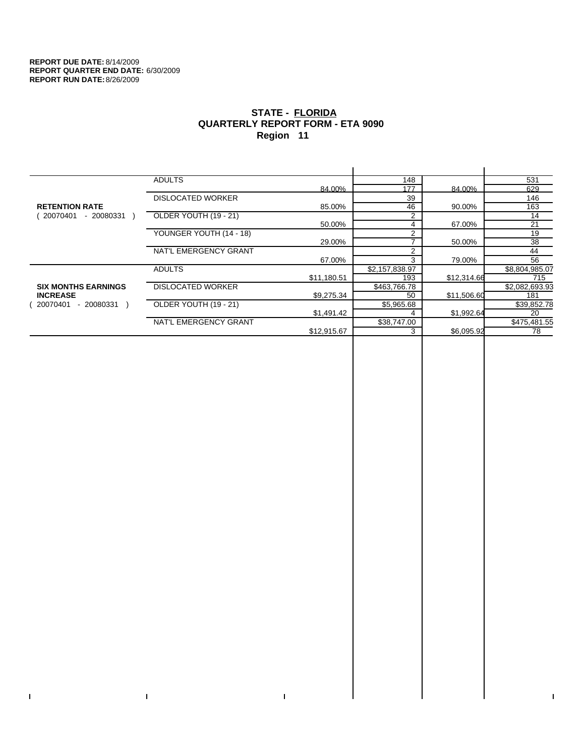$\bar{\Gamma}$ 

 $\Gamma$ 

# **STATE - FLORIDA QUARTERLY REPORT FORM - ETA 9090 Region 11**

|                            | <b>ADULTS</b>            |             | 148            |             | 531            |
|----------------------------|--------------------------|-------------|----------------|-------------|----------------|
|                            |                          | 84.00%      | 177            | 84.00%      | 629            |
|                            | <b>DISLOCATED WORKER</b> |             | 39             |             | 146            |
| <b>RETENTION RATE</b>      |                          | 85.00%      | 46             | 90.00%      | 163            |
| 20070401<br>- 20080331     | OLDER YOUTH (19 - 21)    |             | 2              |             | 14             |
|                            |                          | 50.00%      | 4              | 67.00%      | 21             |
|                            | YOUNGER YOUTH (14 - 18)  |             | C              |             | 19             |
|                            |                          | 29.00%      | ⇁              | 50.00%      | 38             |
|                            | NAT'L EMERGENCY GRANT    |             | 2              |             | 44             |
|                            |                          | 67.00%      | 3              | 79.00%      | 56             |
|                            | <b>ADULTS</b>            |             | \$2,157,838.97 |             | \$8,804,985.07 |
|                            |                          | \$11,180.51 | 193            | \$12,314.66 | 715            |
| <b>SIX MONTHS EARNINGS</b> | <b>DISLOCATED WORKER</b> |             | \$463,766.78   |             | \$2,082,693.93 |
| <b>INCREASE</b>            |                          | \$9,275.34  | 50             | \$11,506.60 | 181            |
| $-20080331$<br>20070401    | OLDER YOUTH (19 - 21)    |             | \$5,965.68     |             | \$39,852.78    |
|                            |                          | \$1,491.42  |                | \$1,992.64  | 20             |
|                            | NAT'L EMERGENCY GRANT    |             | \$38,747.00    |             | \$475,481.55   |
|                            |                          | \$12,915.67 |                | \$6,095.92  | 78             |
|                            |                          |             |                |             |                |

 $\bar{\Gamma}$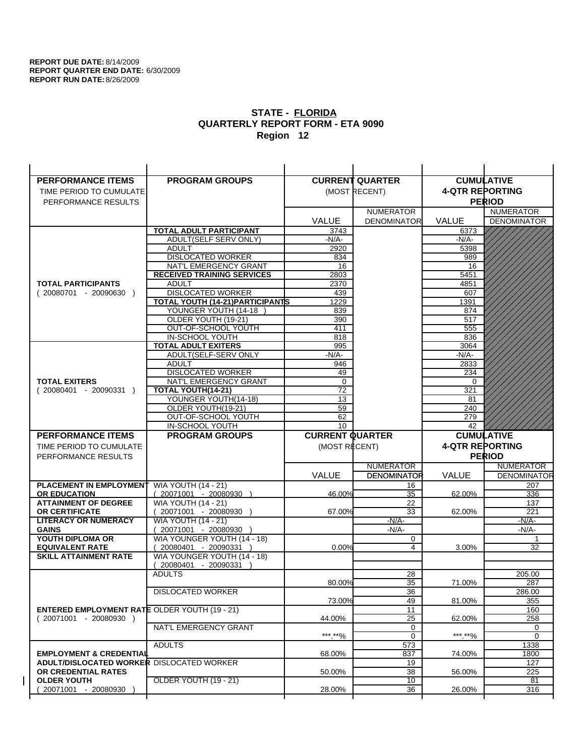$\overline{1}$ 

| <b>PERFORMANCE ITEMS</b>                             | <b>PROGRAM GROUPS</b>                              |                        | <b>CURRENT QUARTER</b> |                        | <b>CUMULATIVE</b>  |
|------------------------------------------------------|----------------------------------------------------|------------------------|------------------------|------------------------|--------------------|
| TIME PERIOD TO CUMULATE                              |                                                    |                        | (MOST RECENT)          | <b>4-QTR REPORTING</b> |                    |
| PERFORMANCE RESULTS                                  |                                                    |                        |                        |                        | <b>PERIOD</b>      |
|                                                      |                                                    |                        | <b>NUMERATOR</b>       |                        | <b>NUMERATOR</b>   |
|                                                      |                                                    | <b>VALUE</b>           | <b>DENOMINATOR</b>     | <b>VALUE</b>           | <b>DENOMINATOR</b> |
|                                                      | <b>TOTAL ADULT PARTICIPANT</b>                     | 3743                   |                        | 6373                   |                    |
|                                                      | ADULT(SELF SERV ONLY)                              | -N/A-                  |                        | -N/A-                  |                    |
|                                                      | <b>ADULT</b>                                       | 2920                   |                        | 5398                   |                    |
|                                                      | <b>DISLOCATED WORKER</b>                           | 834                    |                        | 989                    |                    |
|                                                      | NAT'L EMERGENCY GRANT                              | 16                     |                        | 16                     |                    |
|                                                      | <b>RECEIVED TRAINING SERVICES</b>                  | 2803                   |                        | 5451                   |                    |
| <b>TOTAL PARTICIPANTS</b>                            | <b>ADULT</b>                                       | 2370                   |                        | 4851                   |                    |
| $(20080701 - 20090630)$                              | <b>DISLOCATED WORKER</b>                           | 439                    |                        | 607                    |                    |
|                                                      | <b>TOTAL YOUTH (14-21) PARTICIPANTS</b>            | 1229                   |                        | 1391                   |                    |
|                                                      | YOUNGER YOUTH (14-18                               | 839                    |                        | 874                    |                    |
|                                                      | OLDER YOUTH (19-21)                                | 390                    |                        | 517                    |                    |
|                                                      | OUT-OF-SCHOOL YOUTH                                | 411                    |                        | 555                    |                    |
|                                                      | IN-SCHOOL YOUTH                                    | 818<br>995             |                        | 836                    |                    |
|                                                      | <b>TOTAL ADULT EXITERS</b><br>ADULT(SELF-SERV ONLY | $-N/A-$                |                        | 3064<br>$-N/A-$        |                    |
|                                                      | <b>ADULT</b>                                       | 946                    |                        | 2833                   |                    |
|                                                      | <b>DISLOCATED WORKER</b>                           | 49                     |                        | 234                    |                    |
| <b>TOTAL EXITERS</b>                                 | NAT'L EMERGENCY GRANT                              | 0                      |                        | 0                      |                    |
| $(20080401 - 20090331)$                              | <b>TOTAL YOUTH(14-21)</b>                          | 72                     |                        | 321                    |                    |
|                                                      | YOUNGER YOUTH(14-18)                               | 13                     |                        | 81                     |                    |
|                                                      | OLDER YOUTH(19-21)                                 | 59                     |                        | 240                    |                    |
|                                                      | OUT-OF-SCHOOL YOUTH                                | 62                     |                        | 279                    |                    |
|                                                      | IN-SCHOOL YOUTH                                    | 10                     |                        | 42                     |                    |
|                                                      |                                                    |                        |                        |                        |                    |
| <b>PERFORMANCE ITEMS</b>                             | <b>PROGRAM GROUPS</b>                              | <b>CURRENT QUARTER</b> |                        |                        | <b>CUMULATIVE</b>  |
| TIME PERIOD TO CUMULATE                              |                                                    | (MOST RECENT)          |                        | <b>4-QTR REPORTING</b> |                    |
| PERFORMANCE RESULTS                                  |                                                    |                        |                        |                        | <b>PERIOD</b>      |
|                                                      |                                                    |                        | <b>NUMERATOR</b>       |                        | <b>NUMERATOR</b>   |
|                                                      |                                                    | <b>VALUE</b>           | <b>DENOMINATOR</b>     | <b>VALUE</b>           | <b>DENOMINATOR</b> |
| <b>PLACEMENT IN EMPLOYMENT</b>                       | <b>WIA YOUTH (14 - 21)</b>                         |                        | 16                     |                        | 207                |
| <b>OR EDUCATION</b>                                  | (20071001 - 20080930 )                             | 46.00%                 | 35                     | 62.00%                 | 336                |
| <b>ATTAINMENT OF DEGREE</b>                          | <b>WIA YOUTH (14 - 21)</b>                         |                        | 22                     |                        | 137                |
| <b>OR CERTIFICATE</b>                                | (20071001 - 20080930                               | 67.00%                 | 33                     | 62.00%                 | 221                |
| <b>LITERACY OR NUMERACY</b>                          | <b>WIA YOUTH (14 - 21)</b>                         |                        | $-N/A$ -               |                        | -N/A-              |
| <b>GAINS</b>                                         | 20071001 - 20080930                                |                        | $-N/A-$                |                        | $-N/A-$            |
| YOUTH DIPLOMA OR                                     | WIA YOUNGER YOUTH (14 - 18)                        |                        | 0                      |                        | $\mathbf{1}$       |
| <b>EQUIVALENT RATE</b>                               | 20080401 - 20090331 )                              | 0.00%                  | 4                      | 3.00%                  | 32                 |
| <b>SKILL ATTAINMENT RATE</b>                         | WIA YOUNGER YOUTH (14 - 18)                        |                        |                        |                        |                    |
|                                                      | (20080401 - 20090331                               |                        |                        |                        |                    |
|                                                      | <b>ADULTS</b>                                      | 80.00%                 | 28<br>35               | 71.00%                 | 205.00<br>287      |
|                                                      | <b>DISLOCATED WORKER</b>                           |                        | $\overline{36}$        |                        | 286.00             |
|                                                      |                                                    | 73.00%                 | 49                     | 81.00%                 | 355                |
| <b>ENTERED EMPLOYMENT RATE OLDER YOUTH (19 - 21)</b> |                                                    |                        | 11                     |                        | 160                |
| $(20071001 - 20080930)$                              |                                                    | 44.00%                 | 25                     | 62.00%                 | 258                |
|                                                      | NAT'L EMERGENCY GRANT                              |                        | 0                      |                        | 0                  |
|                                                      |                                                    | *** **%                | 0                      | ***.**%                | $\mathbf 0$        |
|                                                      | <b>ADULTS</b>                                      |                        | 573                    |                        | 1338               |
| <b>EMPLOYMENT &amp; CREDENTIAL</b>                   |                                                    | 68.00%                 | 837                    | 74.00%                 | 1800               |
| <b>ADULT/DISLOCATED WORKER DISLOCATED WORKER</b>     |                                                    |                        | 19                     |                        | 127                |
| OR CREDENTIAL RATES                                  |                                                    | 50.00%                 | 38                     | 56.00%                 | 225                |
| <b>OLDER YOUTH</b><br>20071001 - 20080930            | OLDER YOUTH (19 - 21)                              | 28.00%                 | 10<br>36               | 26.00%                 | 81<br>316          |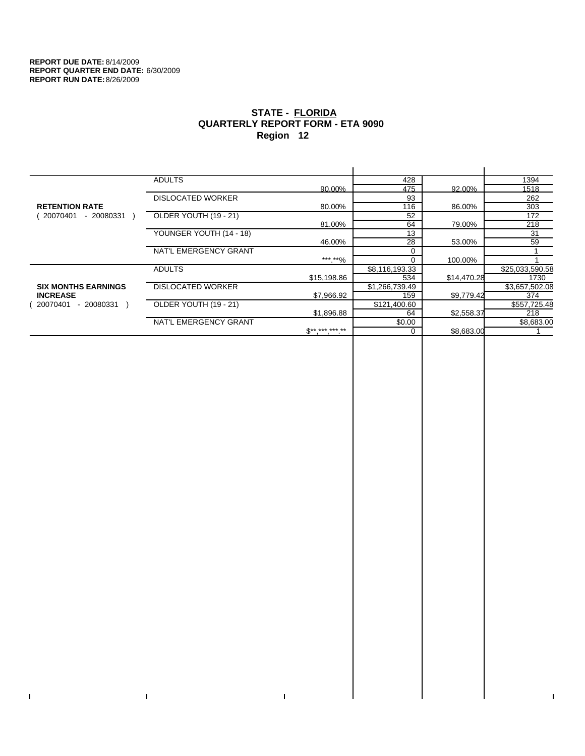$\bar{\Gamma}$ 

 $\Gamma$ 

# **STATE - FLORIDA QUARTERLY REPORT FORM - ETA 9090 Region 12**

|                            | <b>ADULTS</b>            |              | 428            |             | 1394            |
|----------------------------|--------------------------|--------------|----------------|-------------|-----------------|
|                            |                          | 90.00%       | 475            | 92.00%      | 1518            |
|                            | <b>DISLOCATED WORKER</b> |              | 93             |             | 262             |
| <b>RETENTION RATE</b>      |                          | 80.00%       | 116            | 86.00%      | 303             |
| - 20080331<br>20070401     | OLDER YOUTH (19 - 21)    |              | 52             |             | 172             |
|                            |                          | 81.00%       | 64             | 79.00%      | 218             |
|                            | YOUNGER YOUTH (14 - 18)  |              | 13             |             | 31              |
|                            |                          | 46.00%       | 28             | 53.00%      | 59              |
|                            | NAT'L EMERGENCY GRANT    |              |                |             |                 |
|                            |                          | ***.**%      |                | 100.00%     |                 |
|                            | <b>ADULTS</b>            |              | \$8,116,193.33 |             | \$25,033,590.58 |
|                            |                          | \$15,198.86  | 534            | \$14,470.28 | 1730            |
| <b>SIX MONTHS EARNINGS</b> | <b>DISLOCATED WORKER</b> |              | \$1,266,739.49 |             | \$3,657,502.08  |
| <b>INCREASE</b>            |                          | \$7,966.92   | 159            | \$9,779.42  | 374             |
| 20070401<br>- 20080331     | OLDER YOUTH (19 - 21)    |              | \$121,400.60   |             | \$557,725.48    |
|                            |                          | \$1,896.88   | 64             | \$2,558.37  | 218             |
|                            | NAT'L EMERGENCY GRANT    |              | \$0.00         |             | \$8,683.00      |
|                            |                          | $$*********$ |                | \$8,683.00  |                 |
|                            |                          |              |                |             |                 |

 $\bar{\Gamma}$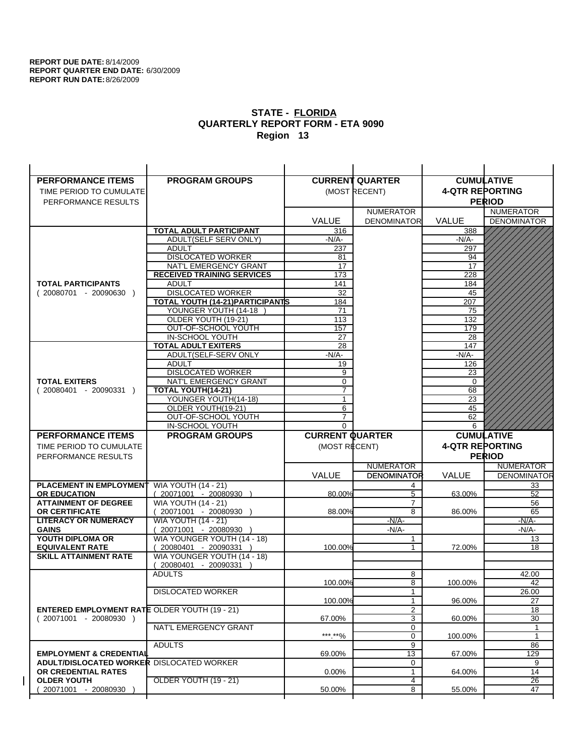| <b>PERFORMANCE ITEMS</b>                             | <b>PROGRAM GROUPS</b>                         |                        | <b>CURRENT QUARTER</b> |                        | <b>CUMULATIVE</b>     |
|------------------------------------------------------|-----------------------------------------------|------------------------|------------------------|------------------------|-----------------------|
| TIME PERIOD TO CUMULATE                              |                                               |                        | (MOST RECENT)          | <b>4-QTR REPORTING</b> |                       |
| PERFORMANCE RESULTS                                  |                                               |                        |                        |                        | <b>PERIOD</b>         |
|                                                      |                                               |                        | <b>NUMERATOR</b>       |                        | <b>NUMERATOR</b>      |
|                                                      |                                               | <b>VALUE</b>           | <b>DENOMINATOR</b>     | VALUE                  | <b>DENOMINATOR</b>    |
|                                                      | <b>TOTAL ADULT PARTICIPANT</b>                | 316                    |                        | 388                    |                       |
|                                                      | ADULT(SELF SERV ONLY)                         | -N/A-                  |                        | -N/A-                  |                       |
|                                                      | <b>ADULT</b>                                  | 237                    |                        | 297                    |                       |
|                                                      | <b>DISLOCATED WORKER</b>                      | 81                     |                        | 94                     |                       |
|                                                      | NAT'L EMERGENCY GRANT                         | 17                     |                        | 17                     |                       |
|                                                      | <b>RECEIVED TRAINING SERVICES</b>             | 173                    |                        | 228                    |                       |
| <b>TOTAL PARTICIPANTS</b>                            | <b>ADULT</b>                                  | 141                    |                        | 184                    |                       |
| $(20080701 - 20090630)$                              | <b>DISLOCATED WORKER</b>                      | 32                     |                        | 45                     |                       |
|                                                      | TOTAL YOUTH (14-21) PARTICIPANTS              | 184                    |                        | 207                    |                       |
|                                                      | YOUNGER YOUTH (14-18                          | 71                     |                        | 75                     |                       |
|                                                      | OLDER YOUTH (19-21)                           | 113                    |                        | 132                    |                       |
|                                                      | OUT-OF-SCHOOL YOUTH                           | 157                    |                        | 179                    |                       |
|                                                      | IN-SCHOOL YOUTH<br><b>TOTAL ADULT EXITERS</b> | 27<br>28               |                        | 28<br>147              |                       |
|                                                      | ADULT(SELF-SERV ONLY                          | $-N/A-$                |                        | $-N/A-$                |                       |
|                                                      | <b>ADULT</b>                                  | 19                     |                        | 126                    |                       |
|                                                      | <b>DISLOCATED WORKER</b>                      | 9                      |                        | 23                     |                       |
| <b>TOTAL EXITERS</b>                                 | NAT'L EMERGENCY GRANT                         | $\mathbf 0$            |                        | $\mathbf 0$            |                       |
| $(20080401 - 20090331)$                              | TOTAL YOUTH(14-21)                            | $\overline{7}$         |                        | 68                     |                       |
|                                                      | YOUNGER YOUTH(14-18)                          | $\mathbf{1}$           |                        | 23                     |                       |
|                                                      | OLDER YOUTH(19-21)                            | 6                      |                        | 45                     |                       |
|                                                      | OUT-OF-SCHOOL YOUTH                           | $\overline{7}$         |                        | 62                     |                       |
|                                                      | IN-SCHOOL YOUTH                               | $\Omega$               |                        | 6                      |                       |
|                                                      |                                               |                        |                        |                        |                       |
| <b>PERFORMANCE ITEMS</b>                             | <b>PROGRAM GROUPS</b>                         | <b>CURRENT QUARTER</b> |                        |                        | <b>CUMULATIVE</b>     |
| TIME PERIOD TO CUMULATE                              |                                               | (MOST RECENT)          |                        | <b>4-QTR REPORTING</b> |                       |
| PERFORMANCE RESULTS                                  |                                               |                        |                        |                        | <b>PERIOD</b>         |
|                                                      |                                               |                        | <b>NUMERATOR</b>       |                        | <b>NUMERATOR</b>      |
|                                                      |                                               | <b>VALUE</b>           | <b>DENOMINATOR</b>     | <b>VALUE</b>           | <b>DENOMINATOR</b>    |
| <b>PLACEMENT IN EMPLOYMENT</b>                       | <b>WIA YOUTH (14 - 21)</b>                    |                        | 4                      |                        | 33                    |
| <b>OR EDUCATION</b>                                  | $(20071001 - 20080930)$                       | 80.00%                 | 5                      | 63.00%                 | 52                    |
| <b>ATTAINMENT OF DEGREE</b>                          | <b>WIA YOUTH (14 - 21)</b>                    |                        | $\overline{7}$         |                        | 56                    |
| OR CERTIFICATE                                       | $(20071001 - 20080930)$                       | 88.00%                 | 8                      | 86.00%                 | 65                    |
| <b>LITERACY OR NUMERACY</b>                          | <b>WIA YOUTH (14 - 21)</b>                    |                        | $-N/A$ -               |                        | -N/A-                 |
| <b>GAINS</b>                                         | 20071001 - 20080930                           |                        | $-N/A-$                |                        | $-N/A-$               |
| YOUTH DIPLOMA OR                                     | WIA YOUNGER YOUTH (14 - 18)                   |                        | 1                      |                        | 13                    |
| <b>EQUIVALENT RATE</b>                               | $(20080401 - 20090331)$                       | 100.00%                | 1                      | 72.00%                 | 18                    |
| <b>SKILL ATTAINMENT RATE</b>                         | WIA YOUNGER YOUTH (14 - 18)                   |                        |                        |                        |                       |
|                                                      | (20080401 - 20090331                          |                        |                        |                        |                       |
|                                                      | <b>ADULTS</b>                                 | 100.00%                | 8<br>8                 | 100.00%                | 42.00<br>42           |
|                                                      |                                               |                        | 1                      |                        |                       |
|                                                      | <b>DISLOCATED WORKER</b>                      | 100.00%                | $\mathbf{1}$           | 96.00%                 | 26.00<br>27           |
| <b>ENTERED EMPLOYMENT RATE OLDER YOUTH (19 - 21)</b> |                                               |                        | $\overline{c}$         |                        | 18                    |
| $(20071001 - 20080930)$                              |                                               | 67.00%                 | 3                      | 60.00%                 | 30                    |
|                                                      | NAT'L EMERGENCY GRANT                         |                        | 0                      |                        | 1                     |
|                                                      |                                               | *** **%                | 0                      | 100.00%                | $\mathbf{1}$          |
|                                                      | <b>ADULTS</b>                                 |                        | 9                      |                        | 86                    |
| <b>EMPLOYMENT &amp; CREDENTIAL</b>                   |                                               | 69.00%                 | 13                     | 67.00%                 | 129                   |
| <b>ADULT/DISLOCATED WORKER DISLOCATED WORKER</b>     |                                               |                        | 0                      |                        | 9                     |
| OR CREDENTIAL RATES                                  |                                               | $0.00\%$               | $\mathbf{1}$           | 64.00%                 | 14                    |
| <b>OLDER YOUTH</b><br>20071001 - 20080930            | OLDER YOUTH (19 - 21)                         | 50.00%                 | 4<br>8                 | 55.00%                 | $\overline{26}$<br>47 |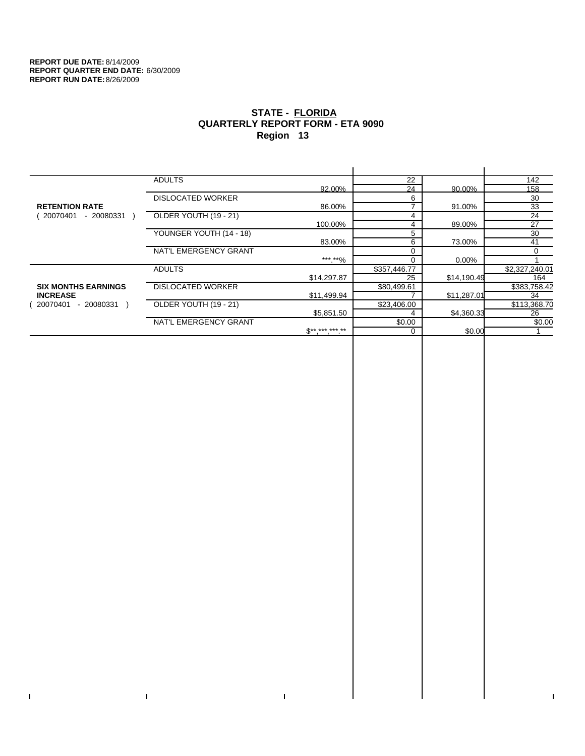$\bar{\Gamma}$ 

 $\Gamma$ 

# **STATE - FLORIDA QUARTERLY REPORT FORM - ETA 9090 Region 13**

|                            | <b>ADULTS</b>            |                 | 22           |             | 142            |
|----------------------------|--------------------------|-----------------|--------------|-------------|----------------|
|                            |                          | 92.00%          | 24           | 90.00%      | 158            |
|                            | <b>DISLOCATED WORKER</b> |                 | 6            |             | 30             |
| <b>RETENTION RATE</b>      |                          | 86.00%          |              | 91.00%      | 33             |
| 20070401<br>- 20080331     | OLDER YOUTH (19 - 21)    |                 | 4            |             | 24             |
|                            |                          | 100.00%         | 4            | 89.00%      | 27             |
|                            | YOUNGER YOUTH (14 - 18)  |                 | 5            |             | 30             |
|                            |                          | 83.00%          | 6            | 73.00%      | 41             |
|                            | NAT'L EMERGENCY GRANT    |                 |              |             | 0              |
|                            |                          | ***.**%         | $\Omega$     | 0.00%       |                |
|                            | <b>ADULTS</b>            |                 | \$357,446.77 |             | \$2,327,240.01 |
|                            |                          | \$14,297.87     | 25           | \$14,190.49 | 164            |
| <b>SIX MONTHS EARNINGS</b> | <b>DISLOCATED WORKER</b> |                 | \$80,499.61  |             | \$383,758.42   |
| <b>INCREASE</b>            |                          | \$11,499.94     |              | \$11,287.01 | 34             |
| - 20080331<br>20070401     | OLDER YOUTH (19 - 21)    |                 | \$23,406.00  |             | \$113,368.70   |
|                            |                          | \$5,851.50      |              | \$4,360.33  | 26             |
|                            | NAT'L EMERGENCY GRANT    |                 | \$0.00       |             | \$0.00         |
|                            |                          | $S^{*********}$ | $\Omega$     | \$0.00      |                |
|                            |                          |                 |              |             |                |

 $\bar{\Gamma}$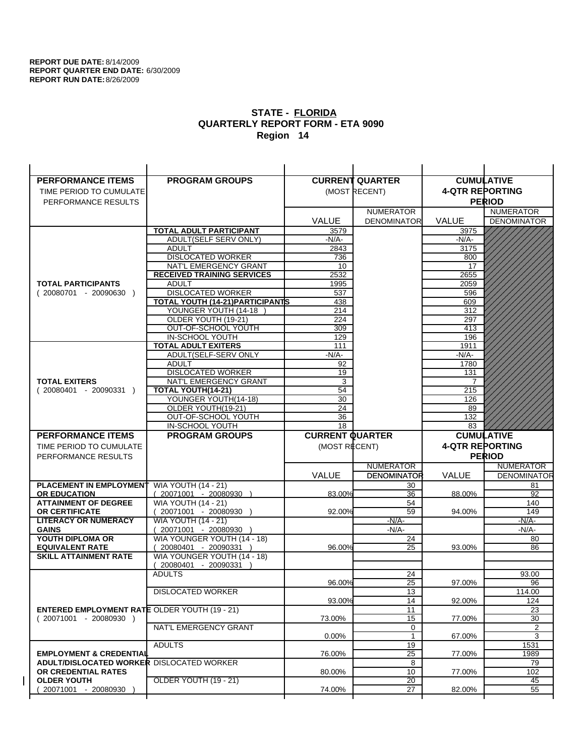| <b>PERFORMANCE ITEMS</b>                             | <b>PROGRAM GROUPS</b>                  |                        | <b>CURRENT QUARTER</b>             | <b>CUMULATIVE</b>      |                    |
|------------------------------------------------------|----------------------------------------|------------------------|------------------------------------|------------------------|--------------------|
| TIME PERIOD TO CUMULATE                              |                                        |                        | (MOST RECENT)                      | <b>4-QTR REPORTING</b> |                    |
| PERFORMANCE RESULTS                                  |                                        |                        |                                    |                        | <b>PERIOD</b>      |
|                                                      |                                        |                        | <b>NUMERATOR</b>                   |                        | <b>NUMERATOR</b>   |
|                                                      |                                        | <b>VALUE</b>           | <b>DENOMINATOR</b>                 | <b>VALUE</b>           | <b>DENOMINATOR</b> |
|                                                      | <b>TOTAL ADULT PARTICIPANT</b>         | 3579                   |                                    | 3975                   |                    |
|                                                      | ADULT(SELF SERV ONLY)                  | -N/A-                  |                                    | -N/A-                  |                    |
|                                                      | <b>ADULT</b>                           | 2843                   |                                    | 3175                   |                    |
|                                                      | <b>DISLOCATED WORKER</b>               | 736                    |                                    | 800                    |                    |
|                                                      | NAT'L EMERGENCY GRANT                  | 10                     |                                    | 17                     |                    |
|                                                      | <b>RECEIVED TRAINING SERVICES</b>      | 2532                   |                                    | 2655                   |                    |
| <b>TOTAL PARTICIPANTS</b>                            | <b>ADULT</b>                           | 1995                   |                                    | 2059                   |                    |
| $(20080701 - 20090630)$                              | <b>DISLOCATED WORKER</b>               | 537                    |                                    | 596                    |                    |
|                                                      | TOTAL YOUTH (14-21) PARTICIPANTS       | 438                    |                                    | 609                    |                    |
|                                                      | YOUNGER YOUTH (14-18                   | 214                    |                                    | 312                    |                    |
|                                                      | OLDER YOUTH (19-21)                    | 224                    |                                    | 297                    |                    |
|                                                      | OUT-OF-SCHOOL YOUTH<br>IN-SCHOOL YOUTH | 309<br>129             |                                    | 413<br>196             |                    |
|                                                      | <b>TOTAL ADULT EXITERS</b>             | 111                    |                                    | 1911                   |                    |
|                                                      | ADULT(SELF-SERV ONLY                   | -N/A-                  |                                    | $-N/A-$                |                    |
|                                                      | <b>ADULT</b>                           | 92                     |                                    | 1780                   |                    |
|                                                      | <b>DISLOCATED WORKER</b>               | 19                     |                                    | 131                    |                    |
| <b>TOTAL EXITERS</b>                                 | NAT'L EMERGENCY GRANT                  | 3                      |                                    | 7                      |                    |
| $(20080401 - 20090331)$                              | TOTAL YOUTH(14-21)                     | 54                     |                                    | 215                    |                    |
|                                                      | YOUNGER YOUTH(14-18)                   | 30                     |                                    | 126                    |                    |
|                                                      | OLDER YOUTH(19-21)                     | 24                     |                                    | 89                     |                    |
|                                                      | OUT-OF-SCHOOL YOUTH                    | 36                     |                                    | 132                    |                    |
|                                                      | IN-SCHOOL YOUTH                        | $\overline{18}$        |                                    | 83                     |                    |
|                                                      |                                        |                        |                                    |                        |                    |
| <b>PERFORMANCE ITEMS</b>                             | <b>PROGRAM GROUPS</b>                  | <b>CURRENT QUARTER</b> |                                    |                        | <b>CUMULATIVE</b>  |
| TIME PERIOD TO CUMULATE                              |                                        | (MOST RECENT)          |                                    | <b>4-QTR REPORTING</b> |                    |
| PERFORMANCE RESULTS                                  |                                        |                        |                                    |                        | <b>PERIOD</b>      |
|                                                      |                                        |                        | <b>NUMERATOR</b>                   |                        | <b>NUMERATOR</b>   |
|                                                      |                                        | <b>VALUE</b>           | <b>DENOMINATOR</b>                 | VALUE                  | <b>DENOMINATOR</b> |
| <b>PLACEMENT IN EMPLOYMENT</b>                       | <b>WIA YOUTH (14 - 21)</b>             |                        | 30                                 |                        | 81                 |
| <b>OR EDUCATION</b>                                  | $(20071001 - 20080930)$                | 83.00%                 | 36                                 | 88.00%                 | 92                 |
| <b>ATTAINMENT OF DEGREE</b>                          | <b>WIA YOUTH (14 - 21)</b>             |                        | 54                                 |                        | 140                |
| <b>OR CERTIFICATE</b>                                | 20071001 - 20080930 )                  | 92.00%                 | 59                                 | 94.00%                 | 149                |
| <b>LITERACY OR NUMERACY</b>                          | <b>WIA YOUTH (14 - 21)</b>             |                        | $-N/A-$                            |                        | $-N/A$ -           |
| <b>GAINS</b>                                         | 20071001 - 20080930                    |                        | $-N/A-$                            |                        | $-N/A-$            |
| YOUTH DIPLOMA OR                                     | WIA YOUNGER YOUTH (14 - 18)            |                        | 24                                 |                        | 80                 |
| <b>EQUIVALENT RATE</b>                               | 20080401 - 20090331 )                  | 96.00%                 | 25                                 | 93.00%                 | 86                 |
| <b>SKILL ATTAINMENT RATE</b>                         | WIA YOUNGER YOUTH (14 - 18)            |                        |                                    |                        |                    |
|                                                      | (20080401 - 20090331<br><b>ADULTS</b>  |                        | 24                                 |                        | 93.00              |
|                                                      |                                        | 96.00%                 | 25                                 | 97.00%                 | 96                 |
|                                                      | <b>DISLOCATED WORKER</b>               |                        | 13                                 |                        | 114.00             |
|                                                      |                                        | 93.00%                 | 14                                 | 92.00%                 | 124                |
| <b>ENTERED EMPLOYMENT RATE OLDER YOUTH (19 - 21)</b> |                                        |                        | 11                                 |                        | 23                 |
| $(20071001 - 20080930)$                              |                                        | 73.00%                 | 15                                 | 77.00%                 | 30                 |
|                                                      | NAT'L EMERGENCY GRANT                  |                        | 0                                  |                        | 2                  |
|                                                      |                                        | $0.00\%$               | $\mathbf{1}$                       | 67.00%                 | 3                  |
|                                                      | <b>ADULTS</b>                          |                        | 19                                 |                        | 1531               |
| <b>EMPLOYMENT &amp; CREDENTIAL</b>                   |                                        | 76.00%                 | $\overline{25}$                    | 77.00%                 | 1989               |
| <b>ADULT/DISLOCATED WORKER DISLOCATED WORKER</b>     |                                        |                        | 8                                  |                        | 79                 |
| OR CREDENTIAL RATES<br><b>OLDER YOUTH</b>            | <b>OLDER YOUTH (19 - 21)</b>           | 80.00%                 | 10                                 | 77.00%                 | 102                |
| 20071001 - 20080930                                  |                                        | 74.00%                 | $\overline{20}$<br>$\overline{27}$ | 82.00%                 | 45<br>55           |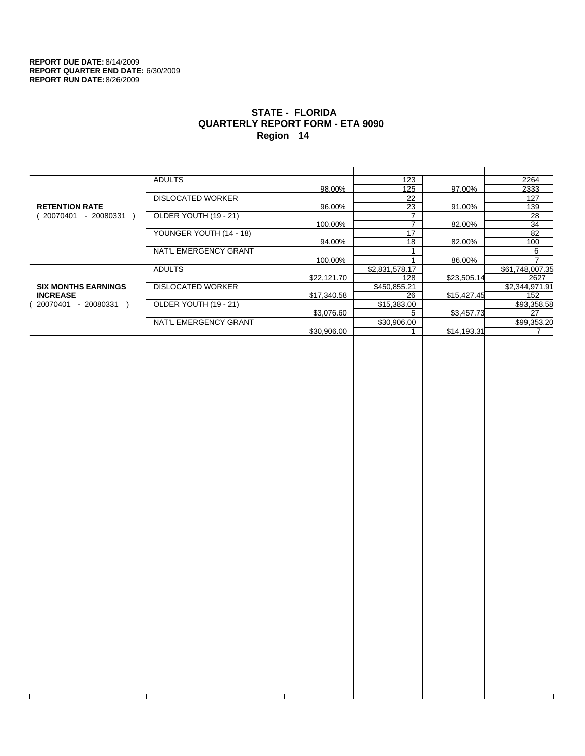$\mathbf I$ 

 $\bar{\Gamma}$ 

# **STATE - FLORIDA QUARTERLY REPORT FORM - ETA 9090 Region 14**

|                            | <b>ADULTS</b>            |             | 123                      |             | 2264            |
|----------------------------|--------------------------|-------------|--------------------------|-------------|-----------------|
|                            |                          | 98.00%      | 125                      | 97.00%      | 2333            |
|                            | <b>DISLOCATED WORKER</b> |             | 22                       |             | 127             |
| <b>RETENTION RATE</b>      |                          | 96.00%      | 23                       | 91.00%      | 139             |
| - 20080331<br>20070401     | OLDER YOUTH (19 - 21)    |             |                          |             | 28              |
|                            |                          | 100.00%     | $\overline{\phantom{a}}$ | 82.00%      | 34              |
|                            | YOUNGER YOUTH (14 - 18)  |             | 17                       |             | 82              |
|                            |                          | 94.00%      | 18                       | 82.00%      | 100             |
|                            | NAT'L EMERGENCY GRANT    |             |                          |             | 6               |
|                            |                          | 100.00%     |                          | 86.00%      |                 |
|                            | <b>ADULTS</b>            |             | \$2,831,578.17           |             | \$61,748,007.35 |
|                            |                          | \$22,121.70 | 128                      | \$23,505.14 | 2627            |
| <b>SIX MONTHS EARNINGS</b> | <b>DISLOCATED WORKER</b> |             | \$450,855.21             |             | \$2,344,971.91  |
| <b>INCREASE</b>            |                          | \$17,340.58 | 26                       | \$15,427.45 | 152             |
| - 20080331<br>20070401     | OLDER YOUTH (19 - 21)    |             | \$15,383.00              |             | \$93,358.58     |
|                            |                          | \$3,076.60  | 5                        | \$3,457.73  | 27              |
|                            | NAT'L EMERGENCY GRANT    |             | \$30,906.00              |             | \$99,353.20     |
|                            |                          | \$30,906.00 |                          | \$14,193.31 |                 |
|                            |                          |             |                          |             |                 |

 $\bar{\Gamma}$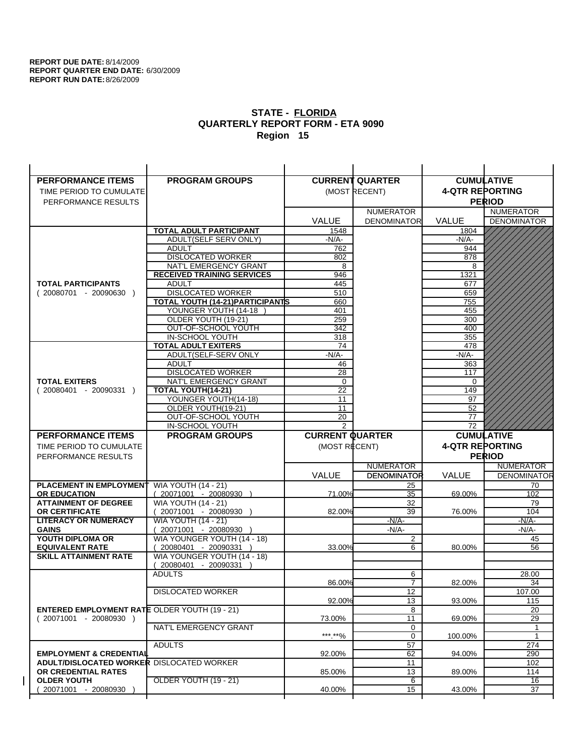| <b>PERFORMANCE ITEMS</b>                               | <b>PROGRAM GROUPS</b>                                |                        | <b>CURRENT QUARTER</b> |                        | <b>CUMULATIVE</b>  |
|--------------------------------------------------------|------------------------------------------------------|------------------------|------------------------|------------------------|--------------------|
| TIME PERIOD TO CUMULATE                                |                                                      |                        | (MOST RECENT)          | <b>4-QTR REPORTING</b> |                    |
| PERFORMANCE RESULTS                                    |                                                      |                        |                        |                        | <b>PERIOD</b>      |
|                                                        |                                                      |                        | <b>NUMERATOR</b>       |                        | <b>NUMERATOR</b>   |
|                                                        |                                                      | <b>VALUE</b>           | <b>DENOMINATOR</b>     | <b>VALUE</b>           | <b>DENOMINATOR</b> |
|                                                        | <b>TOTAL ADULT PARTICIPANT</b>                       | 1548                   |                        | 1804                   |                    |
|                                                        | ADULT(SELF SERV ONLY)                                | $-N/A-$                |                        | -N/A-                  |                    |
|                                                        | <b>ADULT</b>                                         | 762                    |                        | 944                    |                    |
|                                                        | <b>DISLOCATED WORKER</b>                             | 802                    |                        | 878                    |                    |
|                                                        | NAT'L EMERGENCY GRANT                                | 8                      |                        | 8                      |                    |
|                                                        | <b>RECEIVED TRAINING SERVICES</b>                    | 946                    |                        | 1321                   |                    |
| <b>TOTAL PARTICIPANTS</b>                              | <b>ADULT</b>                                         | 445                    |                        | 677                    |                    |
| $(20080701 - 20090630)$                                | <b>DISLOCATED WORKER</b>                             | 510                    |                        | 659                    |                    |
|                                                        | <b>TOTAL YOUTH (14-21) PARTICIPANTS</b>              | 660                    |                        | 755                    |                    |
|                                                        | YOUNGER YOUTH (14-18                                 | 401                    |                        | 455                    |                    |
|                                                        | OLDER YOUTH (19-21)                                  | 259<br>342             |                        | 300<br>400             |                    |
|                                                        | OUT-OF-SCHOOL YOUTH<br>IN-SCHOOL YOUTH               | 318                    |                        | 355                    |                    |
|                                                        | <b>TOTAL ADULT EXITERS</b>                           | 74                     |                        | 478                    |                    |
|                                                        | ADULT(SELF-SERV ONLY                                 | $-N/A-$                |                        | $-N/A-$                |                    |
|                                                        | <b>ADULT</b>                                         | 46                     |                        | 363                    |                    |
|                                                        | <b>DISLOCATED WORKER</b>                             | 28                     |                        | 117                    |                    |
| <b>TOTAL EXITERS</b>                                   | NAT'L EMERGENCY GRANT                                | 0                      |                        | 0                      |                    |
| $(20080401 - 20090331)$                                | <b>TOTAL YOUTH(14-21)</b>                            | 22                     |                        | 149                    |                    |
|                                                        | YOUNGER YOUTH(14-18)                                 | 11                     |                        | 97                     |                    |
|                                                        | OLDER YOUTH(19-21)                                   | 11                     |                        | 52                     |                    |
|                                                        | OUT-OF-SCHOOL YOUTH                                  | 20                     |                        | 77                     |                    |
|                                                        | IN-SCHOOL YOUTH                                      | 2                      |                        | 72                     |                    |
|                                                        |                                                      |                        |                        |                        |                    |
| <b>PERFORMANCE ITEMS</b>                               | <b>PROGRAM GROUPS</b>                                | <b>CURRENT QUARTER</b> |                        |                        | <b>CUMULATIVE</b>  |
| TIME PERIOD TO CUMULATE                                |                                                      | (MOST RECENT)          |                        | <b>4-QTR REPORTING</b> |                    |
| PERFORMANCE RESULTS                                    |                                                      |                        |                        |                        | <b>PERIOD</b>      |
|                                                        |                                                      |                        | <b>NUMERATOR</b>       |                        | <b>NUMERATOR</b>   |
|                                                        |                                                      | <b>VALUE</b>           | <b>DENOMINATOR</b>     | <b>VALUE</b>           | <b>DENOMINATOR</b> |
| <b>PLACEMENT IN EMPLOYMENT</b>                         | <b>WIA YOUTH (14 - 21)</b>                           |                        | 25                     |                        | 70                 |
| <b>OR EDUCATION</b>                                    | (20071001 - 20080930 )                               | 71.00%                 | 35                     | 69.00%                 | 102                |
| <b>ATTAINMENT OF DEGREE</b>                            | <b>WIA YOUTH (14 - 21)</b>                           |                        | 32                     |                        | 79                 |
| <b>OR CERTIFICATE</b>                                  | (20071001 - 20080930                                 | 82.00%                 | 39                     | 76.00%                 | 104                |
| <b>LITERACY OR NUMERACY</b>                            | <b>WIA YOUTH (14 - 21)</b>                           |                        | $-N/A-$                |                        | -N/A-              |
| <b>GAINS</b>                                           | 20071001 - 20080930                                  |                        | $-N/A-$                |                        | $-N/A-$            |
| YOUTH DIPLOMA OR                                       | WIA YOUNGER YOUTH (14 - 18)                          | 33.00%                 | $\overline{c}$<br>6    |                        | 45<br>56           |
| <b>EQUIVALENT RATE</b><br><b>SKILL ATTAINMENT RATE</b> | 20080401 - 20090331 )<br>WIA YOUNGER YOUTH (14 - 18) |                        |                        | 80.00%                 |                    |
|                                                        | (20080401 - 20090331                                 |                        |                        |                        |                    |
|                                                        | <b>ADULTS</b>                                        |                        | 6                      |                        | 28.00              |
|                                                        |                                                      | 86.00%                 | $\overline{7}$         | 82.00%                 | 34                 |
|                                                        | <b>DISLOCATED WORKER</b>                             |                        | $\overline{12}$        |                        | 107.00             |
|                                                        |                                                      | 92.00%                 | 13                     | 93.00%                 | 115                |
| <b>ENTERED EMPLOYMENT RATE OLDER YOUTH (19 - 21)</b>   |                                                      |                        | 8                      |                        | 20                 |
| $(20071001 - 20080930)$                                |                                                      | 73.00%                 | 11                     | 69.00%                 | 29                 |
|                                                        | NAT'L EMERGENCY GRANT                                |                        | 0                      |                        | 1                  |
|                                                        |                                                      | *** **%                | 0                      | 100.00%                | $\mathbf{1}$       |
|                                                        | <b>ADULTS</b>                                        |                        | 57                     |                        | 274                |
| <b>EMPLOYMENT &amp; CREDENTIAL</b>                     |                                                      | 92.00%                 | 62                     | 94.00%                 | 290                |
| <b>ADULT/DISLOCATED WORKER DISLOCATED WORKER</b>       |                                                      |                        | 11                     |                        | 102                |
| OR CREDENTIAL RATES<br><b>OLDER YOUTH</b>              | OLDER YOUTH (19 - 21)                                | 85.00%                 | 13<br>6                | 89.00%                 | 114<br>16          |
| 20071001 - 20080930                                    |                                                      | 40.00%                 | 15                     | 43.00%                 | 37                 |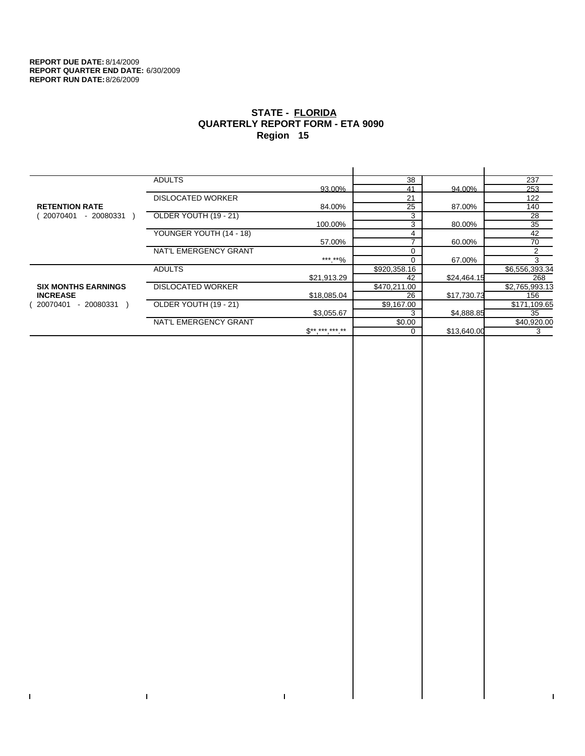$\bar{\Gamma}$ 

 $\Gamma$ 

# **STATE - FLORIDA QUARTERLY REPORT FORM - ETA 9090 Region 15**

|                            | <b>ADULTS</b>            |              | 38           |             | 237            |
|----------------------------|--------------------------|--------------|--------------|-------------|----------------|
|                            |                          | 93.00%       | 41           | 94.00%      | 253            |
|                            | <b>DISLOCATED WORKER</b> |              | 21           |             | 122            |
| <b>RETENTION RATE</b>      |                          | 84.00%       | 25           | 87.00%      | 140            |
| 20070401<br>- 20080331     | OLDER YOUTH (19 - 21)    |              | 3            |             | 28             |
|                            |                          | 100.00%      | 3            | 80.00%      | 35             |
|                            | YOUNGER YOUTH (14 - 18)  |              |              |             | 42             |
|                            |                          | 57.00%       |              | 60.00%      | 70             |
|                            | NAT'L EMERGENCY GRANT    |              |              |             | 2              |
|                            |                          | ***.**%      |              | 67.00%      | 3              |
|                            | <b>ADULTS</b>            |              | \$920,358.16 |             | \$6,556,393.34 |
|                            |                          | \$21,913.29  | 42           | \$24,464.15 | 268            |
| <b>SIX MONTHS EARNINGS</b> | <b>DISLOCATED WORKER</b> |              | \$470,211.00 |             | \$2,765,993.13 |
| <b>INCREASE</b>            |                          | \$18,085.04  | 26           | \$17,730.73 | 156            |
| - 20080331<br>20070401     | OLDER YOUTH (19 - 21)    |              | \$9,167.00   |             | \$171,109.65   |
|                            |                          | \$3,055.67   |              | \$4,888.85  | 35             |
|                            | NAT'L EMERGENCY GRANT    |              | \$0.00       |             | \$40,920.00    |
|                            |                          | $S*********$ |              | \$13,640.00 | 3              |
|                            |                          |              |              |             |                |

 $\bar{\Gamma}$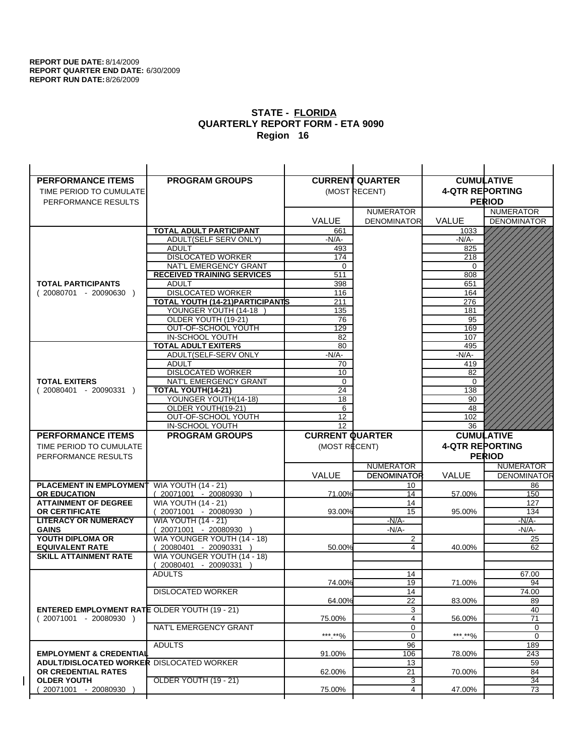| <b>PERFORMANCE ITEMS</b>                                                        | <b>PROGRAM GROUPS</b>                                    |                        | <b>CURRENT QUARTER</b>  | <b>CUMULATIVE</b>      |                                    |
|---------------------------------------------------------------------------------|----------------------------------------------------------|------------------------|-------------------------|------------------------|------------------------------------|
| TIME PERIOD TO CUMULATE                                                         |                                                          |                        | (MOST RECENT)           | <b>4-QTR REPORTING</b> |                                    |
| PERFORMANCE RESULTS                                                             |                                                          |                        |                         |                        | <b>PERIOD</b>                      |
|                                                                                 |                                                          |                        | <b>NUMERATOR</b>        |                        | <b>NUMERATOR</b>                   |
|                                                                                 |                                                          | <b>VALUE</b>           | <b>DENOMINATOR</b>      | <b>VALUE</b>           | <b>DENOMINATOR</b>                 |
|                                                                                 | <b>TOTAL ADULT PARTICIPANT</b>                           | 661                    |                         | 1033                   |                                    |
|                                                                                 | ADULT(SELF SERV ONLY)                                    | $-N/A-$                |                         | -N/A-                  |                                    |
|                                                                                 | <b>ADULT</b>                                             | 493                    |                         | 825                    |                                    |
|                                                                                 | <b>DISLOCATED WORKER</b>                                 | 174                    |                         | 218                    |                                    |
|                                                                                 | NAT'L EMERGENCY GRANT                                    | $\Omega$               |                         | $\Omega$               |                                    |
|                                                                                 | <b>RECEIVED TRAINING SERVICES</b>                        | 511                    |                         | 808                    |                                    |
| <b>TOTAL PARTICIPANTS</b>                                                       | <b>ADULT</b>                                             | 398                    |                         | 651                    |                                    |
| $(20080701 - 20090630)$                                                         | <b>DISLOCATED WORKER</b>                                 | 116                    |                         | 164                    |                                    |
|                                                                                 | TOTAL YOUTH (14-21) PARTICIPANTS<br>YOUNGER YOUTH (14-18 | 211                    |                         | 276                    |                                    |
|                                                                                 | OLDER YOUTH (19-21)                                      | 135<br>76              |                         | 181<br>95              |                                    |
|                                                                                 | OUT-OF-SCHOOL YOUTH                                      | 129                    |                         | 169                    |                                    |
|                                                                                 | IN-SCHOOL YOUTH                                          | 82                     |                         | 107                    |                                    |
|                                                                                 | <b>TOTAL ADULT EXITERS</b>                               | 80                     |                         | 495                    |                                    |
|                                                                                 | ADULT(SELF-SERV ONLY                                     | $-N/A$ -               |                         | $-N/A$ -               |                                    |
|                                                                                 | <b>ADULT</b>                                             | 70                     |                         | 419                    |                                    |
|                                                                                 | <b>DISLOCATED WORKER</b>                                 | 10                     |                         | 82                     |                                    |
| <b>TOTAL EXITERS</b>                                                            | NAT'L EMERGENCY GRANT                                    | 0                      |                         | 0                      |                                    |
| $(20080401 - 20090331)$                                                         | TOTAL YOUTH(14-21)                                       | 24                     |                         | 138                    |                                    |
|                                                                                 | YOUNGER YOUTH(14-18)                                     | 18                     |                         | 90                     |                                    |
|                                                                                 | OLDER YOUTH(19-21)                                       | 6                      |                         | 48                     |                                    |
|                                                                                 | OUT-OF-SCHOOL YOUTH<br>IN-SCHOOL YOUTH                   | 12<br>$\overline{12}$  |                         | 102<br>36              |                                    |
|                                                                                 |                                                          |                        |                         |                        |                                    |
|                                                                                 |                                                          |                        |                         |                        |                                    |
| <b>PERFORMANCE ITEMS</b>                                                        | <b>PROGRAM GROUPS</b>                                    | <b>CURRENT QUARTER</b> |                         |                        | <b>CUMULATIVE</b>                  |
| TIME PERIOD TO CUMULATE                                                         |                                                          | (MOST RECENT)          |                         | <b>4-QTR REPORTING</b> |                                    |
| PERFORMANCE RESULTS                                                             |                                                          |                        |                         |                        | <b>PERIOD</b>                      |
|                                                                                 |                                                          |                        | <b>NUMERATOR</b>        |                        | <b>NUMERATOR</b>                   |
|                                                                                 |                                                          | <b>VALUE</b>           | <b>DENOMINATOR</b>      | VALUE                  | <b>DENOMINATOR</b>                 |
| <b>PLACEMENT IN EMPLOYMENT</b>                                                  | <b>WIA YOUTH (14 - 21)</b>                               |                        | 10                      |                        | 86                                 |
| <b>OR EDUCATION</b>                                                             | $(20071001 - 20080930)$                                  | 71.00%                 | 14                      | 57.00%                 | 150                                |
| <b>ATTAINMENT OF DEGREE</b>                                                     | <b>WIA YOUTH (14 - 21)</b>                               |                        | 14                      |                        | 127                                |
| <b>OR CERTIFICATE</b><br><b>LITERACY OR NUMERACY</b>                            | 20071001 - 20080930 )<br><b>WIA YOUTH (14 - 21)</b>      | 93.00%                 | 15<br>$-N/A-$           | 95.00%                 | 134<br>-N/A-                       |
| <b>GAINS</b>                                                                    | 20071001 - 20080930                                      |                        | $-N/A-$                 |                        | -N/A-                              |
| YOUTH DIPLOMA OR                                                                | WIA YOUNGER YOUTH (14 - 18)                              |                        | $\overline{\mathbf{c}}$ |                        | 25                                 |
| <b>EQUIVALENT RATE</b>                                                          | 20080401 - 20090331 )                                    | 50.00%                 | 4                       | 40.00%                 | 62                                 |
| <b>SKILL ATTAINMENT RATE</b>                                                    | WIA YOUNGER YOUTH (14 - 18)                              |                        |                         |                        |                                    |
|                                                                                 | (20080401 - 20090331                                     |                        |                         |                        |                                    |
|                                                                                 | <b>ADULTS</b>                                            |                        | 14                      |                        | 67.00                              |
|                                                                                 |                                                          | 74.00%                 | 19                      | 71.00%                 | 94                                 |
|                                                                                 | <b>DISLOCATED WORKER</b>                                 |                        | 14                      |                        | 74.00                              |
|                                                                                 |                                                          | 64.00%                 | 22                      | 83.00%                 | 89                                 |
| <b>ENTERED EMPLOYMENT RATE OLDER YOUTH (19 - 21)</b><br>$(20071001 - 20080930)$ |                                                          | 75.00%                 | 3<br>4                  | 56.00%                 | 40<br>71                           |
|                                                                                 | NAT'L EMERGENCY GRANT                                    |                        | 0                       |                        | 0                                  |
|                                                                                 |                                                          | ***.**%                | 0                       | ***.**%                | $\mathbf 0$                        |
|                                                                                 | <b>ADULTS</b>                                            |                        | 96                      |                        | 189                                |
| <b>EMPLOYMENT &amp; CREDENTIAL</b>                                              |                                                          | 91.00%                 | 106                     | 78.00%                 | 243                                |
| <b>ADULT/DISLOCATED WORKER DISLOCATED WORKER</b>                                |                                                          |                        | 13                      |                        | 59                                 |
| OR CREDENTIAL RATES                                                             |                                                          | 62.00%                 | 21                      | 70.00%                 | 84                                 |
| <b>OLDER YOUTH</b><br>20071001 - 20080930                                       | <b>OLDER YOUTH (19 - 21)</b>                             | 75.00%                 | 3<br>4                  | 47.00%                 | $\overline{34}$<br>$\overline{73}$ |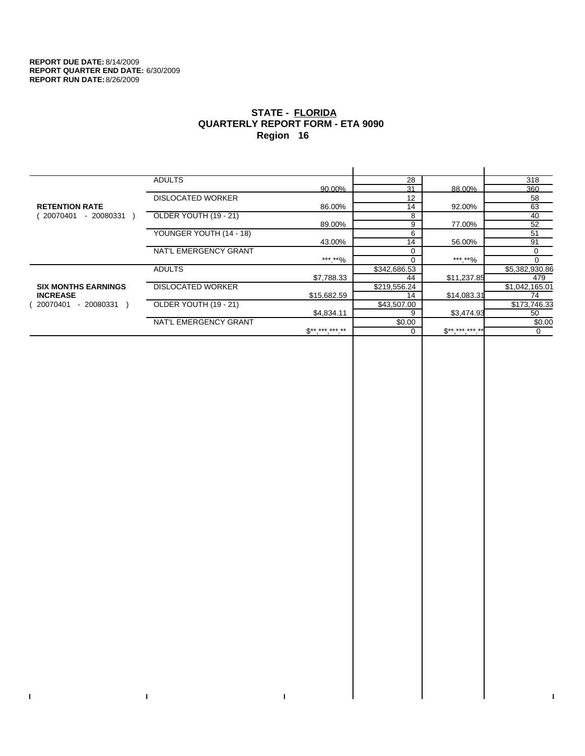$\bar{\Gamma}$ 

 $\Gamma$ 

# **STATE - FLORIDA QUARTERLY REPORT FORM - ETA 9090 Region 16**

|                            | <b>ADULTS</b>            |              | 28           |             | 318            |
|----------------------------|--------------------------|--------------|--------------|-------------|----------------|
|                            |                          | 90.00%       | 31           | 88.00%      | 360            |
|                            | <b>DISLOCATED WORKER</b> |              | 12           |             | 58             |
| <b>RETENTION RATE</b>      |                          | 86.00%       | 14           | 92.00%      | 63             |
| - 20080331<br>20070401     | OLDER YOUTH (19 - 21)    |              | 8            |             | 40             |
|                            |                          | 89.00%       | 9            | 77.00%      | 52             |
|                            | YOUNGER YOUTH (14 - 18)  |              | 6            |             | 51             |
|                            |                          | 43.00%       | 14           | 56.00%      | 91             |
|                            | NAT'L EMERGENCY GRANT    |              | $\Omega$     |             | 0              |
|                            |                          | ***.**%      |              | ***.**%     |                |
|                            | <b>ADULTS</b>            |              | \$342,686.53 |             | \$5,382,930.86 |
|                            |                          | \$7,788.33   | 44           | \$11,237.85 | 479            |
| <b>SIX MONTHS EARNINGS</b> | <b>DISLOCATED WORKER</b> |              | \$219,556.24 |             | \$1,042,165.01 |
| <b>INCREASE</b>            |                          | \$15,682.59  | 14           | \$14,083.31 | 74             |
| $-20080331$<br>20070401    | OLDER YOUTH (19 - 21)    |              | \$43,507.00  |             | \$173,746.33   |
|                            |                          | \$4,834.11   | 9            | \$3,474.93  | 50             |
|                            | NAT'L EMERGENCY GRANT    |              | \$0.00       |             | \$0.00         |
|                            |                          | $S*********$ |              | $S********$ | 0              |
|                            |                          |              |              |             |                |

 $\bar{\Gamma}$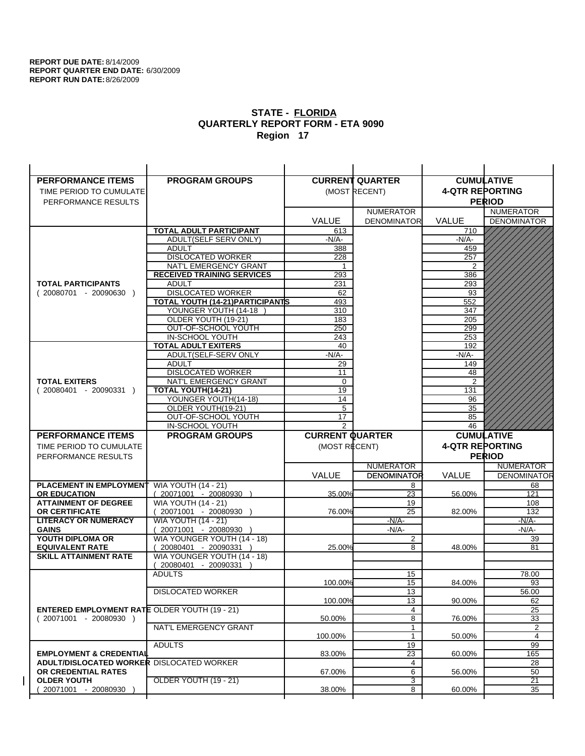$\overline{1}$ 

| <b>PERFORMANCE ITEMS</b>                                                               | <b>PROGRAM GROUPS</b>                                |                        | <b>CURRENT QUARTER</b> |                        | <b>CUMULATIVE</b>  |
|----------------------------------------------------------------------------------------|------------------------------------------------------|------------------------|------------------------|------------------------|--------------------|
| TIME PERIOD TO CUMULATE                                                                |                                                      |                        | (MOST RECENT)          | <b>4-QTR REPORTING</b> |                    |
| PERFORMANCE RESULTS                                                                    |                                                      |                        |                        |                        | <b>PERIOD</b>      |
|                                                                                        |                                                      |                        | <b>NUMERATOR</b>       |                        | <b>NUMERATOR</b>   |
|                                                                                        |                                                      | <b>VALUE</b>           | <b>DENOMINATOR</b>     | <b>VALUE</b>           | <b>DENOMINATOR</b> |
|                                                                                        | <b>TOTAL ADULT PARTICIPANT</b>                       | 613                    |                        | 710                    |                    |
|                                                                                        | ADULT(SELF SERV ONLY)                                | -N/A-                  |                        | -N/A-                  |                    |
|                                                                                        | <b>ADULT</b>                                         | 388                    |                        | 459                    |                    |
|                                                                                        | <b>DISLOCATED WORKER</b>                             | 228                    |                        | 257                    |                    |
|                                                                                        | NAT'L EMERGENCY GRANT                                | 1                      |                        | 2                      |                    |
|                                                                                        | <b>RECEIVED TRAINING SERVICES</b>                    | 293                    |                        | 386                    |                    |
| <b>TOTAL PARTICIPANTS</b>                                                              | <b>ADULT</b>                                         | 231                    |                        | 293                    |                    |
| $(20080701 - 20090630)$                                                                | <b>DISLOCATED WORKER</b>                             | 62                     |                        | 93                     |                    |
|                                                                                        | TOTAL YOUTH (14-21) PARTICIPANTS                     | 493                    |                        | 552                    |                    |
|                                                                                        | YOUNGER YOUTH (14-18                                 | 310                    |                        | 347                    |                    |
|                                                                                        | OLDER YOUTH (19-21)                                  | 183<br>250             |                        | 205                    |                    |
|                                                                                        | OUT-OF-SCHOOL YOUTH<br>IN-SCHOOL YOUTH               | 243                    |                        | 299<br>253             |                    |
|                                                                                        | <b>TOTAL ADULT EXITERS</b>                           | 40                     |                        | 192                    |                    |
|                                                                                        | ADULT(SELF-SERV ONLY                                 | $-N/A-$                |                        | $-N/A-$                |                    |
|                                                                                        | <b>ADULT</b>                                         | 29                     |                        | 149                    |                    |
|                                                                                        | <b>DISLOCATED WORKER</b>                             | 11                     |                        | 48                     |                    |
| <b>TOTAL EXITERS</b>                                                                   | <b>NAT'L EMERGENCY GRANT</b>                         | 0                      |                        | 2                      |                    |
| $(20080401 - 20090331)$                                                                | <b>TOTAL YOUTH(14-21)</b>                            | 19                     |                        | 131                    |                    |
|                                                                                        | YOUNGER YOUTH(14-18)                                 | 14                     |                        | 96                     |                    |
|                                                                                        | OLDER YOUTH(19-21)                                   | 5                      |                        | 35                     |                    |
|                                                                                        | OUT-OF-SCHOOL YOUTH                                  | 17                     |                        | 85                     |                    |
|                                                                                        | IN-SCHOOL YOUTH                                      | 2                      |                        | 46                     |                    |
|                                                                                        |                                                      |                        |                        |                        |                    |
| <b>PERFORMANCE ITEMS</b>                                                               | <b>PROGRAM GROUPS</b>                                | <b>CURRENT QUARTER</b> |                        |                        | <b>CUMULATIVE</b>  |
| TIME PERIOD TO CUMULATE                                                                |                                                      | (MOST RECENT)          |                        | <b>4-QTR REPORTING</b> |                    |
| PERFORMANCE RESULTS                                                                    |                                                      |                        |                        |                        | <b>PERIOD</b>      |
|                                                                                        |                                                      |                        | <b>NUMERATOR</b>       |                        | <b>NUMERATOR</b>   |
|                                                                                        |                                                      | <b>VALUE</b>           | <b>DENOMINATOR</b>     | <b>VALUE</b>           | <b>DENOMINATOR</b> |
| <b>PLACEMENT IN EMPLOYMENT</b>                                                         | <b>WIA YOUTH (14 - 21)</b>                           |                        | 8                      |                        | 68                 |
| <b>OR EDUCATION</b>                                                                    | (20071001 - 20080930 )                               | 35.00%                 | 23                     | 56.00%                 | 121                |
| <b>ATTAINMENT OF DEGREE</b>                                                            | <b>WIA YOUTH (14 - 21)</b>                           |                        | 19                     |                        | 108                |
| <b>OR CERTIFICATE</b>                                                                  | (20071001 - 20080930                                 | 76.00%                 | 25                     | 82.00%                 | 132                |
| <b>LITERACY OR NUMERACY</b>                                                            | <b>WIA YOUTH (14 - 21)</b>                           |                        | $-N/A-$                |                        | -N/A-              |
| <b>GAINS</b>                                                                           | 20071001 - 20080930                                  |                        | $-N/A-$                |                        | $-N/A-$            |
| YOUTH DIPLOMA OR<br><b>EQUIVALENT RATE</b>                                             | WIA YOUNGER YOUTH (14 - 18)<br>20080401 - 20090331 ) | 25.00%                 | $\overline{c}$<br>8    | 48.00%                 | 39<br>81           |
| <b>SKILL ATTAINMENT RATE</b>                                                           | WIA YOUNGER YOUTH (14 - 18)                          |                        |                        |                        |                    |
|                                                                                        | (20080401 - 20090331                                 |                        |                        |                        |                    |
|                                                                                        | <b>ADULTS</b>                                        |                        | 15                     |                        | 78.00              |
|                                                                                        |                                                      | 100.00%                | 15                     | 84.00%                 | 93                 |
|                                                                                        | <b>DISLOCATED WORKER</b>                             |                        | $\overline{13}$        |                        | 56.00              |
|                                                                                        |                                                      | 100.00%                | 13                     | 90.00%                 | 62                 |
| <b>ENTERED EMPLOYMENT RATE OLDER YOUTH (19 - 21)</b>                                   |                                                      |                        | 4                      |                        | 25                 |
| $(20071001 - 20080930)$                                                                |                                                      | 50.00%                 | 8                      | 76.00%                 | 33                 |
|                                                                                        | NAT'L EMERGENCY GRANT                                |                        | $\mathbf{1}$           |                        | 2                  |
|                                                                                        |                                                      | 100.00%                | 1                      | 50.00%                 | 4                  |
|                                                                                        | <b>ADULTS</b>                                        |                        | 19                     |                        | 99                 |
| <b>EMPLOYMENT &amp; CREDENTIAL</b><br><b>ADULT/DISLOCATED WORKER DISLOCATED WORKER</b> |                                                      | 83.00%                 | $\overline{23}$<br>4   | 60.00%                 | 165                |
| OR CREDENTIAL RATES                                                                    |                                                      | 67.00%                 | 6                      | 56.00%                 | 28<br>50           |
| <b>OLDER YOUTH</b>                                                                     | OLDER YOUTH (19 - 21)                                |                        | 3                      |                        | $\overline{21}$    |
| 20071001 - 20080930                                                                    |                                                      | 38.00%                 | 8                      | 60.00%                 | 35                 |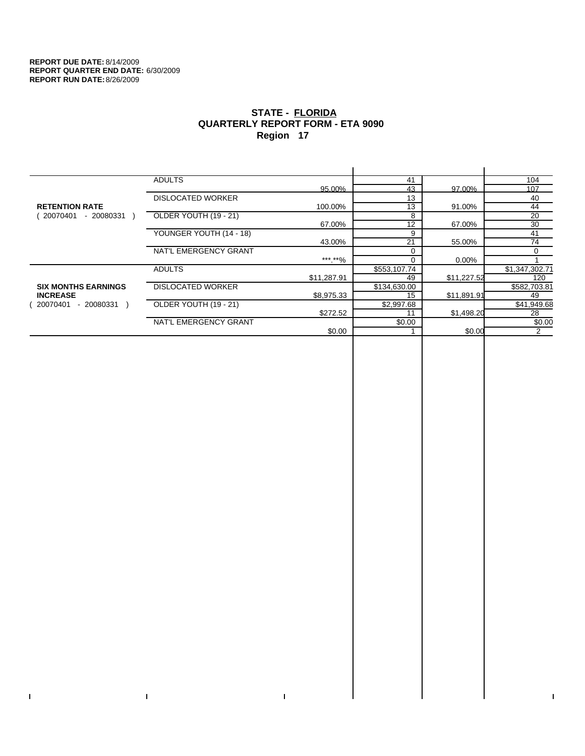$\mathbf{I}$ 

 $\mathbf{I}$ 

# **STATE - FLORIDA QUARTERLY REPORT FORM - ETA 9090 Region 17**

|                            | <b>ADULTS</b>            |             | 41           |             | 104            |
|----------------------------|--------------------------|-------------|--------------|-------------|----------------|
|                            |                          | 95.00%      | 43           | 97.00%      | 107            |
|                            | <b>DISLOCATED WORKER</b> |             | 13           |             | 40             |
| <b>RETENTION RATE</b>      |                          | 100.00%     | 13           | 91.00%      | 44             |
| 20070401<br>- 20080331     | OLDER YOUTH (19 - 21)    |             | 8            |             | 20             |
|                            |                          | 67.00%      | 12           | 67.00%      | 30             |
|                            | YOUNGER YOUTH (14 - 18)  |             | 9            |             | 41             |
|                            |                          | 43.00%      | 21           | 55.00%      | 74             |
|                            | NAT'L EMERGENCY GRANT    |             |              |             | 0              |
|                            |                          | ***.**%     |              | 0.00%       |                |
|                            | <b>ADULTS</b>            |             | \$553,107.74 |             | \$1,347,302.71 |
|                            |                          | \$11,287.91 | 49           | \$11,227.52 | 120            |
| <b>SIX MONTHS EARNINGS</b> | <b>DISLOCATED WORKER</b> |             | \$134,630.00 |             | \$582,703.81   |
| <b>INCREASE</b>            |                          | \$8,975.33  | 15           | \$11,891.91 | 49             |
| - 20080331<br>20070401     | OLDER YOUTH (19 - 21)    |             | \$2,997.68   |             | \$41,949.68    |
|                            |                          | \$272.52    | 11           | \$1,498.20  | 28             |
|                            | NAT'L EMERGENCY GRANT    |             | \$0.00       |             | \$0.00         |
|                            |                          | \$0.00      |              | \$0.00      | 2              |
|                            |                          |             |              |             |                |

 $\bar{\Gamma}$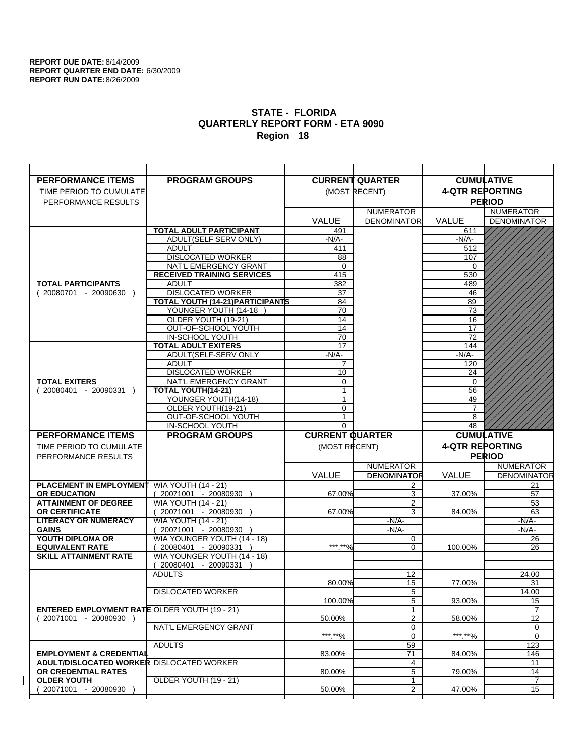| <b>PERFORMANCE ITEMS</b>                                                        | <b>PROGRAM GROUPS</b>                         |                        | <b>CURRENT QUARTER</b> |                        | <b>CUMULATIVE</b>        |
|---------------------------------------------------------------------------------|-----------------------------------------------|------------------------|------------------------|------------------------|--------------------------|
| TIME PERIOD TO CUMULATE                                                         |                                               |                        | (MOST RECENT)          | <b>4-QTR REPORTING</b> |                          |
| PERFORMANCE RESULTS                                                             |                                               |                        |                        |                        | <b>PERIOD</b>            |
|                                                                                 |                                               |                        | <b>NUMERATOR</b>       |                        | <b>NUMERATOR</b>         |
|                                                                                 |                                               | <b>VALUE</b>           | <b>DENOMINATOR</b>     | <b>VALUE</b>           | <b>DENOMINATOR</b>       |
|                                                                                 | TOTAL ADULT PARTICIPANT                       | 491                    |                        | 611                    |                          |
|                                                                                 | ADULT(SELF SERV ONLY)                         | $-N/A-$                |                        | -N/A-                  |                          |
|                                                                                 | <b>ADULT</b>                                  | 411                    |                        | 512                    |                          |
|                                                                                 | <b>DISLOCATED WORKER</b>                      | 88                     |                        | 107                    |                          |
|                                                                                 | NAT'L EMERGENCY GRANT                         | $\mathbf 0$            |                        | $\Omega$               |                          |
|                                                                                 | <b>RECEIVED TRAINING SERVICES</b>             | 415                    |                        | 530                    |                          |
| <b>TOTAL PARTICIPANTS</b>                                                       | <b>ADULT</b>                                  | 382                    |                        | 489                    |                          |
| $(20080701 - 20090630)$                                                         | <b>DISLOCATED WORKER</b>                      | 37                     |                        | 46                     |                          |
|                                                                                 | <b>TOTAL YOUTH (14-21) PARTICIPANTS</b>       | 84                     |                        | 89                     |                          |
|                                                                                 | YOUNGER YOUTH (14-18                          | 70                     |                        | 73                     |                          |
|                                                                                 | OLDER YOUTH (19-21)                           | 14                     |                        | 16                     |                          |
|                                                                                 | OUT-OF-SCHOOL YOUTH                           | 14                     |                        | 17                     |                          |
|                                                                                 | IN-SCHOOL YOUTH<br><b>TOTAL ADULT EXITERS</b> | 70<br>17               |                        | 72<br>144              |                          |
|                                                                                 | ADULT(SELF-SERV ONLY                          | $-N/A-$                |                        | $-N/A-$                |                          |
|                                                                                 | <b>ADULT</b>                                  | 7                      |                        | 120                    |                          |
|                                                                                 | <b>DISLOCATED WORKER</b>                      | 10                     |                        | 24                     |                          |
| <b>TOTAL EXITERS</b>                                                            | NAT'L EMERGENCY GRANT                         | 0                      |                        | 0                      |                          |
| $(20080401 - 20090331)$                                                         | TOTAL YOUTH(14-21)                            | $\mathbf{1}$           |                        | 56                     |                          |
|                                                                                 | YOUNGER YOUTH(14-18)                          | 1                      |                        | 49                     |                          |
|                                                                                 | OLDER YOUTH(19-21)                            | 0                      |                        | $\overline{7}$         |                          |
|                                                                                 | OUT-OF-SCHOOL YOUTH                           | 1                      |                        | 8                      |                          |
|                                                                                 | IN-SCHOOL YOUTH                               | $\Omega$               |                        | 48                     |                          |
|                                                                                 |                                               |                        |                        |                        |                          |
| <b>PERFORMANCE ITEMS</b>                                                        | <b>PROGRAM GROUPS</b>                         | <b>CURRENT QUARTER</b> |                        |                        | <b>CUMULATIVE</b>        |
| TIME PERIOD TO CUMULATE                                                         |                                               | (MOST RECENT)          |                        | <b>4-QTR REPORTING</b> |                          |
| PERFORMANCE RESULTS                                                             |                                               |                        |                        |                        | <b>PERIOD</b>            |
|                                                                                 |                                               |                        | <b>NUMERATOR</b>       |                        | <b>NUMERATOR</b>         |
|                                                                                 |                                               | <b>VALUE</b>           | <b>DENOMINATOR</b>     | <b>VALUE</b>           |                          |
| PLACEMENT IN EMPLOYMENT                                                         | <b>WIA YOUTH (14 - 21)</b>                    |                        | 2                      |                        | 21                       |
| <b>OR EDUCATION</b>                                                             | $(20071001 - 20080930)$                       | 67.00%                 | 3                      | 37.00%                 | 57                       |
| <b>ATTAINMENT OF DEGREE</b>                                                     | <b>WIA YOUTH (14 - 21)</b>                    |                        | 2                      |                        | <b>DENOMINATOR</b><br>53 |
| <b>OR CERTIFICATE</b>                                                           | (20071001 - 20080930                          | 67.00%                 | 3                      | 84.00%                 | 63                       |
| <b>LITERACY OR NUMERACY</b>                                                     | <b>WIA YOUTH (14 - 21)</b>                    |                        | $-N/A$ -               |                        | -N/A-                    |
| <b>GAINS</b>                                                                    | 20071001 - 20080930                           |                        | $-N/A-$                |                        | $-N/A-$                  |
| YOUTH DIPLOMA OR                                                                | WIA YOUNGER YOUTH (14 - 18)                   |                        | 0                      |                        | 26                       |
| <b>EQUIVALENT RATE</b>                                                          | 20080401 - 20090331 )                         | *** **%                | $\Omega$               | 100.00%                | 26                       |
| <b>SKILL ATTAINMENT RATE</b>                                                    | WIA YOUNGER YOUTH (14 - 18)                   |                        |                        |                        |                          |
|                                                                                 | (20080401 - 20090331                          |                        |                        |                        |                          |
|                                                                                 | <b>ADULTS</b>                                 |                        | 12                     |                        | 24.00                    |
|                                                                                 |                                               | 80.00%                 | 15                     | 77.00%                 | 31                       |
|                                                                                 | <b>DISLOCATED WORKER</b>                      |                        | $\overline{5}$         |                        | 14.00                    |
|                                                                                 |                                               | 100.00%                | 5<br>1                 | 93.00%                 | 15                       |
| <b>ENTERED EMPLOYMENT RATE OLDER YOUTH (19 - 21)</b><br>$(20071001 - 20080930)$ |                                               | 50.00%                 | 2                      | 58.00%                 | 12                       |
|                                                                                 | NAT'L EMERGENCY GRANT                         |                        | 0                      |                        | 0                        |
|                                                                                 |                                               | ***.**%                | 0                      | *** **%                | 0                        |
|                                                                                 | <b>ADULTS</b>                                 |                        | 59                     |                        | 123                      |
| <b>EMPLOYMENT &amp; CREDENTIAL</b>                                              |                                               | 83.00%                 | 71                     | 84.00%                 | 146                      |
| <b>ADULT/DISLOCATED WORKER DISLOCATED WORKER</b>                                |                                               |                        | 4                      |                        | 11                       |
| OR CREDENTIAL RATES                                                             |                                               | 80.00%                 | 5                      | 79.00%                 | 14                       |
| <b>OLDER YOUTH</b><br>20071001 - 20080930                                       | OLDER YOUTH (19 - 21)                         | 50.00%                 | 1<br>$\overline{2}$    | 47.00%                 | 7<br>15                  |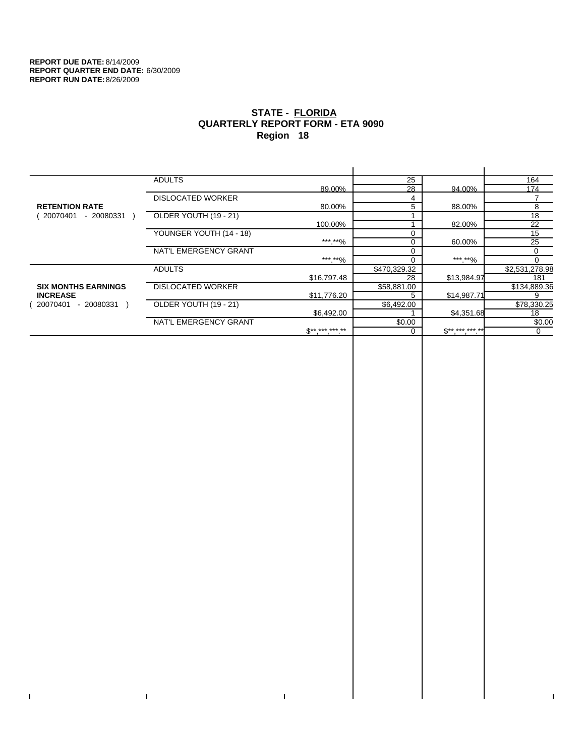$\bar{\Gamma}$ 

 $\Gamma$ 

# **STATE - FLORIDA QUARTERLY REPORT FORM - ETA 9090 Region 18**

|                            | <b>ADULTS</b>            |              | 25           |              | 164            |
|----------------------------|--------------------------|--------------|--------------|--------------|----------------|
|                            |                          | 89.00%       | 28           | 94.00%       | 174            |
|                            | <b>DISLOCATED WORKER</b> |              | 4            |              |                |
| <b>RETENTION RATE</b>      |                          | 80.00%       | 5            | 88.00%       | 8              |
| - 20080331<br>20070401     | OLDER YOUTH (19 - 21)    |              |              |              | 18             |
|                            |                          | 100.00%      |              | 82.00%       | 22             |
|                            | YOUNGER YOUTH (14 - 18)  |              | $\Omega$     |              | 15             |
|                            |                          | ***.**%      | 0            | 60.00%       | 25             |
|                            | NAT'L EMERGENCY GRANT    |              |              |              | 0              |
|                            |                          | ***.**%      |              | *** **%      |                |
|                            | <b>ADULTS</b>            |              | \$470,329.32 |              | \$2,531,278.98 |
|                            |                          | \$16,797.48  | 28           | \$13,984.97  | 181            |
| <b>SIX MONTHS EARNINGS</b> | <b>DISLOCATED WORKER</b> |              | \$58,881.00  |              | \$134,889.36   |
| <b>INCREASE</b>            |                          | \$11,776.20  |              | \$14,987.71  | 9              |
| - 20080331<br>20070401     | OLDER YOUTH (19 - 21)    |              | \$6,492.00   |              | \$78,330.25    |
|                            |                          | \$6,492.00   |              | \$4,351.68   | 18             |
|                            | NAT'L EMERGENCY GRANT    |              | \$0.00       |              | \$0.00         |
|                            |                          | $S*********$ |              | $S*********$ | $\Omega$       |
|                            |                          |              |              |              |                |

 $\bar{\Gamma}$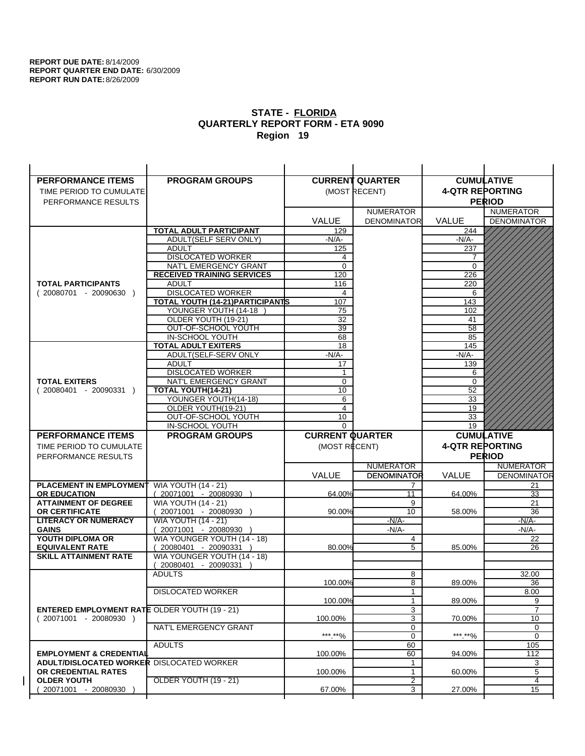| <b>PERFORMANCE ITEMS</b>                                                        | <b>PROGRAM GROUPS</b>                                           |                        | <b>CURRENT QUARTER</b> | <b>CUMULATIVE</b>      |                              |
|---------------------------------------------------------------------------------|-----------------------------------------------------------------|------------------------|------------------------|------------------------|------------------------------|
| TIME PERIOD TO CUMULATE                                                         |                                                                 |                        | (MOST RECENT)          | <b>4-QTR REPORTING</b> |                              |
| PERFORMANCE RESULTS                                                             |                                                                 |                        |                        |                        | <b>PERIOD</b>                |
|                                                                                 |                                                                 |                        | <b>NUMERATOR</b>       |                        | <b>NUMERATOR</b>             |
|                                                                                 |                                                                 | <b>VALUE</b>           | <b>DENOMINATOR</b>     | <b>VALUE</b>           | <b>DENOMINATOR</b>           |
|                                                                                 | <b>TOTAL ADULT PARTICIPANT</b>                                  | 129                    |                        | 244                    |                              |
|                                                                                 | ADULT(SELF SERV ONLY)                                           | $-N/A-$                |                        | -N/A-                  |                              |
|                                                                                 | <b>ADULT</b>                                                    | 125                    |                        | 237                    |                              |
|                                                                                 | <b>DISLOCATED WORKER</b>                                        | 4                      |                        | 7                      |                              |
|                                                                                 | NAT'L EMERGENCY GRANT                                           | $\Omega$               |                        | $\Omega$               |                              |
|                                                                                 | <b>RECEIVED TRAINING SERVICES</b>                               | 120                    |                        | 226                    |                              |
| <b>TOTAL PARTICIPANTS</b>                                                       | <b>ADULT</b>                                                    | 116                    |                        | 220                    |                              |
| $(20080701 - 20090630)$                                                         | <b>DISLOCATED WORKER</b>                                        | 4                      |                        | 6                      |                              |
|                                                                                 | <b>TOTAL YOUTH (14-21) PARTICIPANTS</b><br>YOUNGER YOUTH (14-18 | 107                    |                        | 143                    |                              |
|                                                                                 | OLDER YOUTH (19-21)                                             | 75<br>32               |                        | 102<br>41              |                              |
|                                                                                 | OUT-OF-SCHOOL YOUTH                                             | $\overline{39}$        |                        | $\overline{58}$        |                              |
|                                                                                 | IN-SCHOOL YOUTH                                                 | 68                     |                        | 85                     |                              |
|                                                                                 | <b>TOTAL ADULT EXITERS</b>                                      | 18                     |                        | 145                    |                              |
|                                                                                 | ADULT(SELF-SERV ONLY                                            | $-N/A$ -               |                        | $-N/A-$                |                              |
|                                                                                 | <b>ADULT</b>                                                    | 17                     |                        | 139                    |                              |
|                                                                                 | <b>DISLOCATED WORKER</b>                                        | $\mathbf{1}$           |                        | 6                      |                              |
| <b>TOTAL EXITERS</b>                                                            | NAT'L EMERGENCY GRANT                                           | $\mathbf 0$            |                        | 0                      |                              |
| $(20080401 - 20090331)$                                                         | TOTAL YOUTH(14-21)                                              | 10                     |                        | 52                     |                              |
|                                                                                 | YOUNGER YOUTH(14-18)                                            | 6                      |                        | 33                     |                              |
|                                                                                 | OLDER YOUTH(19-21)                                              | 4                      |                        | 19                     |                              |
|                                                                                 | OUT-OF-SCHOOL YOUTH<br>IN-SCHOOL YOUTH                          | 10<br>$\Omega$         |                        | 33<br>19               |                              |
|                                                                                 |                                                                 |                        |                        |                        |                              |
|                                                                                 |                                                                 |                        |                        |                        |                              |
| <b>PERFORMANCE ITEMS</b>                                                        | <b>PROGRAM GROUPS</b>                                           | <b>CURRENT QUARTER</b> |                        |                        | <b>CUMULATIVE</b>            |
| TIME PERIOD TO CUMULATE                                                         |                                                                 | (MOST RECENT)          |                        | <b>4-QTR REPORTING</b> |                              |
| PERFORMANCE RESULTS                                                             |                                                                 |                        |                        |                        | <b>PERIOD</b>                |
|                                                                                 |                                                                 |                        | <b>NUMERATOR</b>       |                        | <b>NUMERATOR</b>             |
|                                                                                 |                                                                 | <b>VALUE</b>           | <b>DENOMINATOR</b>     | VALUE                  |                              |
| <b>PLACEMENT IN EMPLOYMENT</b>                                                  | <b>WIA YOUTH (14 - 21)</b>                                      |                        | 7                      |                        | 21                           |
| <b>OR EDUCATION</b>                                                             | $(20071001 - 20080930)$                                         | 64.00%                 | 11                     | 64.00%                 | 33                           |
| <b>ATTAINMENT OF DEGREE</b>                                                     | <b>WIA YOUTH (14 - 21)</b>                                      |                        | 9<br>10                |                        | 21                           |
| <b>OR CERTIFICATE</b><br><b>LITERACY OR NUMERACY</b>                            | 20071001 - 20080930 )<br><b>WIA YOUTH (14 - 21)</b>             | 90.00%                 | $-N/A-$                | 58.00%                 | 36<br>$-N/A$ -               |
| <b>GAINS</b>                                                                    | 20071001 - 20080930                                             |                        | $-N/A$ -               |                        | -N/A-                        |
| YOUTH DIPLOMA OR                                                                | WIA YOUNGER YOUTH (14 - 18)                                     |                        | 4                      |                        | 22                           |
| <b>EQUIVALENT RATE</b>                                                          | 20080401 - 20090331 )                                           | 80.00%                 | 5                      | 85.00%                 | 26                           |
| <b>SKILL ATTAINMENT RATE</b>                                                    | WIA YOUNGER YOUTH (14 - 18)                                     |                        |                        |                        |                              |
|                                                                                 | (20080401 - 20090331                                            |                        |                        |                        |                              |
|                                                                                 | <b>ADULTS</b>                                                   |                        | 8                      |                        | 32.00                        |
|                                                                                 |                                                                 | 100.00%                | 8                      | 89.00%                 | 36                           |
|                                                                                 | <b>DISLOCATED WORKER</b>                                        |                        | $\mathbf{1}$           |                        | 8.00                         |
|                                                                                 |                                                                 | 100.00%                | $\mathbf{1}$           | 89.00%                 | <b>DENOMINATOR</b><br>9<br>7 |
| <b>ENTERED EMPLOYMENT RATE OLDER YOUTH (19 - 21)</b><br>$(20071001 - 20080930)$ |                                                                 | 100.00%                | 3<br>3                 | 70.00%                 | 10                           |
|                                                                                 | NAT'L EMERGENCY GRANT                                           |                        | 0                      |                        | 0                            |
|                                                                                 |                                                                 | ***.**%                | 0                      | ***.**%                | $\mathbf 0$                  |
|                                                                                 | <b>ADULTS</b>                                                   |                        | 60                     |                        | 105                          |
| <b>EMPLOYMENT &amp; CREDENTIAL</b>                                              |                                                                 | 100.00%                | 60                     | 94.00%                 | 112                          |
| <b>ADULT/DISLOCATED WORKER DISLOCATED WORKER</b>                                |                                                                 |                        | 1                      |                        | 3                            |
| OR CREDENTIAL RATES                                                             |                                                                 | 100.00%                | $\mathbf{1}$           | 60.00%                 | 5                            |
| <b>OLDER YOUTH</b><br>20071001 - 20080930                                       | OLDER YOUTH (19 - 21)                                           | 67.00%                 | 2<br>3                 | 27.00%                 | 4<br>$\overline{15}$         |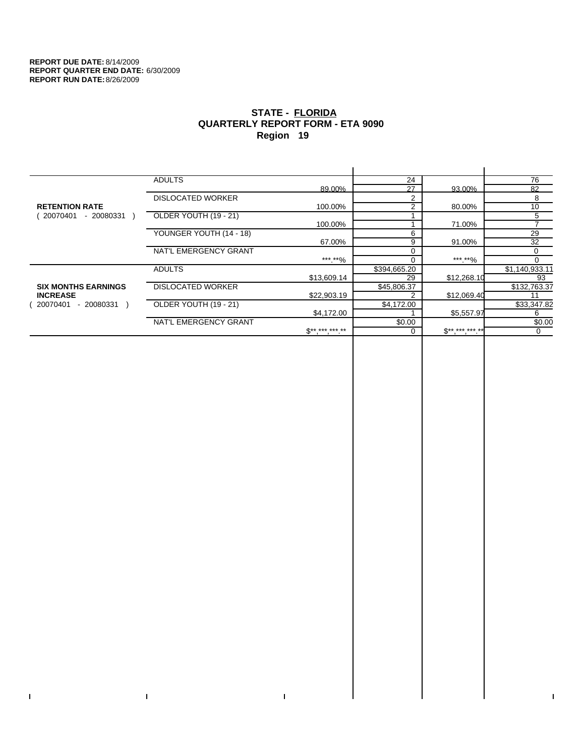$\mathbf I$ 

 $\bar{\Gamma}$ 

# **STATE - FLORIDA QUARTERLY REPORT FORM - ETA 9090 Region 19**

|                            | <b>ADULTS</b>            |              | 24             |                     | 76             |
|----------------------------|--------------------------|--------------|----------------|---------------------|----------------|
|                            |                          | 89.00%       | 27             | 93.00%              | 82             |
|                            | <b>DISLOCATED WORKER</b> |              | $\overline{2}$ |                     | 8              |
| <b>RETENTION RATE</b>      |                          | 100.00%      | $\overline{2}$ | 80.00%              | 10             |
| - 20080331<br>20070401     | OLDER YOUTH (19 - 21)    |              |                |                     | 5              |
|                            |                          | 100.00%      |                | 71.00%              |                |
|                            | YOUNGER YOUTH (14 - 18)  |              | 6              |                     | 29             |
|                            |                          | 67.00%       | 9              | 91.00%              | 32             |
|                            | NAT'L EMERGENCY GRANT    |              | $\Omega$       |                     | 0              |
|                            |                          | *** **%      | $\Omega$       | *** **%             | 0              |
|                            | <b>ADULTS</b>            |              | \$394,665.20   |                     | \$1,140,933.11 |
|                            |                          | \$13,609.14  | 29             | \$12,268.10         | 93             |
| <b>SIX MONTHS EARNINGS</b> | <b>DISLOCATED WORKER</b> |              | \$45,806.37    |                     | \$132,763.37   |
| <b>INCREASE</b>            |                          | \$22,903.19  | 2              | \$12,069.40         | 11             |
| - 20080331<br>20070401     | OLDER YOUTH (19 - 21)    |              | \$4,172.00     |                     | \$33,347.82    |
|                            |                          | \$4,172.00   |                | \$5,557.97          | 6              |
|                            | NAT'L EMERGENCY GRANT    |              | \$0.00         |                     | \$0.00         |
|                            |                          | $S*********$ | 0              | $S^{**}$ *** *** ** | 0              |
|                            |                          |              |                |                     |                |

 $\bar{\Gamma}$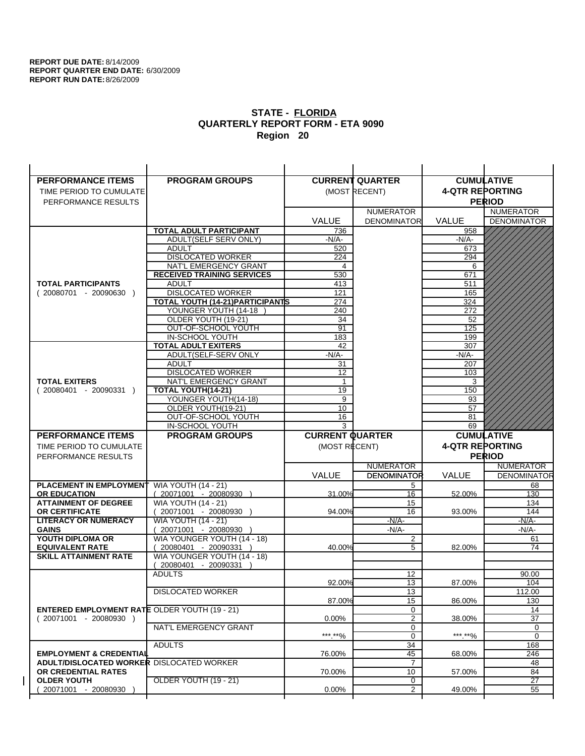| <b>PERFORMANCE ITEMS</b>                                                        | <b>PROGRAM GROUPS</b>                   |                        | <b>CURRENT QUARTER</b> |                        | <b>CUMULATIVE</b>     |
|---------------------------------------------------------------------------------|-----------------------------------------|------------------------|------------------------|------------------------|-----------------------|
| TIME PERIOD TO CUMULATE                                                         |                                         |                        | (MOST RECENT)          | <b>4-QTR REPORTING</b> |                       |
| PERFORMANCE RESULTS                                                             |                                         |                        |                        |                        | <b>PERIOD</b>         |
|                                                                                 |                                         |                        | <b>NUMERATOR</b>       |                        | <b>NUMERATOR</b>      |
|                                                                                 |                                         | <b>VALUE</b>           | <b>DENOMINATOR</b>     | VALUE                  | <b>DENOMINATOR</b>    |
|                                                                                 | TOTAL ADULT PARTICIPANT                 | 736                    |                        | 958                    |                       |
|                                                                                 | ADULT(SELF SERV ONLY)                   | $-N/A-$                |                        | $-N/A-$                |                       |
|                                                                                 | <b>ADULT</b>                            | 520                    |                        | 673                    |                       |
|                                                                                 | <b>DISLOCATED WORKER</b>                | 224                    |                        | 294                    |                       |
|                                                                                 | NAT'L EMERGENCY GRANT                   | 4                      |                        | 6                      |                       |
|                                                                                 | <b>RECEIVED TRAINING SERVICES</b>       | 530                    |                        | 671                    |                       |
| <b>TOTAL PARTICIPANTS</b>                                                       | <b>ADULT</b>                            | 413                    |                        | 511                    |                       |
| $(20080701 - 20090630)$                                                         | <b>DISLOCATED WORKER</b>                | 121                    |                        | 165                    |                       |
|                                                                                 | <b>TOTAL YOUTH (14-21) PARTICIPANTS</b> | 274                    |                        | 324                    |                       |
|                                                                                 | YOUNGER YOUTH (14-18                    | 240                    |                        | 272                    |                       |
|                                                                                 | OLDER YOUTH (19-21)                     | 34                     |                        | 52                     |                       |
|                                                                                 | OUT-OF-SCHOOL YOUTH<br>IN-SCHOOL YOUTH  | 91                     |                        | 125<br>199             |                       |
|                                                                                 | <b>TOTAL ADULT EXITERS</b>              | 183<br>42              |                        | 307                    |                       |
|                                                                                 | ADULT(SELF-SERV ONLY                    | $-N/A-$                |                        | $-N/A-$                |                       |
|                                                                                 | <b>ADULT</b>                            | 31                     |                        | 207                    |                       |
|                                                                                 | <b>DISLOCATED WORKER</b>                | 12                     |                        | 103                    |                       |
| <b>TOTAL EXITERS</b>                                                            | NAT'L EMERGENCY GRANT                   | 1                      |                        | 3                      |                       |
| $(20080401 - 20090331)$                                                         | <b>TOTAL YOUTH(14-21)</b>               | 19                     |                        | 150                    |                       |
|                                                                                 | YOUNGER YOUTH(14-18)                    | 9                      |                        | 93                     |                       |
|                                                                                 | OLDER YOUTH(19-21)                      | 10                     |                        | 57                     |                       |
|                                                                                 | OUT-OF-SCHOOL YOUTH                     | 16                     |                        | 81                     |                       |
|                                                                                 | IN-SCHOOL YOUTH                         | 3                      |                        | 69                     |                       |
|                                                                                 |                                         |                        |                        |                        |                       |
| <b>PERFORMANCE ITEMS</b>                                                        | <b>PROGRAM GROUPS</b>                   | <b>CURRENT QUARTER</b> |                        |                        | <b>CUMULATIVE</b>     |
| TIME PERIOD TO CUMULATE                                                         |                                         | (MOST RECENT)          |                        | <b>4-QTR REPORTING</b> |                       |
| PERFORMANCE RESULTS                                                             |                                         |                        |                        |                        | <b>PERIOD</b>         |
|                                                                                 |                                         |                        | <b>NUMERATOR</b>       |                        | <b>NUMERATOR</b>      |
|                                                                                 |                                         | <b>VALUE</b>           | <b>DENOMINATOR</b>     | <b>VALUE</b>           | <b>DENOMINATOR</b>    |
| PLACEMENT IN EMPLOYMENT                                                         | <b>WIA YOUTH (14 - 21)</b>              |                        | 5                      |                        | 68                    |
| <b>OR EDUCATION</b>                                                             | $(20071001 - 20080930)$                 | 31.00%                 | 16                     | 52.00%                 | 130                   |
| <b>ATTAINMENT OF DEGREE</b>                                                     | <b>WIA YOUTH (14 - 21)</b>              |                        | 15                     |                        | 134                   |
| <b>OR CERTIFICATE</b>                                                           | (20071001 - 20080930                    | 94.00%                 | 16                     | 93.00%                 | 144                   |
| <b>LITERACY OR NUMERACY</b>                                                     | <b>WIA YOUTH (14 - 21)</b>              |                        | $-N/A-$                |                        | <u>-N/A-</u>          |
| <b>GAINS</b>                                                                    | 20071001 - 20080930                     |                        | $-N/A-$                |                        | $-N/A-$               |
| YOUTH DIPLOMA OR                                                                | WIA YOUNGER YOUTH (14 - 18)             |                        | $\overline{2}$         |                        | 61                    |
| <b>EQUIVALENT RATE</b>                                                          | 20080401 - 20090331 )                   | 40.00%                 | 5                      | 82.00%                 | 74                    |
| <b>SKILL ATTAINMENT RATE</b>                                                    | WIA YOUNGER YOUTH (14 - 18)             |                        |                        |                        |                       |
|                                                                                 | (20080401 - 20090331                    |                        |                        |                        |                       |
|                                                                                 | <b>ADULTS</b>                           |                        | 12                     |                        | 90.00                 |
|                                                                                 |                                         | 92.00%                 | 13                     | 87.00%                 | 104                   |
|                                                                                 | <b>DISLOCATED WORKER</b>                |                        | $\overline{13}$        |                        | 112.00                |
|                                                                                 |                                         | 87.00%                 | 15                     | 86.00%                 | 130                   |
| <b>ENTERED EMPLOYMENT RATE OLDER YOUTH (19 - 21)</b><br>$(20071001 - 20080930)$ |                                         | 0.00%                  | 0<br>2                 |                        | 14<br>37              |
|                                                                                 | NAT'L EMERGENCY GRANT                   |                        | 0                      | 38.00%                 | 0                     |
|                                                                                 |                                         | ***.**%                | 0                      | *** **%                | 0                     |
|                                                                                 | <b>ADULTS</b>                           |                        | 34                     |                        | 168                   |
| <b>EMPLOYMENT &amp; CREDENTIAL</b>                                              |                                         | 76.00%                 | 45                     | 68.00%                 | 246                   |
| <b>ADULT/DISLOCATED WORKER DISLOCATED WORKER</b>                                |                                         |                        | 7                      |                        | 48                    |
| OR CREDENTIAL RATES                                                             |                                         | 70.00%                 | 10                     | 57.00%                 | 84                    |
| <b>OLDER YOUTH</b><br>20071001 - 20080930                                       | OLDER YOUTH (19 - 21)                   | 0.00%                  | 0<br>$\overline{2}$    | 49.00%                 | $\overline{27}$<br>55 |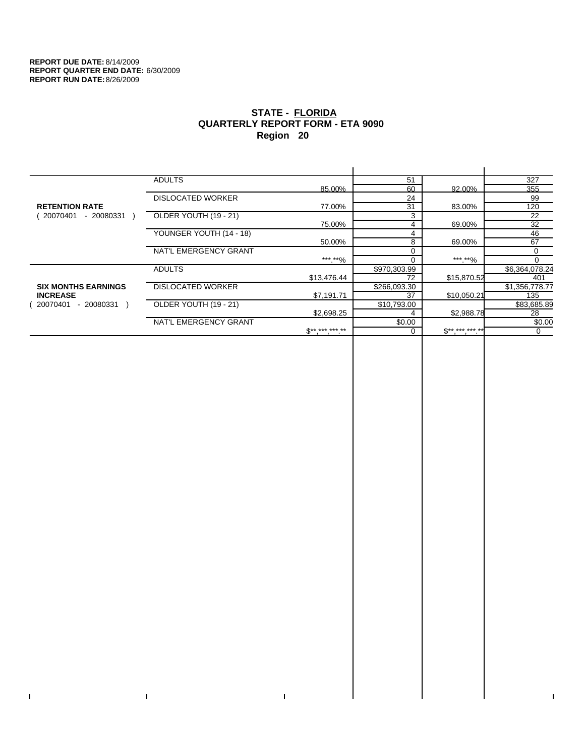$\bar{\Gamma}$ 

 $\Gamma$ 

# **STATE - FLORIDA QUARTERLY REPORT FORM - ETA 9090 Region 20**

|                            | <b>ADULTS</b>            |              | 51           |              | 327            |
|----------------------------|--------------------------|--------------|--------------|--------------|----------------|
|                            |                          | 85.00%       | 60           | 92.00%       | 355            |
|                            | <b>DISLOCATED WORKER</b> |              | 24           |              | 99             |
| <b>RETENTION RATE</b>      |                          | 77.00%       | 31           | 83.00%       | 120            |
| - 20080331<br>20070401     | OLDER YOUTH (19 - 21)    |              | 3            |              | 22             |
|                            |                          | 75.00%       | 4            | 69.00%       | 32             |
|                            | YOUNGER YOUTH (14 - 18)  |              | 4            |              | 46             |
|                            |                          | 50.00%       | 8            | 69.00%       | 67             |
|                            | NAT'L EMERGENCY GRANT    |              |              |              | 0              |
|                            |                          | ***.**%      |              | ***.**%      |                |
|                            | <b>ADULTS</b>            |              | \$970,303.99 |              | \$6,364,078.24 |
|                            |                          | \$13,476.44  | 72           | \$15,870.52  | 401            |
| <b>SIX MONTHS EARNINGS</b> | <b>DISLOCATED WORKER</b> |              | \$266,093.30 |              | \$1,356,778.77 |
| <b>INCREASE</b>            |                          | \$7,191.71   | 37           | \$10,050.21  | 135            |
| 20070401<br>- 20080331     | OLDER YOUTH (19 - 21)    |              | \$10,793.00  |              | \$83,685.89    |
|                            |                          | \$2,698.25   |              | \$2,988.78   | 28             |
|                            | NAT'L EMERGENCY GRANT    |              | \$0.00       |              | \$0.00         |
|                            |                          | $S*********$ |              | $S*********$ | $\mathbf 0$    |
|                            |                          |              |              |              |                |

 $\bar{\Gamma}$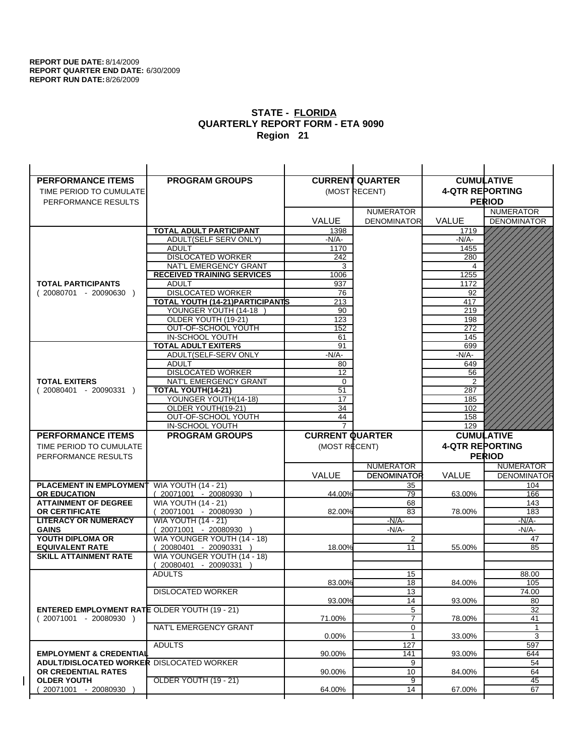| <b>PERFORMANCE ITEMS</b>                             | <b>PROGRAM GROUPS</b>                                |                        | <b>CURRENT QUARTER</b>    |                        | <b>CUMULATIVE</b>  |
|------------------------------------------------------|------------------------------------------------------|------------------------|---------------------------|------------------------|--------------------|
| TIME PERIOD TO CUMULATE                              |                                                      |                        | (MOST RECENT)             | <b>4-QTR REPORTING</b> |                    |
| PERFORMANCE RESULTS                                  |                                                      |                        |                           |                        | <b>PERIOD</b>      |
|                                                      |                                                      |                        | <b>NUMERATOR</b>          |                        | <b>NUMERATOR</b>   |
|                                                      |                                                      | <b>VALUE</b>           | <b>DENOMINATOR</b>        | VALUE                  | <b>DENOMINATOR</b> |
|                                                      | <b>TOTAL ADULT PARTICIPANT</b>                       | 1398                   |                           | 1719                   |                    |
|                                                      | ADULT(SELF SERV ONLY)                                | -N/A-                  |                           | -N/A-                  |                    |
|                                                      | <b>ADULT</b>                                         | 1170                   |                           | 1455                   |                    |
|                                                      | <b>DISLOCATED WORKER</b>                             | 242                    |                           | 280                    |                    |
|                                                      | NAT'L EMERGENCY GRANT                                | 3                      |                           | 4                      |                    |
|                                                      | <b>RECEIVED TRAINING SERVICES</b><br><b>ADULT</b>    | 1006                   |                           | 1255                   |                    |
| <b>TOTAL PARTICIPANTS</b><br>$(20080701 - 20090630)$ | <b>DISLOCATED WORKER</b>                             | 937<br>76              |                           | 1172<br>92             |                    |
|                                                      | TOTAL YOUTH (14-21) PARTICIPANTS                     | 213                    |                           | 417                    |                    |
|                                                      | YOUNGER YOUTH (14-18                                 | 90                     |                           | 219                    |                    |
|                                                      | OLDER YOUTH (19-21)                                  | 123                    |                           | 198                    |                    |
|                                                      | OUT-OF-SCHOOL YOUTH                                  | 152                    |                           | 272                    |                    |
|                                                      | IN-SCHOOL YOUTH                                      | 61                     |                           | 145                    |                    |
|                                                      | <b>TOTAL ADULT EXITERS</b>                           | 91                     |                           | 699                    |                    |
|                                                      | ADULT(SELF-SERV ONLY                                 | $-N/A$ -               |                           | -N/A-                  |                    |
|                                                      | <b>ADULT</b>                                         | 80                     |                           | 649                    |                    |
| <b>TOTAL EXITERS</b>                                 | <b>DISLOCATED WORKER</b><br>NAT'L EMERGENCY GRANT    | 12<br>0                |                           | 56<br>$\overline{2}$   |                    |
| $(20080401 - 20090331)$                              | TOTAL YOUTH(14-21)                                   | 51                     |                           | 287                    |                    |
|                                                      | YOUNGER YOUTH(14-18)                                 | 17                     |                           | 185                    |                    |
|                                                      | OLDER YOUTH(19-21)                                   | 34                     |                           | 102                    |                    |
|                                                      | OUT-OF-SCHOOL YOUTH                                  | 44                     |                           | 158                    |                    |
|                                                      | IN-SCHOOL YOUTH                                      | $\overline{7}$         |                           | 129                    |                    |
|                                                      |                                                      |                        |                           |                        |                    |
| <b>PERFORMANCE ITEMS</b>                             | <b>PROGRAM GROUPS</b>                                | <b>CURRENT QUARTER</b> |                           |                        | <b>CUMULATIVE</b>  |
| TIME PERIOD TO CUMULATE                              |                                                      | (MOST RECENT)          |                           | <b>4-QTR REPORTING</b> |                    |
| PERFORMANCE RESULTS                                  |                                                      |                        |                           |                        | <b>PERIOD</b>      |
|                                                      |                                                      |                        | <b>NUMERATOR</b>          |                        | <b>NUMERATOR</b>   |
|                                                      |                                                      | <b>VALUE</b>           | <b>DENOMINATOR</b>        | <b>VALUE</b>           | <b>DENOMINATOR</b> |
| <b>PLACEMENT IN EMPLOYMENT</b>                       | <b>WIA YOUTH (14 - 21)</b>                           |                        | 35                        |                        | 104                |
| <b>OR EDUCATION</b>                                  | $(20071001 - 20080930)$                              | 44.00%                 | 79                        | 63.00%                 | 166                |
| <b>ATTAINMENT OF DEGREE</b>                          | <b>WIA YOUTH (14 - 21)</b>                           |                        | 68                        |                        | 143                |
| OR CERTIFICATE                                       | 20071001 - 20080930 )                                | 82.00%                 | 83                        | 78.00%                 | 183                |
| <b>LITERACY OR NUMERACY</b>                          | <b>WIA YOUTH (14 - 21)</b>                           |                        | $-N/A$ -                  |                        | -N/A-              |
| <b>GAINS</b><br>YOUTH DIPLOMA OR                     | 20071001 - 20080930                                  |                        | $-N/A-$<br>$\overline{2}$ |                        | $-N/A-$<br>47      |
| <b>EQUIVALENT RATE</b>                               | WIA YOUNGER YOUTH (14 - 18)<br>20080401 - 20090331 ) | 18.00%                 | 11                        | 55.00%                 | 85                 |
| <b>SKILL ATTAINMENT RATE</b>                         | WIA YOUNGER YOUTH (14 - 18)                          |                        |                           |                        |                    |
|                                                      | (20080401 - 20090331                                 |                        |                           |                        |                    |
|                                                      | <b>ADULTS</b>                                        |                        | 15                        |                        | 88.00              |
|                                                      |                                                      | 83.00%                 | 18                        | 84.00%                 | 105                |
|                                                      | <b>DISLOCATED WORKER</b>                             |                        | $\overline{13}$           |                        | 74.00              |
|                                                      |                                                      | 93.00%                 | 14                        | 93.00%                 | 80                 |
| <b>ENTERED EMPLOYMENT RATE OLDER YOUTH (19 - 21)</b> |                                                      |                        | 5                         |                        | 32                 |
| $(20071001 - 20080930)$                              | NAT'L EMERGENCY GRANT                                | 71.00%                 | $\overline{7}$<br>0       | 78.00%                 | 41<br>1            |
|                                                      |                                                      | 0.00%                  | $\mathbf{1}$              | 33.00%                 | 3                  |
|                                                      | <b>ADULTS</b>                                        |                        | 127                       |                        | 597                |
| <b>EMPLOYMENT &amp; CREDENTIAL</b>                   |                                                      | 90.00%                 | 141                       | 93.00%                 | 644                |
| <b>ADULT/DISLOCATED WORKER DISLOCATED WORKER</b>     |                                                      |                        | 9                         |                        | 54                 |
| OR CREDENTIAL RATES                                  |                                                      | 90.00%                 | 10                        | 84.00%                 | 64                 |
| <b>OLDER YOUTH</b><br>20071001 - 20080930            | OLDER YOUTH (19 - 21)                                | 64.00%                 | 9<br>14                   | 67.00%                 | 45<br>67           |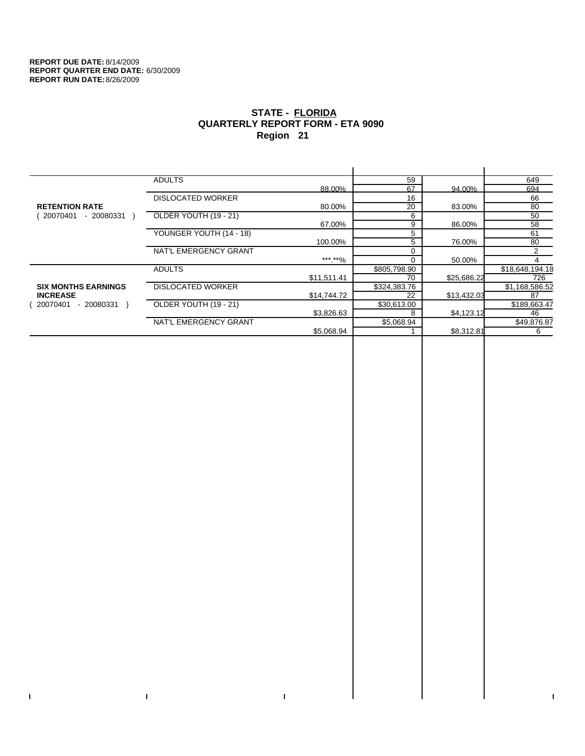$\bar{\Gamma}$ 

 $\mathbf{I}$ 

# **STATE - FLORIDA QUARTERLY REPORT FORM - ETA 9090 Region 21**

|                            | <b>ADULTS</b>            |             | 59           |             | 649             |
|----------------------------|--------------------------|-------------|--------------|-------------|-----------------|
|                            |                          | 88.00%      | 67           | 94.00%      | 694             |
|                            | <b>DISLOCATED WORKER</b> |             | 16           |             | 66              |
| <b>RETENTION RATE</b>      |                          | 80.00%      | 20           | 83.00%      | 80              |
| 20070401<br>- 20080331     | OLDER YOUTH (19 - 21)    |             | 6            |             | 50              |
|                            |                          | 67.00%      | 9            | 86.00%      | 58              |
|                            | YOUNGER YOUTH (14 - 18)  |             | 5            |             | 61              |
|                            |                          | 100.00%     | 5            | 76.00%      | 80              |
|                            | NAT'L EMERGENCY GRANT    |             |              |             | $\overline{2}$  |
|                            |                          | ***.**%     |              | 50.00%      |                 |
|                            | <b>ADULTS</b>            |             | \$805,798.90 |             | \$18,648,194.18 |
|                            |                          | \$11,511.41 | 70           | \$25,686.22 | 726             |
| <b>SIX MONTHS EARNINGS</b> | <b>DISLOCATED WORKER</b> |             | \$324,383.76 |             | \$1,168,586.52  |
| <b>INCREASE</b>            |                          | \$14,744.72 | 22           | \$13,432.03 | 87              |
| - 20080331<br>20070401     | OLDER YOUTH (19 - 21)    |             | \$30,613.00  |             | \$189,663.47    |
|                            |                          | \$3,826.63  |              | \$4,123.12  | 46              |
|                            | NAT'L EMERGENCY GRANT    |             | \$5,068.94   |             | \$49,876.87     |
|                            |                          | \$5,068.94  |              | \$8,312.81  | 6               |
|                            |                          |             |              |             |                 |

 $\bar{\Gamma}$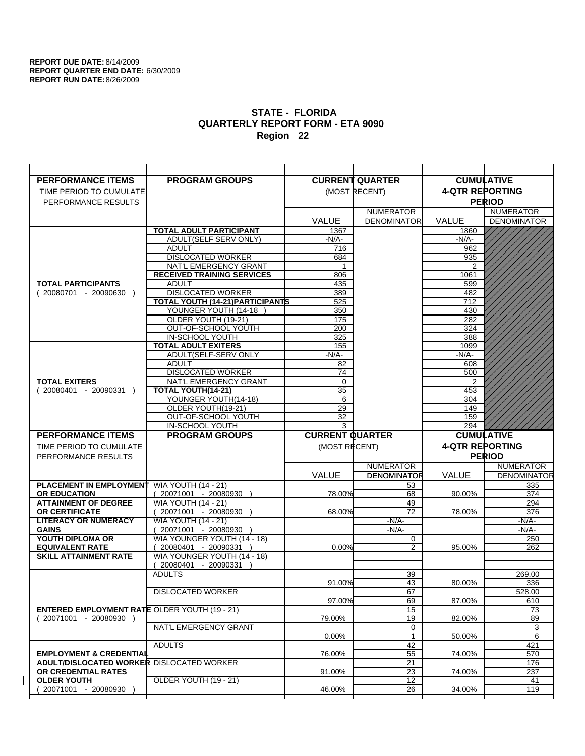| <b>PERFORMANCE ITEMS</b>                             | <b>PROGRAM GROUPS</b>                         |                        | <b>CURRENT QUARTER</b> |                        | <b>CUMULATIVE</b>  |
|------------------------------------------------------|-----------------------------------------------|------------------------|------------------------|------------------------|--------------------|
| TIME PERIOD TO CUMULATE                              |                                               |                        | (MOST RECENT)          | <b>4-QTR REPORTING</b> |                    |
| PERFORMANCE RESULTS                                  |                                               |                        |                        |                        | <b>PERIOD</b>      |
|                                                      |                                               |                        | <b>NUMERATOR</b>       |                        | <b>NUMERATOR</b>   |
|                                                      |                                               | <b>VALUE</b>           | <b>DENOMINATOR</b>     | VALUE                  | <b>DENOMINATOR</b> |
|                                                      | TOTAL ADULT PARTICIPANT                       | 1367                   |                        | 1860                   |                    |
|                                                      | ADULT(SELF SERV ONLY)                         | $-N/A-$                |                        | -N/A-                  |                    |
|                                                      | <b>ADULT</b>                                  | 716                    |                        | 962                    |                    |
|                                                      | <b>DISLOCATED WORKER</b>                      | 684                    |                        | 935                    |                    |
|                                                      | NAT'L EMERGENCY GRANT                         |                        |                        | $\overline{2}$         |                    |
|                                                      | <b>RECEIVED TRAINING SERVICES</b>             | 806                    |                        | 1061                   |                    |
| <b>TOTAL PARTICIPANTS</b>                            | <b>ADULT</b>                                  | 435                    |                        | 599                    |                    |
| $(20080701 - 20090630)$                              | <b>DISLOCATED WORKER</b>                      | 389                    |                        | 482                    |                    |
|                                                      | <b>TOTAL YOUTH (14-21) PARTICIPANTS</b>       | 525                    |                        | 712                    |                    |
|                                                      | YOUNGER YOUTH (14-18                          | 350                    |                        | 430                    |                    |
|                                                      | OLDER YOUTH (19-21)                           | 175                    |                        | 282                    |                    |
|                                                      | OUT-OF-SCHOOL YOUTH                           | 200                    |                        | 324                    |                    |
|                                                      | IN-SCHOOL YOUTH<br><b>TOTAL ADULT EXITERS</b> | 325                    |                        | 388                    |                    |
|                                                      | ADULT(SELF-SERV ONLY                          | 155<br>$-N/A-$         |                        | 1099<br>$-N/A-$        |                    |
|                                                      | ADULT                                         | 82                     |                        | 608                    |                    |
|                                                      | <b>DISLOCATED WORKER</b>                      | 74                     |                        | 500                    |                    |
| <b>TOTAL EXITERS</b>                                 | NAT'L EMERGENCY GRANT                         | $\mathbf 0$            |                        | 2                      |                    |
| $(20080401 - 20090331)$                              | TOTAL YOUTH(14-21)                            | 35                     |                        | 453                    |                    |
|                                                      | YOUNGER YOUTH(14-18)                          | 6                      |                        | 304                    |                    |
|                                                      | OLDER YOUTH(19-21)                            | 29                     |                        | 149                    |                    |
|                                                      | OUT-OF-SCHOOL YOUTH                           | 32                     |                        | 159                    |                    |
|                                                      | IN-SCHOOL YOUTH                               | 3                      |                        | 294                    |                    |
|                                                      |                                               |                        |                        |                        |                    |
| <b>PERFORMANCE ITEMS</b>                             | <b>PROGRAM GROUPS</b>                         | <b>CURRENT QUARTER</b> |                        |                        | <b>CUMULATIVE</b>  |
| TIME PERIOD TO CUMULATE                              |                                               | (MOST RECENT)          |                        | <b>4-QTR REPORTING</b> |                    |
| PERFORMANCE RESULTS                                  |                                               |                        |                        |                        | <b>PERIOD</b>      |
|                                                      |                                               |                        | <b>NUMERATOR</b>       |                        | <b>NUMERATOR</b>   |
|                                                      |                                               | <b>VALUE</b>           | <b>DENOMINATOR</b>     | <b>VALUE</b>           | <b>DENOMINATOR</b> |
| PLACEMENT IN EMPLOYMENT                              | <b>WIA YOUTH (14 - 21)</b>                    |                        | 53                     |                        | 335                |
| <b>OR EDUCATION</b>                                  | $(20071001 - 20080930)$                       | 78.00%                 | 68                     | 90.00%                 | 374                |
| <b>ATTAINMENT OF DEGREE</b>                          | <b>WIA YOUTH (14 - 21)</b>                    |                        | 49                     |                        | 294                |
| <b>OR CERTIFICATE</b>                                | (20071001 - 20080930                          | 68.00%                 | 72                     | 78.00%                 | 376                |
| <b>LITERACY OR NUMERACY</b>                          | <b>WIA YOUTH (14 - 21)</b>                    |                        | $-N/A-$                |                        | -N/A-              |
| <b>GAINS</b>                                         | 20071001 - 20080930                           |                        | $-N/A-$                |                        | $-N/A-$            |
| YOUTH DIPLOMA OR                                     | WIA YOUNGER YOUTH (14 - 18)                   |                        | 0                      |                        | 250                |
| <b>EQUIVALENT RATE</b>                               | 20080401 - 20090331 )                         | 0.00%                  | 2                      | 95.00%                 | 262                |
| <b>SKILL ATTAINMENT RATE</b>                         | WIA YOUNGER YOUTH (14 - 18)                   |                        |                        |                        |                    |
|                                                      | (20080401 - 20090331                          |                        |                        |                        |                    |
|                                                      | <b>ADULTS</b>                                 | 91.00%                 | 39<br>43               | 80.00%                 | 269.00<br>336      |
|                                                      | <b>DISLOCATED WORKER</b>                      |                        | 67                     |                        | 528.00             |
|                                                      |                                               | 97.00%                 | 69                     | 87.00%                 | 610                |
| <b>ENTERED EMPLOYMENT RATE OLDER YOUTH (19 - 21)</b> |                                               |                        | 15                     |                        | 73                 |
| $(20071001 - 20080930)$                              |                                               | 79.00%                 | 19                     | 82.00%                 | 89                 |
|                                                      | NAT'L EMERGENCY GRANT                         |                        | 0                      |                        | 3                  |
|                                                      |                                               | 0.00%                  | 1                      | 50.00%                 | 6                  |
|                                                      | <b>ADULTS</b>                                 |                        | 42                     |                        | 421                |
| <b>EMPLOYMENT &amp; CREDENTIAL</b>                   |                                               | 76.00%                 | 55                     | 74.00%                 | 570                |
| <b>ADULT/DISLOCATED WORKER DISLOCATED WORKER</b>     |                                               |                        | 21                     |                        | 176                |
| OR CREDENTIAL RATES                                  |                                               | 91.00%                 | 23                     | 74.00%                 | 237                |
| <b>OLDER YOUTH</b><br>20071001 - 20080930            | <b>OLDER YOUTH (19 - 21)</b>                  | 46.00%                 | $\overline{12}$<br>26  | 34.00%                 | 41<br>119          |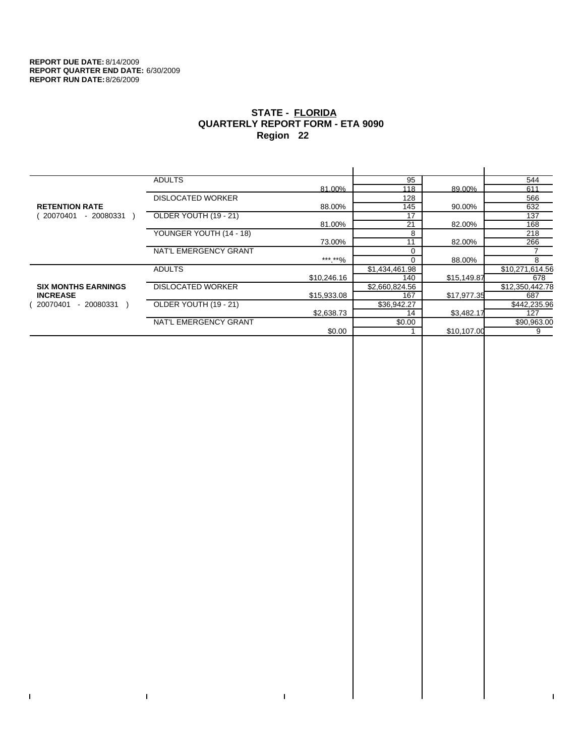$\bar{\Gamma}$ 

 $\Gamma$ 

# **STATE - FLORIDA QUARTERLY REPORT FORM - ETA 9090 Region 22**

|                            | <b>ADULTS</b>            |             | 95             |             | 544             |
|----------------------------|--------------------------|-------------|----------------|-------------|-----------------|
|                            |                          | 81.00%      | 118            | 89.00%      | 611             |
|                            | <b>DISLOCATED WORKER</b> |             | 128            |             | 566             |
| <b>RETENTION RATE</b>      |                          | 88.00%      | 145            | 90.00%      | 632             |
| $-20080331$<br>20070401    | OLDER YOUTH (19 - 21)    |             | 17             |             | 137             |
|                            |                          | 81.00%      | 21             | 82.00%      | 168             |
|                            | YOUNGER YOUTH (14 - 18)  |             | 8              |             | 218             |
|                            |                          | 73.00%      | 11             | 82.00%      | 266             |
|                            | NAT'L EMERGENCY GRANT    |             | $\Omega$       |             |                 |
|                            |                          | ***.**%     | $\Omega$       | 88.00%      | 8               |
|                            | <b>ADULTS</b>            |             | \$1,434,461.98 |             | \$10,271,614.56 |
|                            |                          | \$10,246.16 | 140            | \$15,149.87 | 678             |
| <b>SIX MONTHS EARNINGS</b> | <b>DISLOCATED WORKER</b> |             | \$2,660,824.56 |             | \$12,350,442.78 |
| <b>INCREASE</b>            |                          | \$15,933.08 | 167            | \$17,977.35 | 687             |
| 20070401<br>$-20080331$    | OLDER YOUTH (19 - 21)    |             | \$36,942.27    |             | \$442,235.96    |
|                            |                          | \$2,638.73  | 14             | \$3,482.17  | 127             |
|                            | NAT'L EMERGENCY GRANT    |             | \$0.00         |             | \$90,963.00     |
|                            |                          | \$0.00      |                | \$10,107.00 | 9               |
|                            |                          |             |                |             |                 |

 $\bar{\Gamma}$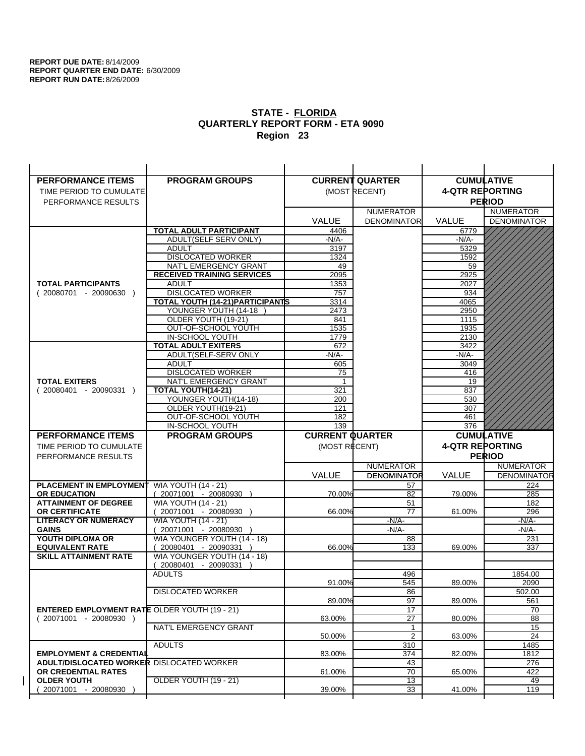| <b>PERFORMANCE ITEMS</b>                             | <b>PROGRAM GROUPS</b>                   |                        | <b>CURRENT QUARTER</b> |                        | <b>CUMULATIVE</b>  |
|------------------------------------------------------|-----------------------------------------|------------------------|------------------------|------------------------|--------------------|
| TIME PERIOD TO CUMULATE                              |                                         |                        | (MOST RECENT)          | <b>4-QTR REPORTING</b> |                    |
| PERFORMANCE RESULTS                                  |                                         |                        |                        |                        | <b>PERIOD</b>      |
|                                                      |                                         |                        | <b>NUMERATOR</b>       |                        | <b>NUMERATOR</b>   |
|                                                      |                                         | <b>VALUE</b>           | <b>DENOMINATOR</b>     | <b>VALUE</b>           | <b>DENOMINATOR</b> |
|                                                      | <b>TOTAL ADULT PARTICIPANT</b>          | 4406                   |                        | 6779                   |                    |
|                                                      | <b>ADULT(SELF SERV ONLY)</b>            | -N/A-                  |                        | -N/A-                  |                    |
|                                                      | <b>ADULT</b>                            | 3197                   |                        | 5329                   |                    |
|                                                      | <b>DISLOCATED WORKER</b>                | 1324                   |                        | 1592                   |                    |
|                                                      | NAT'L EMERGENCY GRANT                   | 49                     |                        | 59                     |                    |
|                                                      | <b>RECEIVED TRAINING SERVICES</b>       | 2095                   |                        | 2925                   |                    |
| <b>TOTAL PARTICIPANTS</b>                            | <b>ADULT</b>                            | 1353                   |                        | 2027                   |                    |
| $(20080701 - 20090630)$                              | <b>DISLOCATED WORKER</b>                | 757                    |                        | 934                    |                    |
|                                                      | <b>TOTAL YOUTH (14-21) PARTICIPANTS</b> | 3314                   |                        | 4065                   |                    |
|                                                      | YOUNGER YOUTH (14-18                    | 2473                   |                        | 2950                   |                    |
|                                                      | OLDER YOUTH (19-21)                     | 841                    |                        | 1115                   |                    |
|                                                      | OUT-OF-SCHOOL YOUTH<br>IN-SCHOOL YOUTH  | 1535                   |                        | 1935                   |                    |
|                                                      | <b>TOTAL ADULT EXITERS</b>              | 1779<br>672            |                        | 2130<br>3422           |                    |
|                                                      | ADULT(SELF-SERV ONLY                    | $-N/A-$                |                        | $-N/A-$                |                    |
|                                                      | <b>ADULT</b>                            | 605                    |                        | 3049                   |                    |
|                                                      | <b>DISLOCATED WORKER</b>                | 75                     |                        | 416                    |                    |
| <b>TOTAL EXITERS</b>                                 | NAT'L EMERGENCY GRANT                   | -1                     |                        | 19                     |                    |
| $(20080401 - 20090331)$                              | TOTAL YOUTH(14-21)                      | 321                    |                        | 837                    |                    |
|                                                      | YOUNGER YOUTH(14-18)                    | 200                    |                        | 530                    |                    |
|                                                      | OLDER YOUTH(19-21)                      | 121                    |                        | 307                    |                    |
|                                                      | OUT-OF-SCHOOL YOUTH                     | 182                    |                        | 461                    |                    |
|                                                      | IN-SCHOOL YOUTH                         | 139                    |                        | 376                    |                    |
|                                                      |                                         |                        |                        |                        |                    |
| <b>PERFORMANCE ITEMS</b>                             | <b>PROGRAM GROUPS</b>                   | <b>CURRENT QUARTER</b> |                        |                        | <b>CUMULATIVE</b>  |
| TIME PERIOD TO CUMULATE                              |                                         | (MOST RECENT)          |                        | <b>4-QTR REPORTING</b> |                    |
| PERFORMANCE RESULTS                                  |                                         |                        |                        |                        | <b>PERIOD</b>      |
|                                                      |                                         |                        | <b>NUMERATOR</b>       |                        | <b>NUMERATOR</b>   |
|                                                      |                                         | <b>VALUE</b>           | <b>DENOMINATOR</b>     | <b>VALUE</b>           | <b>DENOMINATOR</b> |
| PLACEMENT IN EMPLOYMENT                              | <b>WIA YOUTH (14 - 21)</b>              |                        | 57                     |                        | 224                |
| <b>OR EDUCATION</b>                                  | $(20071001 - 20080930)$                 | 70.00%                 | 82                     | 79.00%                 | 285                |
| <b>ATTAINMENT OF DEGREE</b>                          | <b>WIA YOUTH (14 - 21)</b>              |                        | 51                     |                        | 182                |
| <b>OR CERTIFICATE</b>                                | (20071001 - 20080930                    | 66.00%                 | 77                     | 61.00%                 | 296                |
| <b>LITERACY OR NUMERACY</b>                          | <b>WIA YOUTH (14 - 21)</b>              |                        | $-N/A-$                |                        | -N/A-              |
| <b>GAINS</b>                                         | 20071001 - 20080930                     |                        | $-N/A-$                |                        | $-N/A-$            |
| YOUTH DIPLOMA OR                                     | WIA YOUNGER YOUTH (14 - 18)             |                        | 88                     |                        | 231                |
| <b>EQUIVALENT RATE</b>                               | 20080401 - 20090331 )                   | 66.00%                 | 133                    | 69.00%                 | 337                |
| <b>SKILL ATTAINMENT RATE</b>                         | WIA YOUNGER YOUTH (14 - 18)             |                        |                        |                        |                    |
|                                                      | (20080401 - 20090331                    |                        |                        |                        |                    |
|                                                      | <b>ADULTS</b>                           | 91.00%                 | 496<br>545             | 89.00%                 | 1854.00<br>2090    |
|                                                      |                                         |                        |                        |                        |                    |
|                                                      | <b>DISLOCATED WORKER</b>                | 89.00%                 | 86<br>97               | 89.00%                 | 502.00<br>561      |
| <b>ENTERED EMPLOYMENT RATE OLDER YOUTH (19 - 21)</b> |                                         |                        | 17                     |                        | 70                 |
| $(20071001 - 20080930)$                              |                                         | 63.00%                 | 27                     | 80.00%                 | 88                 |
|                                                      | NAT'L EMERGENCY GRANT                   |                        | 1                      |                        | 15                 |
|                                                      |                                         | 50.00%                 | $\overline{2}$         | 63.00%                 | 24                 |
|                                                      | <b>ADULTS</b>                           |                        | 310                    |                        | 1485               |
| <b>EMPLOYMENT &amp; CREDENTIAL</b>                   |                                         | 83.00%                 | 374                    | 82.00%                 | 1812               |
| <b>ADULT/DISLOCATED WORKER DISLOCATED WORKER</b>     |                                         |                        | 43                     |                        | 276                |
| OR CREDENTIAL RATES                                  |                                         | 61.00%                 | 70                     | 65.00%                 | 422                |
| <b>OLDER YOUTH</b><br>20071001 - 20080930            | OLDER YOUTH (19 - 21)                   | 39.00%                 | 13<br>33               | 41.00%                 | 49<br>119          |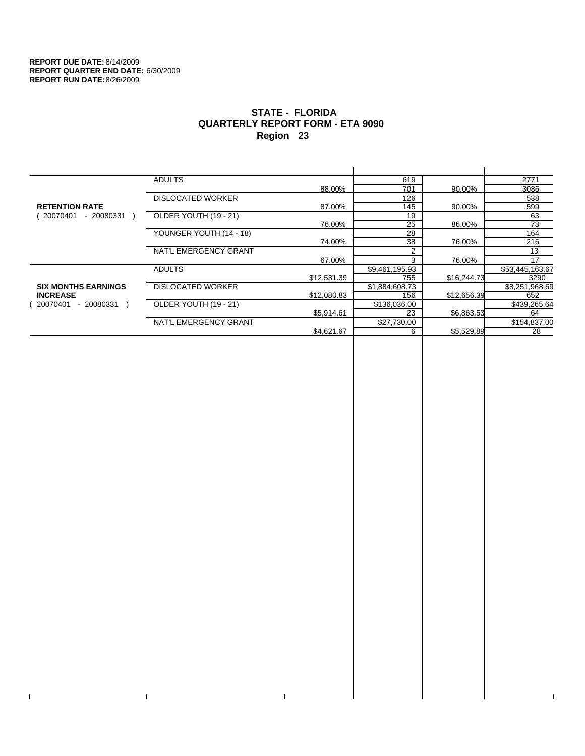$\bar{\Gamma}$ 

 $\Gamma$ 

# **STATE - FLORIDA QUARTERLY REPORT FORM - ETA 9090 Region 23**

|                            | <b>ADULTS</b>            |             | 619            |             | 2771            |
|----------------------------|--------------------------|-------------|----------------|-------------|-----------------|
|                            |                          | 88.00%      | 701            | 90.00%      | 3086            |
|                            | <b>DISLOCATED WORKER</b> |             | 126            |             | 538             |
| <b>RETENTION RATE</b>      |                          | 87.00%      | 145            | 90.00%      | 599             |
| - 20080331<br>20070401     | OLDER YOUTH (19 - 21)    |             | 19             |             | 63              |
|                            |                          | 76.00%      | 25             | 86.00%      | 73              |
|                            | YOUNGER YOUTH (14 - 18)  |             | 28             |             | 164             |
|                            |                          | 74.00%      | 38             | 76.00%      | 216             |
|                            | NAT'L EMERGENCY GRANT    |             |                |             | 13              |
|                            |                          | 67.00%      | 3              | 76.00%      | 17              |
|                            | <b>ADULTS</b>            |             | \$9,461,195.93 |             | \$53,445,163.67 |
|                            |                          | \$12,531.39 | 755            | \$16,244.73 | 3290            |
| <b>SIX MONTHS EARNINGS</b> | <b>DISLOCATED WORKER</b> |             | \$1,884,608.73 |             | \$8,251,968.69  |
| <b>INCREASE</b>            |                          | \$12,080.83 | 156            | \$12,656.39 | 652             |
| 20070401<br>- 20080331     | OLDER YOUTH (19 - 21)    |             | \$136,036.00   |             | \$439,265.64    |
|                            |                          | \$5,914.61  | 23             | \$6,863.53  | 64              |
|                            | NAT'L EMERGENCY GRANT    |             | \$27,730.00    |             | \$154,837.00    |
|                            |                          | \$4,621.67  | 6              | \$5,529.89  | 28              |
|                            |                          |             |                |             |                 |

 $\bar{\Gamma}$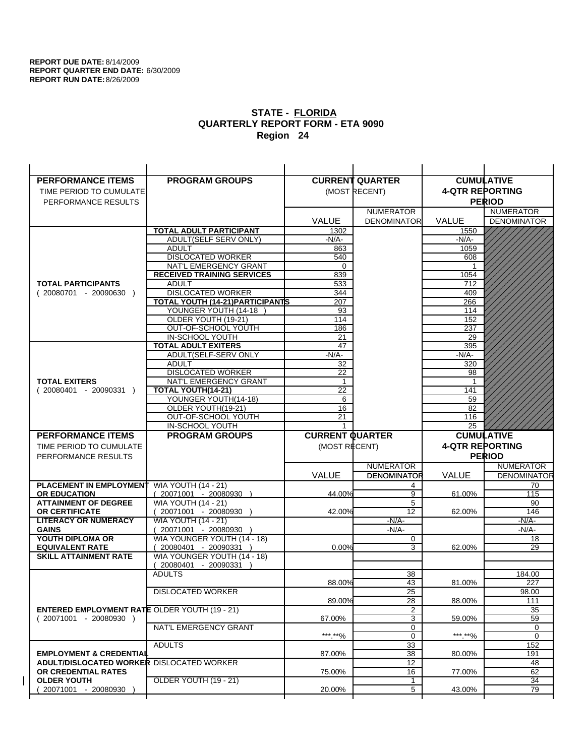$\overline{1}$ 

| <b>PERFORMANCE ITEMS</b>                             | <b>PROGRAM GROUPS</b>                                |                        | <b>CURRENT QUARTER</b> |                        | <b>CUMULATIVE</b>  |
|------------------------------------------------------|------------------------------------------------------|------------------------|------------------------|------------------------|--------------------|
| TIME PERIOD TO CUMULATE                              |                                                      |                        | (MOST RECENT)          | <b>4-QTR REPORTING</b> |                    |
| PERFORMANCE RESULTS                                  |                                                      |                        |                        |                        | <b>PERIOD</b>      |
|                                                      |                                                      |                        | <b>NUMERATOR</b>       |                        | <b>NUMERATOR</b>   |
|                                                      |                                                      | <b>VALUE</b>           | <b>DENOMINATOR</b>     | <b>VALUE</b>           | <b>DENOMINATOR</b> |
|                                                      | TOTAL ADULT PARTICIPANT                              | 1302                   |                        | 1550                   |                    |
|                                                      | ADULT(SELF SERV ONLY)                                | $-N/A-$                |                        | -N/A-                  |                    |
|                                                      | <b>ADULT</b>                                         | 863                    |                        | 1059                   |                    |
|                                                      | <b>DISLOCATED WORKER</b>                             | 540                    |                        | 608                    |                    |
|                                                      | NAT'L EMERGENCY GRANT                                | 0                      |                        |                        |                    |
|                                                      | <b>RECEIVED TRAINING SERVICES</b>                    | 839                    |                        | 1054                   |                    |
| <b>TOTAL PARTICIPANTS</b>                            | <b>ADULT</b>                                         | 533                    |                        | 712                    |                    |
| $(20080701 - 20090630)$                              | <b>DISLOCATED WORKER</b>                             | 344                    |                        | 409                    |                    |
|                                                      | <b>TOTAL YOUTH (14-21) PARTICIPANTS</b>              | 207                    |                        | 266                    |                    |
|                                                      | YOUNGER YOUTH (14-18                                 | 93                     |                        | 114                    |                    |
|                                                      | OLDER YOUTH (19-21)<br>OUT-OF-SCHOOL YOUTH           | 114<br>186             |                        | 152<br>237             |                    |
|                                                      | IN-SCHOOL YOUTH                                      | 21                     |                        | 29                     |                    |
|                                                      | <b>TOTAL ADULT EXITERS</b>                           | 47                     |                        | 395                    |                    |
|                                                      | ADULT(SELF-SERV ONLY                                 | $-N/A-$                |                        | $-N/A-$                |                    |
|                                                      | ADULT                                                | 32                     |                        | 320                    |                    |
|                                                      | <b>DISLOCATED WORKER</b>                             | 22                     |                        | 98                     |                    |
| <b>TOTAL EXITERS</b>                                 | NAT'L EMERGENCY GRANT                                | $\mathbf{1}$           |                        | -1                     |                    |
| $(20080401 - 20090331)$                              | <b>TOTAL YOUTH(14-21)</b>                            | 22                     |                        | 141                    |                    |
|                                                      | YOUNGER YOUTH(14-18)                                 | 6                      |                        | 59                     |                    |
|                                                      | OLDER YOUTH(19-21)                                   | 16                     |                        | 82                     |                    |
|                                                      | OUT-OF-SCHOOL YOUTH                                  | 21                     |                        | 116                    |                    |
|                                                      | IN-SCHOOL YOUTH                                      | 1                      |                        | 25                     |                    |
|                                                      |                                                      |                        |                        |                        |                    |
| <b>PERFORMANCE ITEMS</b>                             | <b>PROGRAM GROUPS</b>                                | <b>CURRENT QUARTER</b> |                        |                        | <b>CUMULATIVE</b>  |
| TIME PERIOD TO CUMULATE                              |                                                      | (MOST RECENT)          |                        | <b>4-QTR REPORTING</b> |                    |
| PERFORMANCE RESULTS                                  |                                                      |                        |                        |                        | <b>PERIOD</b>      |
|                                                      |                                                      |                        | <b>NUMERATOR</b>       |                        | <b>NUMERATOR</b>   |
|                                                      |                                                      | <b>VALUE</b>           | <b>DENOMINATOR</b>     | <b>VALUE</b>           | <b>DENOMINATOR</b> |
| PLACEMENT IN EMPLOYMENT                              | <b>WIA YOUTH (14 - 21)</b>                           |                        | 4                      |                        | 70                 |
| <b>OR EDUCATION</b>                                  | $(20071001 - 20080930)$                              | 44.00%                 | 9                      | 61.00%                 | 115                |
| <b>ATTAINMENT OF DEGREE</b>                          | <b>WIA YOUTH (14 - 21)</b>                           |                        | 5                      |                        | 90                 |
| <b>OR CERTIFICATE</b>                                | (20071001 - 20080930                                 | 42.00%                 | 12                     | 62.00%                 | 146                |
| <b>LITERACY OR NUMERACY</b>                          | <b>WIA YOUTH (14 - 21)</b>                           |                        | $-N/A-$                |                        | -N/A-              |
| <b>GAINS</b>                                         | 20071001 - 20080930                                  |                        | $-N/A-$                |                        | $-N/A-$            |
| YOUTH DIPLOMA OR<br><b>EQUIVALENT RATE</b>           | WIA YOUNGER YOUTH (14 - 18)                          | 0.00%                  | 0<br>3                 | 62.00%                 | 18<br>29           |
| <b>SKILL ATTAINMENT RATE</b>                         | 20080401 - 20090331 )<br>WIA YOUNGER YOUTH (14 - 18) |                        |                        |                        |                    |
|                                                      | (20080401 - 20090331                                 |                        |                        |                        |                    |
|                                                      | <b>ADULTS</b>                                        |                        | 38                     |                        | 184.00             |
|                                                      |                                                      | 88.00%                 | 43                     | 81.00%                 | 227                |
|                                                      | <b>DISLOCATED WORKER</b>                             |                        | $\overline{25}$        |                        | 98.00              |
|                                                      |                                                      | 89.00%                 | 28                     | 88.00%                 | 111                |
| <b>ENTERED EMPLOYMENT RATE OLDER YOUTH (19 - 21)</b> |                                                      |                        | 2                      |                        | 35                 |
| $(20071001 - 20080930)$                              |                                                      | 67.00%                 | 3                      | 59.00%                 | 59                 |
|                                                      | NAT'L EMERGENCY GRANT                                |                        | 0                      |                        | 0                  |
|                                                      |                                                      | ***.**%                | $\mathbf 0$            | *** **%                | 0                  |
| <b>EMPLOYMENT &amp; CREDENTIAL</b>                   | <b>ADULTS</b>                                        | 87.00%                 | 33                     | 80.00%                 | 152                |
| <b>ADULT/DISLOCATED WORKER DISLOCATED WORKER</b>     |                                                      |                        | 38<br>12               |                        | 191<br>48          |
| OR CREDENTIAL RATES                                  |                                                      | 75.00%                 | 16                     | 77.00%                 | 62                 |
| <b>OLDER YOUTH</b>                                   | <b>OLDER YOUTH (19 - 21)</b>                         |                        | 1                      |                        | $\overline{34}$    |
| 20071001 - 20080930                                  |                                                      | 20.00%                 | 5                      | 43.00%                 | 79                 |